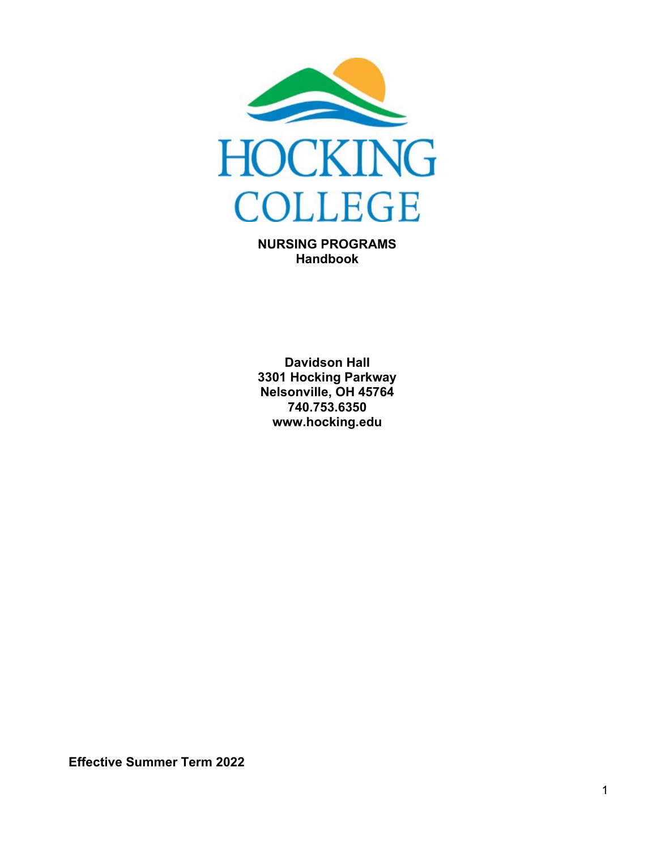

**NURSING PROGRAMS Handbook**

**Davidson Hall 3301 Hocking Parkway Nelsonville, OH 45764 740.753.6350 www.hocking.edu**

**Effective Summer Term 2022**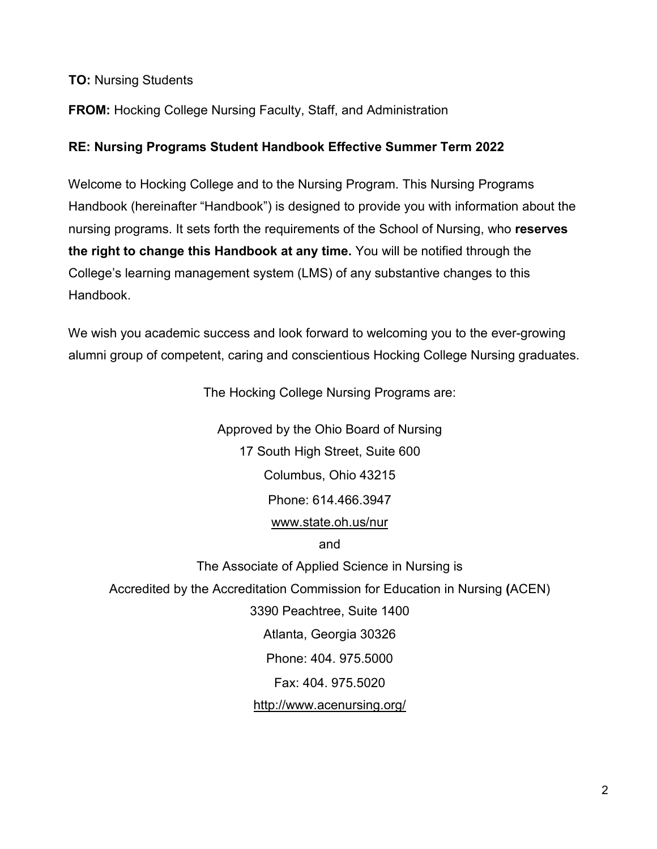#### **TO:** Nursing Students

#### **FROM:** Hocking College Nursing Faculty, Staff, and Administration

#### **RE: Nursing Programs Student Handbook Effective Summer Term 2022**

Welcome to Hocking College and to the Nursing Program. This Nursing Programs Handbook (hereinafter "Handbook") is designed to provide you with information about the nursing programs. It sets forth the requirements of the School of Nursing, who **reserves the right to change this Handbook at any time.** You will be notified through the College's learning management system (LMS) of any substantive changes to this Handbook.

We wish you academic success and look forward to welcoming you to the ever-growing alumni group of competent, caring and conscientious Hocking College Nursing graduates.

The Hocking College Nursing Programs are:

Approved by the Ohio Board of Nursing 17 South High Street, Suite 600 Columbus, Ohio 43215 Phone: 614.466.3947 [www.state.oh.us/nur](http://www.state.oh.us/nur) and

The Associate of Applied Science in Nursing is Accredited by the Accreditation Commission for Education in Nursing **(**ACEN) 3390 Peachtree, Suite 1400 Atlanta, Georgia 30326 Phone: 404. 975.5000 Fax: 404. 975.5020 <http://www.acenursing.org/>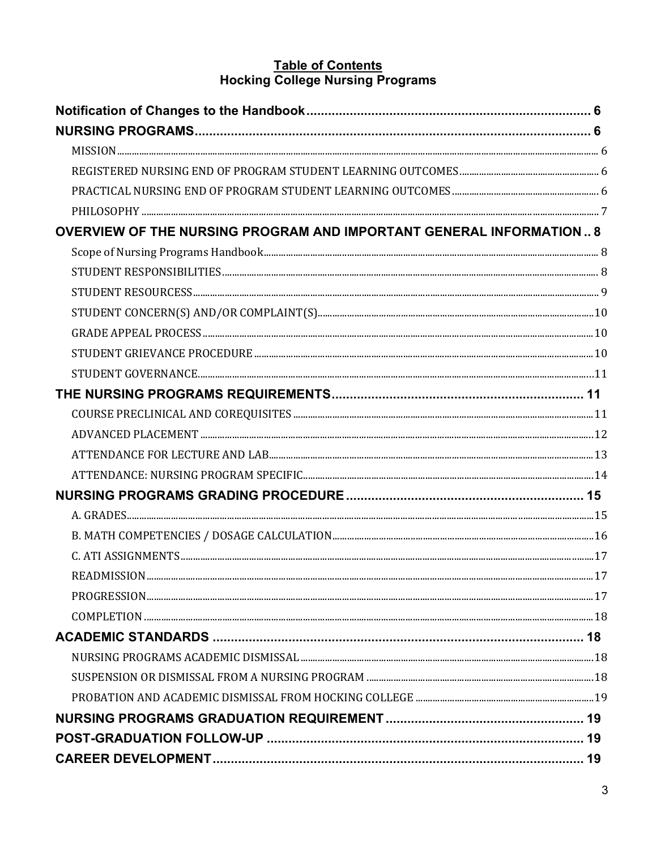# Table of Contents<br>Hocking College Nursing Programs

| <b>OVERVIEW OF THE NURSING PROGRAM AND IMPORTANT GENERAL INFORMATION 8</b> |  |
|----------------------------------------------------------------------------|--|
|                                                                            |  |
|                                                                            |  |
|                                                                            |  |
|                                                                            |  |
|                                                                            |  |
|                                                                            |  |
|                                                                            |  |
|                                                                            |  |
|                                                                            |  |
|                                                                            |  |
|                                                                            |  |
|                                                                            |  |
|                                                                            |  |
|                                                                            |  |
|                                                                            |  |
|                                                                            |  |
|                                                                            |  |
|                                                                            |  |
|                                                                            |  |
|                                                                            |  |
|                                                                            |  |
|                                                                            |  |
|                                                                            |  |
|                                                                            |  |
|                                                                            |  |
|                                                                            |  |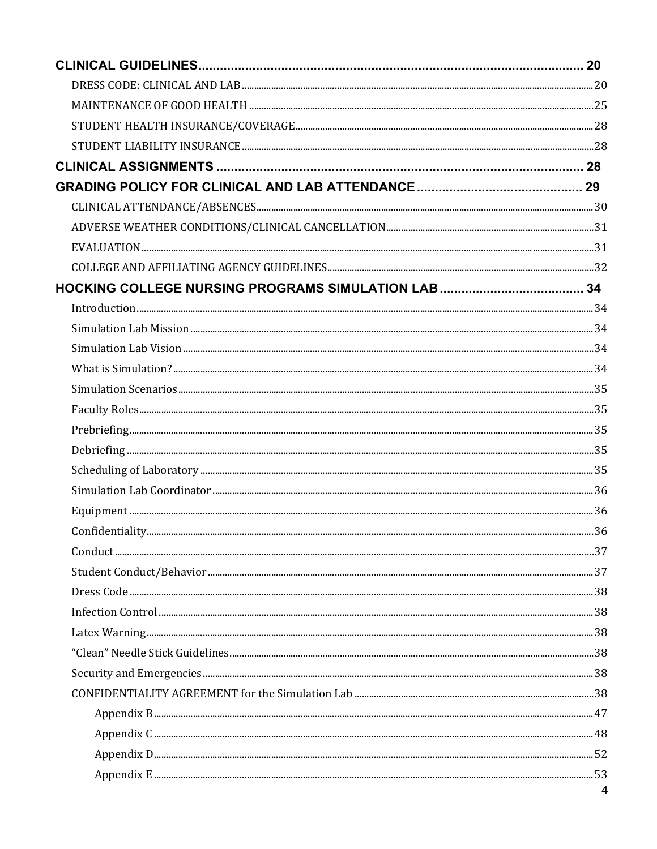| $\Lambda$ |
|-----------|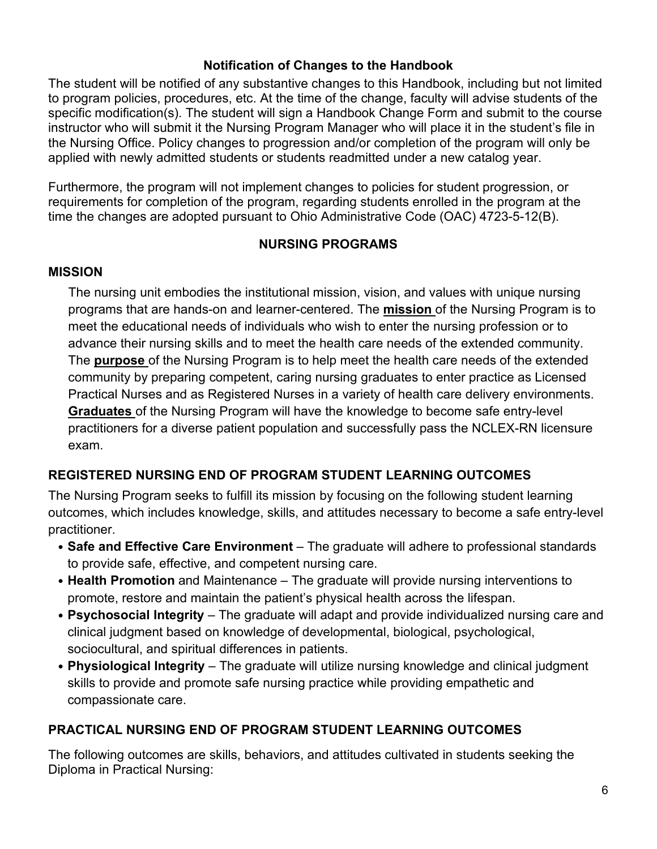#### **Notification of Changes to the Handbook**

<span id="page-5-0"></span>The student will be notified of any substantive changes to this Handbook, including but not limited to program policies, procedures, etc. At the time of the change, faculty will advise students of the specific modification(s). The student will sign a Handbook Change Form and submit to the course instructor who will submit it the Nursing Program Manager who will place it in the student's file in the Nursing Office. Policy changes to progression and/or completion of the program will only be applied with newly admitted students or students readmitted under a new catalog year.

Furthermore, the program will not implement changes to policies for student progression, or requirements for completion of the program, regarding students enrolled in the program at the time the changes are adopted pursuant to Ohio Administrative Code (OAC) 4723-5-12(B).

#### **NURSING PROGRAMS**

#### <span id="page-5-2"></span><span id="page-5-1"></span>**MISSION**

The nursing unit embodies the institutional mission, vision, and values with unique nursing programs that are hands-on and learner-centered. The **mission** of the Nursing Program is to meet the educational needs of individuals who wish to enter the nursing profession or to advance their nursing skills and to meet the health care needs of the extended community. The **purpose** of the Nursing Program is to help meet the health care needs of the extended community by preparing competent, caring nursing graduates to enter practice as Licensed Practical Nurses and as Registered Nurses in a variety of health care delivery environments. **Graduates** of the Nursing Program will have the knowledge to become safe entry-level practitioners for a diverse patient population and successfully pass the NCLEX-RN licensure exam.

#### <span id="page-5-3"></span>**REGISTERED NURSING END OF PROGRAM STUDENT LEARNING OUTCOMES**

The Nursing Program seeks to fulfill its mission by focusing on the following student learning outcomes, which includes knowledge, skills, and attitudes necessary to become a safe entry-level practitioner.

- **Safe and Effective Care Environment**  The graduate will adhere to professional standards to provide safe, effective, and competent nursing care.
- **Health Promotion** and Maintenance The graduate will provide nursing interventions to promote, restore and maintain the patient's physical health across the lifespan.
- **Psychosocial Integrity** The graduate will adapt and provide individualized nursing care and clinical judgment based on knowledge of developmental, biological, psychological, sociocultural, and spiritual differences in patients.
- **Physiological Integrity** The graduate will utilize nursing knowledge and clinical judgment skills to provide and promote safe nursing practice while providing empathetic and compassionate care.

## <span id="page-5-4"></span>**PRACTICAL NURSING END OF PROGRAM STUDENT LEARNING OUTCOMES**

The following outcomes are skills, behaviors, and attitudes cultivated in students seeking the Diploma in Practical Nursing: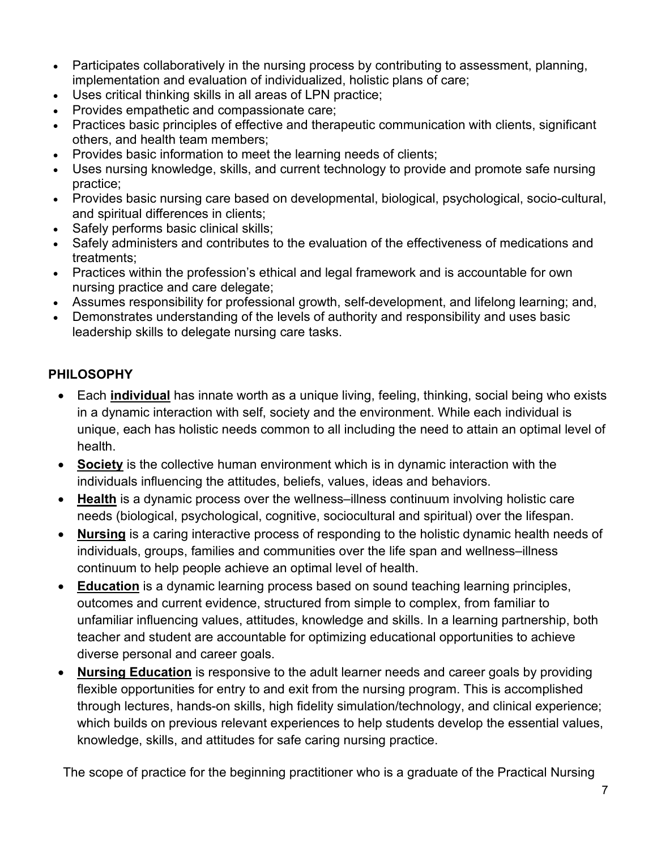- Participates collaboratively in the nursing process by contributing to assessment, planning, implementation and evaluation of individualized, holistic plans of care;
- Uses critical thinking skills in all areas of LPN practice;
- Provides empathetic and compassionate care;
- Practices basic principles of effective and therapeutic communication with clients, significant others, and health team members;
- Provides basic information to meet the learning needs of clients;
- Uses nursing knowledge, skills, and current technology to provide and promote safe nursing practice;
- Provides basic nursing care based on developmental, biological, psychological, socio-cultural, and spiritual differences in clients;
- Safely performs basic clinical skills;
- Safely administers and contributes to the evaluation of the effectiveness of medications and treatments;
- Practices within the profession's ethical and legal framework and is accountable for own nursing practice and care delegate;
- Assumes responsibility for professional growth, self-development, and lifelong learning; and,
- Demonstrates understanding of the levels of authority and responsibility and uses basic leadership skills to delegate nursing care tasks.

## <span id="page-6-0"></span>**PHILOSOPHY**

- Each **individual** has innate worth as a unique living, feeling, thinking, social being who exists in a dynamic interaction with self, society and the environment. While each individual is unique, each has holistic needs common to all including the need to attain an optimal level of health.
- **Society** is the collective human environment which is in dynamic interaction with the individuals influencing the attitudes, beliefs, values, ideas and behaviors.
- **Health** is a dynamic process over the wellness–illness continuum involving holistic care needs (biological, psychological, cognitive, sociocultural and spiritual) over the lifespan.
- **Nursing** is a caring interactive process of responding to the holistic dynamic health needs of individuals, groups, families and communities over the life span and wellness–illness continuum to help people achieve an optimal level of health.
- **Education** is a dynamic learning process based on sound teaching learning principles, outcomes and current evidence, structured from simple to complex, from familiar to unfamiliar influencing values, attitudes, knowledge and skills. In a learning partnership, both teacher and student are accountable for optimizing educational opportunities to achieve diverse personal and career goals.
- **Nursing Education** is responsive to the adult learner needs and career goals by providing flexible opportunities for entry to and exit from the nursing program. This is accomplished through lectures, hands-on skills, high fidelity simulation/technology, and clinical experience; which builds on previous relevant experiences to help students develop the essential values, knowledge, skills, and attitudes for safe caring nursing practice.

The scope of practice for the beginning practitioner who is a graduate of the Practical Nursing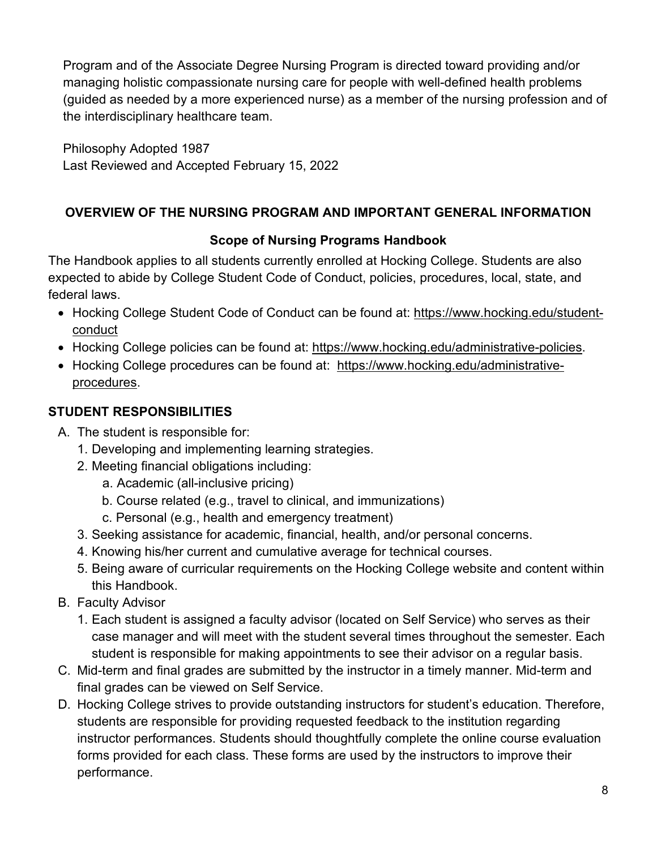Program and of the Associate Degree Nursing Program is directed toward providing and/or managing holistic compassionate nursing care for people with well-defined health problems (guided as needed by a more experienced nurse) as a member of the nursing profession and of the interdisciplinary healthcare team.

Philosophy Adopted 1987 Last Reviewed and Accepted February 15, 2022

## <span id="page-7-1"></span><span id="page-7-0"></span>**OVERVIEW OF THE NURSING PROGRAM AND IMPORTANT GENERAL INFORMATION**

## **Scope of Nursing Programs Handbook**

The Handbook applies to all students currently enrolled at Hocking College. Students are also expected to abide by College Student Code of Conduct, policies, procedures, local, state, and federal laws.

- Hocking College Student Code of Conduct can be found at: [https://www.hocking.edu/student](https://www.hocking.edu/student-conduct)[conduct](https://www.hocking.edu/student-conduct)
- Hocking College policies can be found at: [https://www.hocking.edu/administrative-policies.](https://www.hocking.edu/administrative-policies)
- Hocking College procedures can be found at: [https://www.hocking.edu/administrative](https://www.hocking.edu/administrative-procedures)[procedures.](https://www.hocking.edu/administrative-procedures)

## <span id="page-7-2"></span>**STUDENT RESPONSIBILITIES**

- A. The student is responsible for:
	- 1. Developing and implementing learning strategies.
	- 2. Meeting financial obligations including:
		- a. Academic (all-inclusive pricing)
		- b. Course related (e.g., travel to clinical, and immunizations)
		- c. Personal (e.g., health and emergency treatment)
	- 3. Seeking assistance for academic, financial, health, and/or personal concerns.
	- 4. Knowing his/her current and cumulative average for technical courses.
	- 5. Being aware of curricular requirements on the Hocking College website and content within this Handbook.
- B. Faculty Advisor
	- 1. Each student is assigned a faculty advisor (located on Self Service) who serves as their case manager and will meet with the student several times throughout the semester. Each student is responsible for making appointments to see their advisor on a regular basis.
- C. Mid-term and final grades are submitted by the instructor in a timely manner. Mid-term and final grades can be viewed on Self Service.
- D. Hocking College strives to provide outstanding instructors for student's education. Therefore, students are responsible for providing requested feedback to the institution regarding instructor performances. Students should thoughtfully complete the online course evaluation forms provided for each class. These forms are used by the instructors to improve their performance.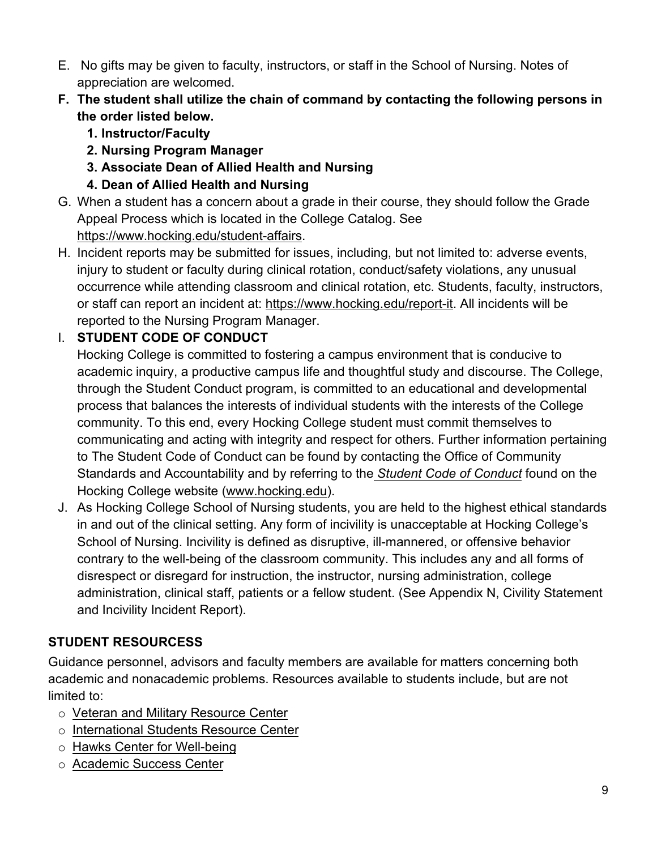- E. No gifts may be given to faculty, instructors, or staff in the School of Nursing. Notes of appreciation are welcomed.
- **F. The student shall utilize the chain of command by contacting the following persons in the order listed below.** 
	- **1. Instructor/Faculty**
	- **2. Nursing Program Manager**
	- **3. Associate Dean of Allied Health and Nursing**
	- **4. Dean of Allied Health and Nursing**
- G. When a student has a concern about a grade in their course, they should follow the Grade Appeal Process which is located in the College Catalog. See [https://www.hocking.edu/student-affairs.](https://www.hocking.edu/student-affairs)
- H. Incident reports may be submitted for issues, including, but not limited to: adverse events, injury to student or faculty during clinical rotation, conduct/safety violations, any unusual occurrence while attending classroom and clinical rotation, etc. Students, faculty, instructors, or staff can report an incident at: [https://www.hocking.edu/report-it.](https://www.hocking.edu/report-it) All incidents will be reported to the Nursing Program Manager.

# I. **STUDENT CODE OF CONDUCT**

Hocking College is committed to fostering a campus environment that is conducive to academic inquiry, a productive campus life and thoughtful study and discourse. The College, through the Student Conduct program, is committed to an educational and developmental process that balances the interests of individual students with the interests of the College community. To this end, every Hocking College student must commit themselves to communicating and acting with integrity and respect for others. Further information pertaining to The Student Code of Conduct can be found by contacting the Office of Community Standards and Accountability and by referring to the *Student Code of Conduct* found on the Hocking College website [\(www.hocking.edu\)](http://www.hocking.edu/).

J. As Hocking College School of Nursing students, you are held to the highest ethical standards in and out of the clinical setting. Any form of incivility is unacceptable at Hocking College's School of Nursing. Incivility is defined as disruptive, ill-mannered, or offensive behavior contrary to the well-being of the classroom community. This includes any and all forms of disrespect or disregard for instruction, the instructor, nursing administration, college administration, clinical staff, patients or a fellow student. (See Appendix N, Civility Statement and Incivility Incident Report).

# <span id="page-8-0"></span>**STUDENT RESOURCESS**

Guidance personnel, advisors and faculty members are available for matters concerning both academic and nonacademic problems. Resources available to students include, but are not limited to:

- o [Veteran and Military Resource Center](https://www.hocking.edu/veteran-and-military-resource-center)
- o [International Students](https://www.hocking.edu/_hcms/analytics/search/conversion?redirect=aHR0cHM6Ly93d3cuaG9ja2luZy5lZHUvaW50ZXJuYXRpb25hbC1zdHVkZW50cy1yZXNvdXJjZS1jZW50ZXI%3D&ct=SEARCH&pid=2446169&cid=22522589593&t=c3R1ZGVudCBzZXJ2aWNlcw%3D%3D&d=www.hocking.edu&c=2&c=3&c=6&rp=1&ab=false&opcid=&rs=UNKNOWN&hs-expires=1673038078&hs-version=1&hs-signature=APUk-v7brn8aRnutpy0fFrXjj6v8IT9TSw) Resource Center
- o [Hawks Center for Well-being](https://www.hocking.edu/campus-health-wellness)
- o [Academic Success Center](https://www.hocking.edu/academic-support#about)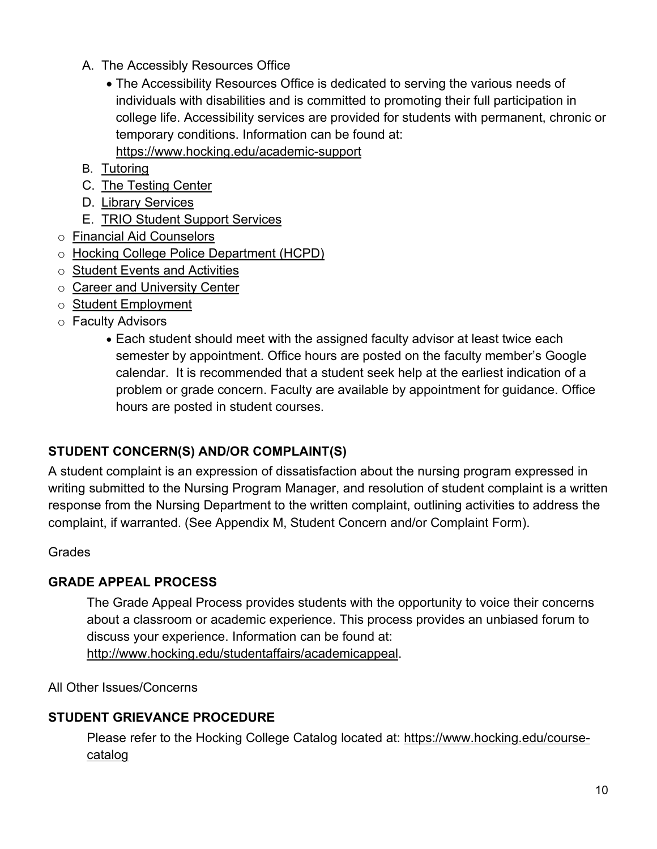- A. The Accessibly Resources Office
	- The Accessibility Resources Office is dedicated to serving the various needs of individuals with disabilities and is committed to promoting their full participation in college life. Accessibility services are provided for students with permanent, chronic or temporary conditions. Information can be found at: <https://www.hocking.edu/academic-support>
- B. [Tutoring](https://www.hocking.edu/academic-support#tutoring)
- C. [The Testing Center](https://www.hocking.edu/testingcenter)
- D. [Library Services](https://www.hocking.edu/library)
- E. [TRIO Student Support Services](https://www.hocking.edu/academic-support#accessibility)
- o [Financial Aid Counselors](https://www.hocking.edu/financial-aid)
- o Hocking [College Police Department \(HCPD\)](https://www.hocking.edu/campus-safety#intro)
- o [Student Events and Activities](https://calendar.google.com/calendar/u/0/embed?src=marketing@hocking.edu&ctz=America/New_York&__hstc=152003750.950c27a9dece1a50e50d1976fa7f85c1.1563980815509.1563980815509.1563980815509.1&__hssc)
- o [Career and University Center](https://www.hocking.edu/career-services)
- o [Student Employment](https://www.hocking.edu/student-employment)
- o Faculty Advisors
	- Each student should meet with the assigned faculty advisor at least twice each semester by appointment. Office hours are posted on the faculty member's Google calendar. It is recommended that a student seek help at the earliest indication of a problem or grade concern. Faculty are available by appointment for guidance. Office hours are posted in student courses.

#### <span id="page-9-0"></span>**STUDENT CONCERN(S) AND/OR COMPLAINT(S)**

A student complaint is an expression of dissatisfaction about the nursing program expressed in writing submitted to the Nursing Program Manager, and resolution of student complaint is a written response from the Nursing Department to the written complaint, outlining activities to address the complaint, if warranted. (See Appendix M, Student Concern and/or Complaint Form).

#### Grades

#### <span id="page-9-1"></span>**GRADE APPEAL PROCESS**

The Grade Appeal Process provides students with the opportunity to voice their concerns about a classroom or academic experience. This process provides an unbiased forum to discuss your experience. Information can be found at: [http://www.hocking.edu/studentaffairs/academicappeal.](http://www.hocking.edu/studentaffairs/academicappeal)

All Other Issues/Concerns

#### <span id="page-9-2"></span>**STUDENT GRIEVANCE PROCEDURE**

Please refer to the Hocking College Catalog located at: [https://www.hocking.edu/course](https://www.hocking.edu/course-catalog)[catalog](https://www.hocking.edu/course-catalog)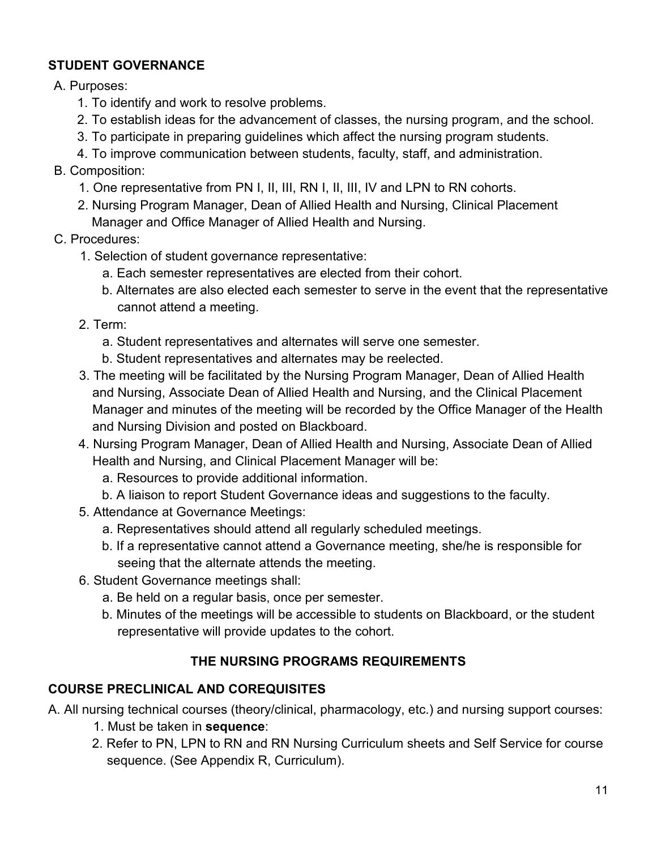### <span id="page-10-0"></span>**STUDENT GOVERNANCE**

A. Purposes:

- 1. To identify and work to resolve problems.
- 2. To establish ideas for the advancement of classes, the nursing program, and the school.
- 3. To participate in preparing guidelines which affect the nursing program students.

4. To improve communication between students, faculty, staff, and administration.

- B. Composition:
	- 1. One representative from PN I, II, III, RN I, II, III, IV and LPN to RN cohorts.
	- 2. Nursing Program Manager, Dean of Allied Health and Nursing, Clinical Placement Manager and Office Manager of Allied Health and Nursing.
- C. Procedures:
	- 1. Selection of student governance representative:
		- a. Each semester representatives are elected from their cohort.
		- b. Alternates are also elected each semester to serve in the event that the representative cannot attend a meeting.
	- 2. Term:
		- a. Student representatives and alternates will serve one semester.
		- b. Student representatives and alternates may be reelected.
	- 3. The meeting will be facilitated by the Nursing Program Manager, Dean of Allied Health and Nursing, Associate Dean of Allied Health and Nursing, and the Clinical Placement Manager and minutes of the meeting will be recorded by the Office Manager of the Health and Nursing Division and posted on Blackboard.
	- 4. Nursing Program Manager, Dean of Allied Health and Nursing, Associate Dean of Allied Health and Nursing, and Clinical Placement Manager will be:
		- a. Resources to provide additional information.
		- b. A liaison to report Student Governance ideas and suggestions to the faculty.
	- 5. Attendance at Governance Meetings:
		- a. Representatives should attend all regularly scheduled meetings.
		- b. If a representative cannot attend a Governance meeting, she/he is responsible for seeing that the alternate attends the meeting.
	- 6. Student Governance meetings shall:
		- a. Be held on a regular basis, once per semester.
		- b. Minutes of the meetings will be accessible to students on Blackboard, or the student representative will provide updates to the cohort.

## **THE NURSING PROGRAMS REQUIREMENTS**

## <span id="page-10-2"></span><span id="page-10-1"></span>**COURSE PRECLINICAL AND COREQUISITES**

A. All nursing technical courses (theory/clinical, pharmacology, etc.) and nursing support courses:

- 1. Must be taken in **sequence**:
- 2. Refer to PN, LPN to RN and RN Nursing Curriculum sheets and Self Service for course sequence. (See Appendix R, Curriculum).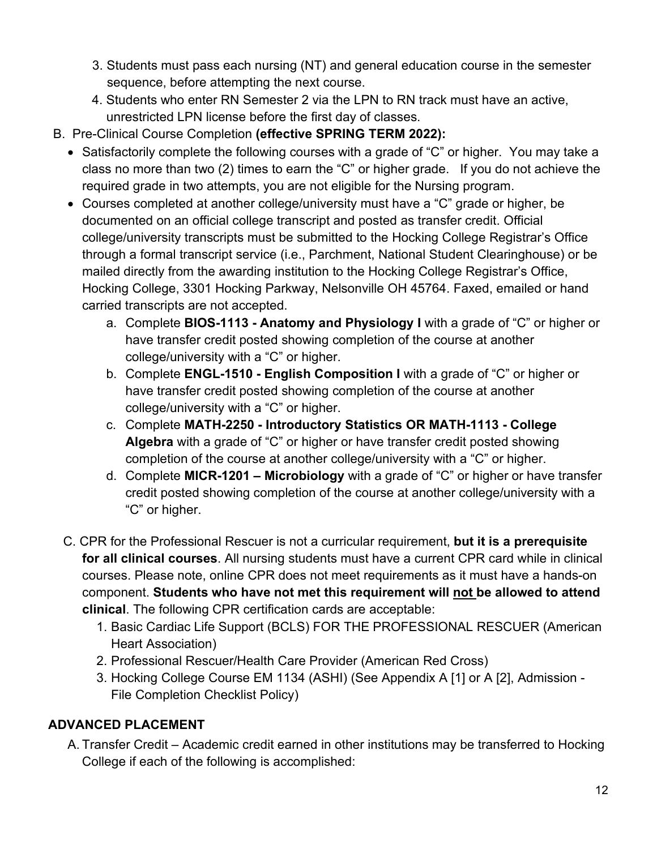- 3. Students must pass each nursing (NT) and general education course in the semester sequence, before attempting the next course.
- 4. Students who enter RN Semester 2 via the LPN to RN track must have an active, unrestricted LPN license before the first day of classes.
- B. Pre-Clinical Course Completion **(effective SPRING TERM 2022):**
	- Satisfactorily complete the following courses with a grade of "C" or higher. You may take a class no more than two (2) times to earn the "C" or higher grade. If you do not achieve the required grade in two attempts, you are not eligible for the Nursing program.
	- Courses completed at another college/university must have a "C" grade or higher, be documented on an official college transcript and posted as transfer credit. Official college/university transcripts must be submitted to the Hocking College Registrar's Office through a formal transcript service (i.e., Parchment, National Student Clearinghouse) or be mailed directly from the awarding institution to the Hocking College Registrar's Office, Hocking College, 3301 Hocking Parkway, Nelsonville OH 45764. Faxed, emailed or hand carried transcripts are not accepted.
		- a. Complete **BIOS-1113 Anatomy and Physiology I** with a grade of "C" or higher or have transfer credit posted showing completion of the course at another college/university with a "C" or higher.
		- b. Complete **ENGL-1510 English Composition I** with a grade of "C" or higher or have transfer credit posted showing completion of the course at another college/university with a "C" or higher.
		- c. Complete **MATH-2250 Introductory Statistics OR MATH-1113 College Algebra** with a grade of "C" or higher or have transfer credit posted showing completion of the course at another college/university with a "C" or higher.
		- d. Complete **MICR-1201 Microbiology** with a grade of "C" or higher or have transfer credit posted showing completion of the course at another college/university with a "C" or higher.
	- C. CPR for the Professional Rescuer is not a curricular requirement, **but it is a prerequisite for all clinical courses**. All nursing students must have a current CPR card while in clinical courses. Please note, online CPR does not meet requirements as it must have a hands-on component. **Students who have not met this requirement will not be allowed to attend clinical**. The following CPR certification cards are acceptable:
		- 1. Basic Cardiac Life Support (BCLS) FOR THE PROFESSIONAL RESCUER (American Heart Association)
		- 2. Professional Rescuer/Health Care Provider (American Red Cross)
		- 3. Hocking College Course EM 1134 (ASHI) (See Appendix A [1] or A [2], Admission File Completion Checklist Policy)

## <span id="page-11-0"></span>**ADVANCED PLACEMENT**

A. Transfer Credit – Academic credit earned in other institutions may be transferred to Hocking College if each of the following is accomplished: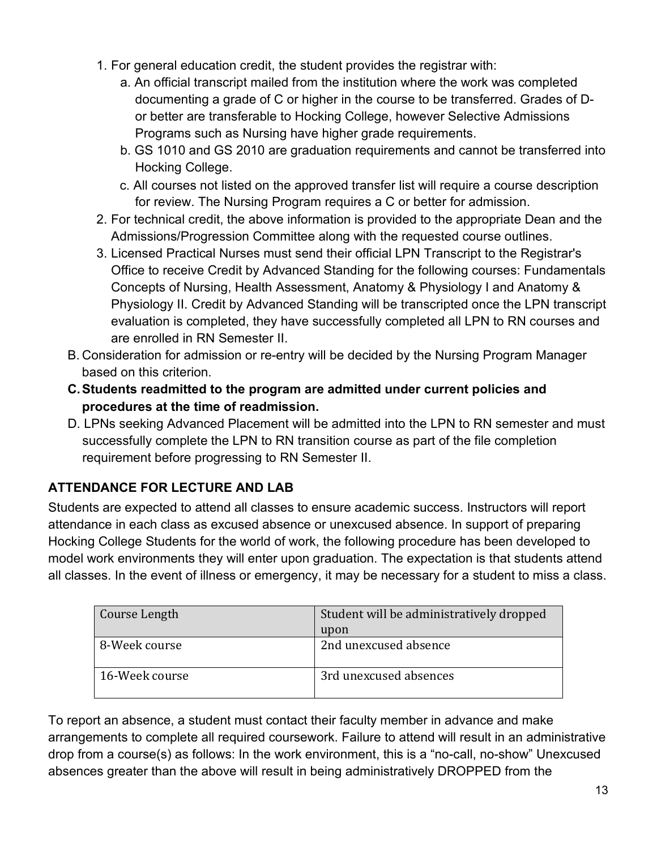- 1. For general education credit, the student provides the registrar with:
	- a. An official transcript mailed from the institution where the work was completed documenting a grade of C or higher in the course to be transferred. Grades of Dor better are transferable to Hocking College, however Selective Admissions Programs such as Nursing have higher grade requirements.
	- b. GS 1010 and GS 2010 are graduation requirements and cannot be transferred into Hocking College.
	- c. All courses not listed on the approved transfer list will require a course description for review. The Nursing Program requires a C or better for admission.
- 2. For technical credit, the above information is provided to the appropriate Dean and the Admissions/Progression Committee along with the requested course outlines.
- 3. Licensed Practical Nurses must send their official LPN Transcript to the Registrar's Office to receive Credit by Advanced Standing for the following courses: Fundamentals Concepts of Nursing, Health Assessment, Anatomy & Physiology I and Anatomy & Physiology II. Credit by Advanced Standing will be transcripted once the LPN transcript evaluation is completed, they have successfully completed all LPN to RN courses and are enrolled in RN Semester II.
- B. Consideration for admission or re-entry will be decided by the Nursing Program Manager based on this criterion.
- **C.Students readmitted to the program are admitted under current policies and procedures at the time of readmission.**
- D. LPNs seeking Advanced Placement will be admitted into the LPN to RN semester and must successfully complete the LPN to RN transition course as part of the file completion requirement before progressing to RN Semester II.

# <span id="page-12-0"></span>**ATTENDANCE FOR LECTURE AND LAB**

Students are expected to attend all classes to ensure academic success. Instructors will report attendance in each class as excused absence or unexcused absence. In support of preparing Hocking College Students for the world of work, the following procedure has been developed to model work environments they will enter upon graduation. The expectation is that students attend all classes. In the event of illness or emergency, it may be necessary for a student to miss a class.

| Course Length  | Student will be administratively dropped |
|----------------|------------------------------------------|
|                | upon                                     |
| B-Week course  | 2nd unexcused absence                    |
| 16-Week course | 3rd unexcused absences                   |

To report an absence, a student must contact their faculty member in advance and make arrangements to complete all required coursework. Failure to attend will result in an administrative drop from a course(s) as follows: In the work environment, this is a "no-call, no-show" Unexcused absences greater than the above will result in being administratively DROPPED from the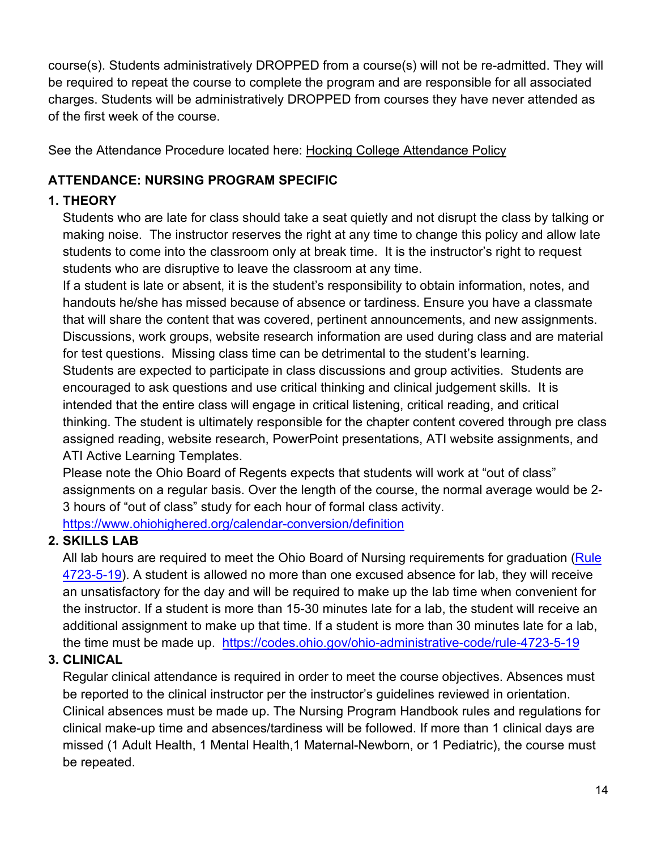course(s). Students administratively DROPPED from a course(s) will not be re-admitted. They will be required to repeat the course to complete the program and are responsible for all associated charges. Students will be administratively DROPPED from courses they have never attended as of the first week of the course.

See the Attendance Procedure located here: [Hocking College Attendance Policy](https://f.hubspotusercontent10.net/hubfs/2446169/Internal%20Docs%20(Website)/College%20Catalog/Hocking%20College%202020-2022v3.pdf)

## <span id="page-13-0"></span>**ATTENDANCE: NURSING PROGRAM SPECIFIC**

## **1. THEORY**

Students who are late for class should take a seat quietly and not disrupt the class by talking or making noise. The instructor reserves the right at any time to change this policy and allow late students to come into the classroom only at break time. It is the instructor's right to request students who are disruptive to leave the classroom at any time.

If a student is late or absent, it is the student's responsibility to obtain information, notes, and handouts he/she has missed because of absence or tardiness. Ensure you have a classmate that will share the content that was covered, pertinent announcements, and new assignments. Discussions, work groups, website research information are used during class and are material for test questions. Missing class time can be detrimental to the student's learning. Students are expected to participate in class discussions and group activities. Students are encouraged to ask questions and use critical thinking and clinical judgement skills. It is intended that the entire class will engage in critical listening, critical reading, and critical thinking. The student is ultimately responsible for the chapter content covered through pre class assigned reading, website research, PowerPoint presentations, ATI website assignments, and ATI Active Learning Templates.

Please note the Ohio Board of Regents expects that students will work at "out of class" assignments on a regular basis. Over the length of the course, the normal average would be 2- 3 hours of "out of class" study for each hour of formal class activity. <https://www.ohiohighered.org/calendar-conversion/definition>

## **2. SKILLS LAB**

All lab hours are required to meet the Ohio Board of Nursing requirements for graduation (Rule [4723-5-19\)](https://codes.ohio.gov/ohio-administrative-code/rule-4723-5-19). A student is allowed no more than one excused absence for lab, they will receive an unsatisfactory for the day and will be required to make up the lab time when convenient for the instructor. If a student is more than 15-30 minutes late for a lab, the student will receive an additional assignment to make up that time. If a student is more than 30 minutes late for a lab, the time must be made up. <https://codes.ohio.gov/ohio-administrative-code/rule-4723-5-19>

# **3. CLINICAL**

Regular clinical attendance is required in order to meet the course objectives. Absences must be reported to the clinical instructor per the instructor's guidelines reviewed in orientation. Clinical absences must be made up. The Nursing Program Handbook rules and regulations for clinical make-up time and absences/tardiness will be followed. If more than 1 clinical days are missed (1 Adult Health, 1 Mental Health,1 Maternal-Newborn, or 1 Pediatric), the course must be repeated.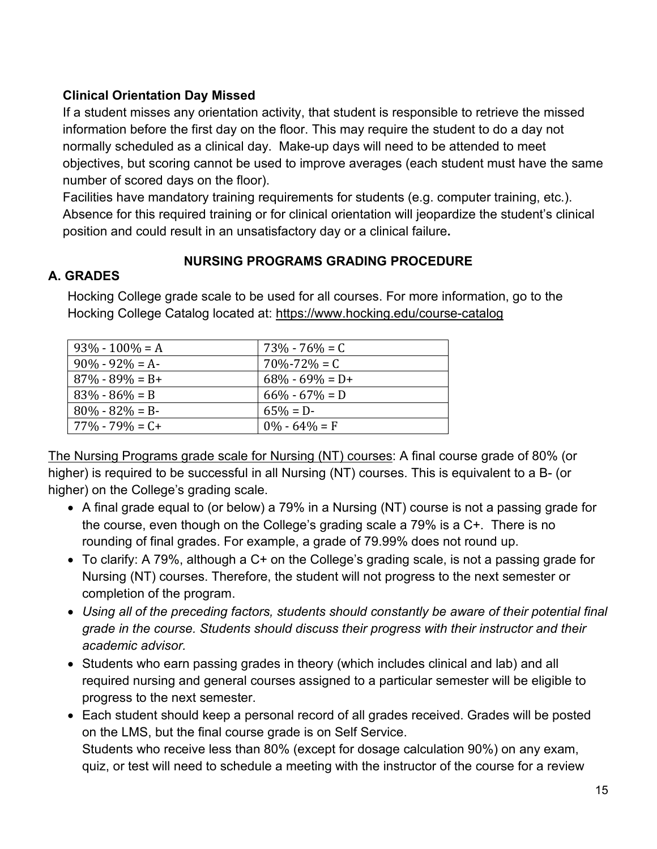#### **Clinical Orientation Day Missed**

If a student misses any orientation activity, that student is responsible to retrieve the missed information before the first day on the floor. This may require the student to do a day not normally scheduled as a clinical day. Make-up days will need to be attended to meet objectives, but scoring cannot be used to improve averages (each student must have the same number of scored days on the floor).

Facilities have mandatory training requirements for students (e.g. computer training, etc.). Absence for this required training or for clinical orientation will jeopardize the student's clinical position and could result in an unsatisfactory day or a clinical failure**.**

#### **NURSING PROGRAMS GRADING PROCEDURE**

#### <span id="page-14-1"></span><span id="page-14-0"></span>**A. GRADES**

| $93\% - 100\% = A$   | $73\% - 76\% = C$   |
|----------------------|---------------------|
| $90\% - 92\% = A$    | $70\% - 72\% = C$   |
| $87\% - 89\% = B+$   | $68\% - 69\% = D +$ |
| $83\% - 86\% = B$    | $66\% - 67\% = D$   |
| $80\% - 82\% = B$    | $65\% = D$          |
| $77\%$ - $79\%$ = C+ | $0\% - 64\% = F$    |

Hocking College grade scale to be used for all courses. For more information, go to the Hocking College Catalog located at:<https://www.hocking.edu/course-catalog>

The Nursing Programs grade scale for Nursing (NT) courses: A final course grade of 80% (or higher) is required to be successful in all Nursing (NT) courses. This is equivalent to a B- (or higher) on the College's grading scale.

- A final grade equal to (or below) a 79% in a Nursing (NT) course is not a passing grade for the course, even though on the College's grading scale a 79% is a C+. There is no rounding of final grades. For example, a grade of 79.99% does not round up.
- To clarify: A 79%, although a C+ on the College's grading scale, is not a passing grade for Nursing (NT) courses. Therefore, the student will not progress to the next semester or completion of the program.
- Using all of the preceding factors, students should constantly be aware of their potential final *grade in the course. Students should discuss their progress with their instructor and their academic advisor.*
- Students who earn passing grades in theory (which includes clinical and lab) and all required nursing and general courses assigned to a particular semester will be eligible to progress to the next semester.
- Each student should keep a personal record of all grades received. Grades will be posted on the LMS, but the final course grade is on Self Service. Students who receive less than 80% (except for dosage calculation 90%) on any exam, quiz, or test will need to schedule a meeting with the instructor of the course for a review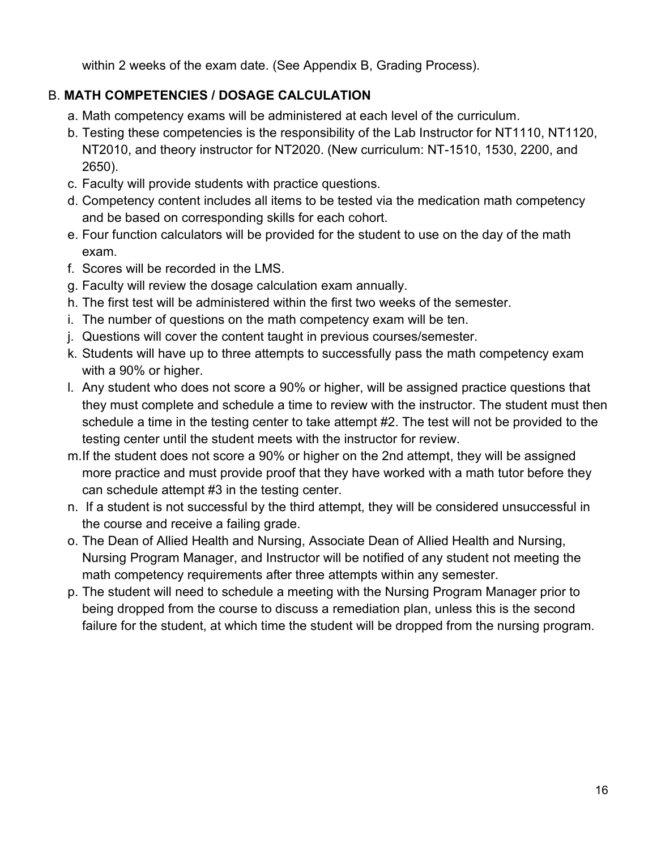within 2 weeks of the exam date. (See Appendix B, Grading Process).

## <span id="page-15-0"></span>B. **MATH COMPETENCIES / DOSAGE CALCULATION**

- a. Math competency exams will be administered at each level of the curriculum.
- b. Testing these competencies is the responsibility of the Lab Instructor for NT1110, NT1120, NT2010, and theory instructor for NT2020. (New curriculum: NT-1510, 1530, 2200, and 2650).
- c. Faculty will provide students with practice questions.
- d. Competency content includes all items to be tested via the medication math competency and be based on corresponding skills for each cohort.
- e. Four function calculators will be provided for the student to use on the day of the math exam.
- f. Scores will be recorded in the LMS.
- g. Faculty will review the dosage calculation exam annually.
- h. The first test will be administered within the first two weeks of the semester.
- i. The number of questions on the math competency exam will be ten.
- j. Questions will cover the content taught in previous courses/semester.
- k. Students will have up to three attempts to successfully pass the math competency exam with a 90% or higher.
- l. Any student who does not score a 90% or higher, will be assigned practice questions that they must complete and schedule a time to review with the instructor. The student must then schedule a time in the testing center to take attempt #2. The test will not be provided to the testing center until the student meets with the instructor for review.
- m.If the student does not score a 90% or higher on the 2nd attempt, they will be assigned more practice and must provide proof that they have worked with a math tutor before they can schedule attempt #3 in the testing center.
- n. If a student is not successful by the third attempt, they will be considered unsuccessful in the course and receive a failing grade.
- o. The Dean of Allied Health and Nursing, Associate Dean of Allied Health and Nursing, Nursing Program Manager, and Instructor will be notified of any student not meeting the math competency requirements after three attempts within any semester.
- p. The student will need to schedule a meeting with the Nursing Program Manager prior to being dropped from the course to discuss a remediation plan, unless this is the second failure for the student, at which time the student will be dropped from the nursing program.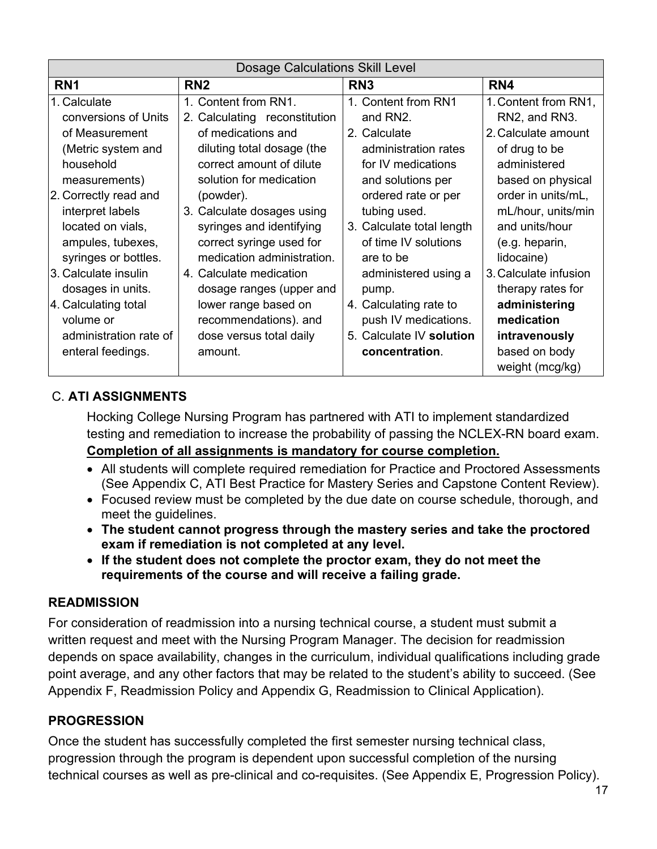| <b>Dosage Calculations Skill Level</b> |                               |                           |                       |
|----------------------------------------|-------------------------------|---------------------------|-----------------------|
| RN <sub>1</sub>                        | RN <sub>2</sub>               | RN <sub>3</sub>           | RN4                   |
| 1. Calculate                           | 1. Content from RN1.          | 1. Content from RN1       | 1. Content from RN1,  |
| conversions of Units                   | 2. Calculating reconstitution | and RN2.                  | RN2, and RN3.         |
| of Measurement                         | of medications and            | 2. Calculate              | 2. Calculate amount   |
| (Metric system and                     | diluting total dosage (the    | administration rates      | of drug to be         |
| household                              | correct amount of dilute      | for IV medications        | administered          |
| measurements)                          | solution for medication       | and solutions per         | based on physical     |
| 2. Correctly read and                  | (powder).                     | ordered rate or per       | order in units/mL,    |
| interpret labels                       | 3. Calculate dosages using    | tubing used.              | mL/hour, units/min    |
| located on vials,                      | syringes and identifying      | 3. Calculate total length | and units/hour        |
| ampules, tubexes,                      | correct syringe used for      | of time IV solutions      | (e.g. heparin,        |
| syringes or bottles.                   | medication administration.    | are to be                 | lidocaine)            |
| 3. Calculate insulin                   | 4. Calculate medication       | administered using a      | 3. Calculate infusion |
| dosages in units.                      | dosage ranges (upper and      | pump.                     | therapy rates for     |
| 4. Calculating total                   | lower range based on          | 4. Calculating rate to    | administering         |
| volume or                              | recommendations). and         | push IV medications.      | medication            |
| administration rate of                 | dose versus total daily       | 5. Calculate IV solution  | intravenously         |
| enteral feedings.                      | amount.                       | concentration.            | based on body         |
|                                        |                               |                           | weight (mcg/kg)       |

## <span id="page-16-0"></span>C. **ATI ASSIGNMENTS**

Hocking College Nursing Program has partnered with ATI to implement standardized testing and remediation to increase the probability of passing the NCLEX-RN board exam. **Completion of all assignments is mandatory for course completion.**

- All students will complete required remediation for Practice and Proctored Assessments (See Appendix C, ATI Best Practice for Mastery Series and Capstone Content Review).
- Focused review must be completed by the due date on course schedule, thorough, and meet the quidelines.
- **The student cannot progress through the mastery series and take the proctored exam if remediation is not completed at any level.**
- **If the student does not complete the proctor exam, they do not meet the requirements of the course and will receive a failing grade.**

#### <span id="page-16-1"></span>**READMISSION**

For consideration of readmission into a nursing technical course, a student must submit a written request and meet with the Nursing Program Manager. The decision for readmission depends on space availability, changes in the curriculum, individual qualifications including grade point average, and any other factors that may be related to the student's ability to succeed. (See Appendix F, Readmission Policy and Appendix G, Readmission to Clinical Application).

## <span id="page-16-2"></span>**PROGRESSION**

Once the student has successfully completed the first semester nursing technical class, progression through the program is dependent upon successful completion of the nursing technical courses as well as pre-clinical and co-requisites. (See Appendix E, Progression Policy).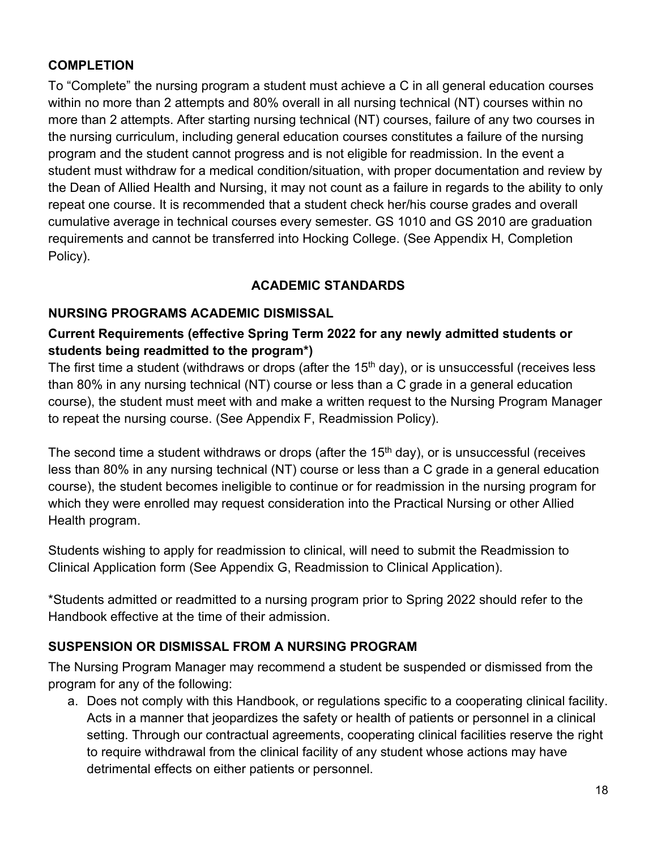#### <span id="page-17-0"></span>**COMPLETION**

To "Complete" the nursing program a student must achieve a C in all general education courses within no more than 2 attempts and 80% overall in all nursing technical (NT) courses within no more than 2 attempts. After starting nursing technical (NT) courses, failure of any two courses in the nursing curriculum, including general education courses constitutes a failure of the nursing program and the student cannot progress and is not eligible for readmission. In the event a student must withdraw for a medical condition/situation, with proper documentation and review by the Dean of Allied Health and Nursing, it may not count as a failure in regards to the ability to only repeat one course. It is recommended that a student check her/his course grades and overall cumulative average in technical courses every semester. GS 1010 and GS 2010 are graduation requirements and cannot be transferred into Hocking College. (See Appendix H, Completion Policy).

#### **ACADEMIC STANDARDS**

#### <span id="page-17-2"></span><span id="page-17-1"></span>**NURSING PROGRAMS ACADEMIC DISMISSAL**

#### **Current Requirements (effective Spring Term 2022 for any newly admitted students or students being readmitted to the program\*)**

The first time a student (withdraws or drops (after the  $15<sup>th</sup>$  day), or is unsuccessful (receives less than 80% in any nursing technical (NT) course or less than a C grade in a general education course), the student must meet with and make a written request to the Nursing Program Manager to repeat the nursing course. (See Appendix F, Readmission Policy).

The second time a student withdraws or drops (after the  $15<sup>th</sup>$  day), or is unsuccessful (receives less than 80% in any nursing technical (NT) course or less than a C grade in a general education course), the student becomes ineligible to continue or for readmission in the nursing program for which they were enrolled may request consideration into the Practical Nursing or other Allied Health program.

Students wishing to apply for readmission to clinical, will need to submit the Readmission to Clinical Application form (See Appendix G, Readmission to Clinical Application).

\*Students admitted or readmitted to a nursing program prior to Spring 2022 should refer to the Handbook effective at the time of their admission.

#### <span id="page-17-3"></span>**SUSPENSION OR DISMISSAL FROM A NURSING PROGRAM**

The Nursing Program Manager may recommend a student be suspended or dismissed from the program for any of the following:

a. Does not comply with this Handbook, or regulations specific to a cooperating clinical facility. Acts in a manner that jeopardizes the safety or health of patients or personnel in a clinical setting. Through our contractual agreements, cooperating clinical facilities reserve the right to require withdrawal from the clinical facility of any student whose actions may have detrimental effects on either patients or personnel.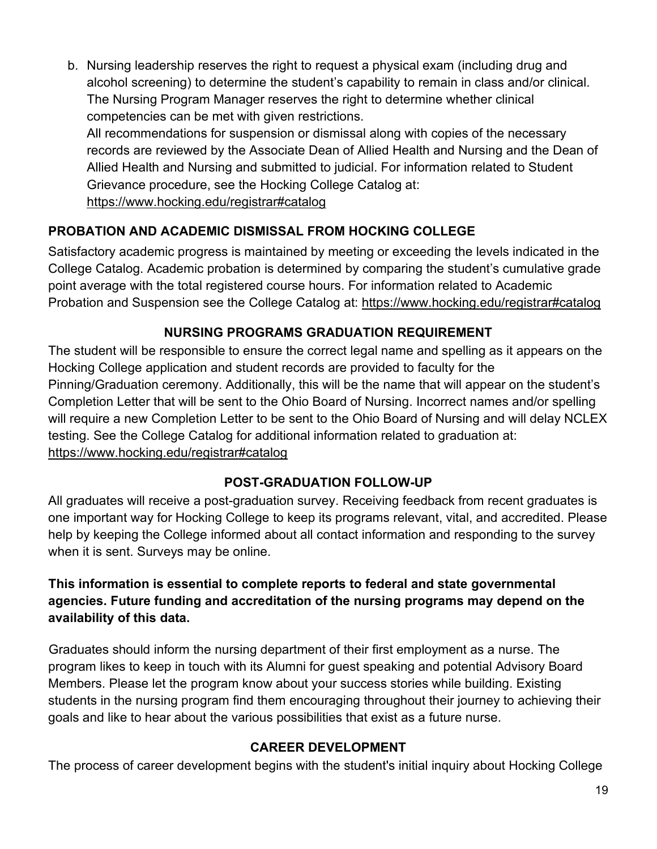b. Nursing leadership reserves the right to request a physical exam (including drug and alcohol screening) to determine the student's capability to remain in class and/or clinical. The Nursing Program Manager reserves the right to determine whether clinical competencies can be met with given restrictions.

All recommendations for suspension or dismissal along with copies of the necessary records are reviewed by the Associate Dean of Allied Health and Nursing and the Dean of Allied Health and Nursing and submitted to judicial. For information related to Student Grievance procedure, see the Hocking College Catalog at: <https://www.hocking.edu/registrar#catalog>

## <span id="page-18-0"></span>**PROBATION AND ACADEMIC DISMISSAL FROM HOCKING COLLEGE**

Satisfactory academic progress is maintained by meeting or exceeding the levels indicated in the College Catalog. Academic probation is determined by comparing the student's cumulative grade point average with the total registered course hours. For information related to Academic Probation and Suspension see the College Catalog at: <https://www.hocking.edu/registrar#catalog>

## **NURSING PROGRAMS GRADUATION REQUIREMENT**

<span id="page-18-1"></span>The student will be responsible to ensure the correct legal name and spelling as it appears on the Hocking College application and student records are provided to faculty for the Pinning/Graduation ceremony. Additionally, this will be the name that will appear on the student's Completion Letter that will be sent to the Ohio Board of Nursing. Incorrect names and/or spelling will require a new Completion Letter to be sent to the Ohio Board of Nursing and will delay NCLEX testing. See the College Catalog for additional information related to graduation at: <https://www.hocking.edu/registrar#catalog>

#### **POST-GRADUATION FOLLOW-UP**

<span id="page-18-2"></span>All graduates will receive a post-graduation survey. Receiving feedback from recent graduates is one important way for Hocking College to keep its programs relevant, vital, and accredited. Please help by keeping the College informed about all contact information and responding to the survey when it is sent. Surveys may be online.

## **This information is essential to complete reports to federal and state governmental agencies. Future funding and accreditation of the nursing programs may depend on the availability of this data.**

Graduates should inform the nursing department of their first employment as a nurse. The program likes to keep in touch with its Alumni for guest speaking and potential Advisory Board Members. Please let the program know about your success stories while building. Existing students in the nursing program find them encouraging throughout their journey to achieving their goals and like to hear about the various possibilities that exist as a future nurse.

#### **CAREER DEVELOPMENT**

<span id="page-18-3"></span>The process of career development begins with the student's initial inquiry about Hocking College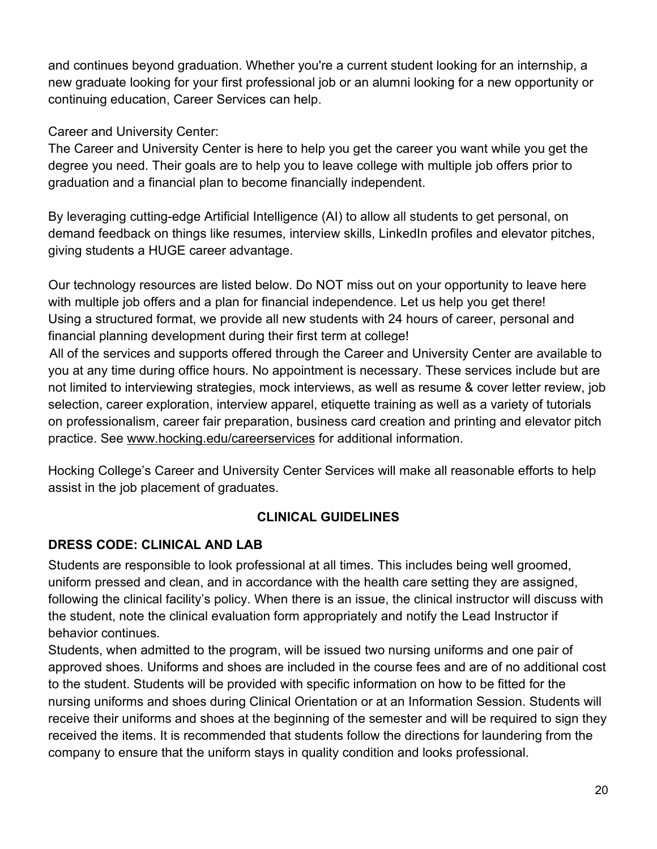and continues beyond graduation. Whether you're a current student looking for an internship, a new graduate looking for your first professional job or an alumni looking for a new opportunity or continuing education, Career Services can help.

Career and University Center:

The Career and University Center is here to help you get the career you want while you get the degree you need. Their goals are to help you to leave college with multiple job offers prior to graduation and a financial plan to become financially independent.

By leveraging cutting-edge Artificial Intelligence (AI) to allow all students to get personal, on demand feedback on things like resumes, interview skills, LinkedIn profiles and elevator pitches, giving students a HUGE career advantage.

Our technology resources are listed below. Do NOT miss out on your opportunity to leave here with multiple job offers and a plan for financial independence. Let us help you get there! Using a structured format, we provide all new students with 24 hours of career, personal and financial planning development during their first term at college!

All of the services and supports offered through the Career and University Center are available to you at any time during office hours. No appointment is necessary. These services include but are not limited to interviewing strategies, mock interviews, as well as resume & cover letter review, job selection, career exploration, interview apparel, etiquette training as well as a variety of tutorials on professionalism, career fair preparation, business card creation and printing and elevator pitch practice. See www.hocking.edu/careerservices for additional information.

<span id="page-19-0"></span>Hocking College's Career and University Center Services will make all reasonable efforts to help assist in the job placement of graduates.

# **CLINICAL GUIDELINES**

## <span id="page-19-1"></span>**DRESS CODE: CLINICAL AND LAB**

Students are responsible to look professional at all times. This includes being well groomed, uniform pressed and clean, and in accordance with the health care setting they are assigned, following the clinical facility's policy. When there is an issue, the clinical instructor will discuss with the student, note the clinical evaluation form appropriately and notify the Lead Instructor if behavior continues.

Students, when admitted to the program, will be issued two nursing uniforms and one pair of approved shoes. Uniforms and shoes are included in the course fees and are of no additional cost to the student. Students will be provided with specific information on how to be fitted for the nursing uniforms and shoes during Clinical Orientation or at an Information Session. Students will receive their uniforms and shoes at the beginning of the semester and will be required to sign they received the items. It is recommended that students follow the directions for laundering from the company to ensure that the uniform stays in quality condition and looks professional.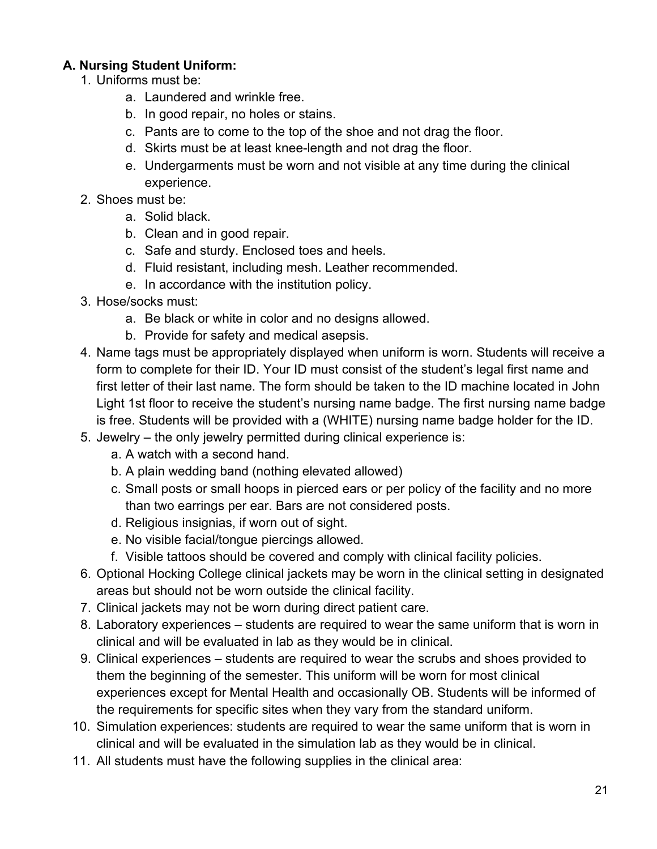### **A. Nursing Student Uniform:**

- 1. Uniforms must be:
	- a. Laundered and wrinkle free.
	- b. In good repair, no holes or stains.
	- c. Pants are to come to the top of the shoe and not drag the floor.
	- d. Skirts must be at least knee-length and not drag the floor.
	- e. Undergarments must be worn and not visible at any time during the clinical experience.
- 2. Shoes must be:
	- a. Solid black.
	- b. Clean and in good repair.
	- c. Safe and sturdy. Enclosed toes and heels.
	- d. Fluid resistant, including mesh. Leather recommended.
	- e. In accordance with the institution policy.
- 3. Hose/socks must:
	- a. Be black or white in color and no designs allowed.
	- b. Provide for safety and medical asepsis.
- 4. Name tags must be appropriately displayed when uniform is worn. Students will receive a form to complete for their ID. Your ID must consist of the student's legal first name and first letter of their last name. The form should be taken to the ID machine located in John Light 1st floor to receive the student's nursing name badge. The first nursing name badge is free. Students will be provided with a (WHITE) nursing name badge holder for the ID.
- 5. Jewelry the only jewelry permitted during clinical experience is:
	- a. A watch with a second hand.
	- b. A plain wedding band (nothing elevated allowed)
	- c. Small posts or small hoops in pierced ears or per policy of the facility and no more than two earrings per ear. Bars are not considered posts.
	- d. Religious insignias, if worn out of sight.
	- e. No visible facial/tongue piercings allowed.
	- f. Visible tattoos should be covered and comply with clinical facility policies.
- 6. Optional Hocking College clinical jackets may be worn in the clinical setting in designated areas but should not be worn outside the clinical facility.
- 7. Clinical jackets may not be worn during direct patient care.
- 8. Laboratory experiences students are required to wear the same uniform that is worn in clinical and will be evaluated in lab as they would be in clinical.
- 9. Clinical experiences students are required to wear the scrubs and shoes provided to them the beginning of the semester. This uniform will be worn for most clinical experiences except for Mental Health and occasionally OB. Students will be informed of the requirements for specific sites when they vary from the standard uniform.
- 10. Simulation experiences: students are required to wear the same uniform that is worn in clinical and will be evaluated in the simulation lab as they would be in clinical.
- 11. All students must have the following supplies in the clinical area: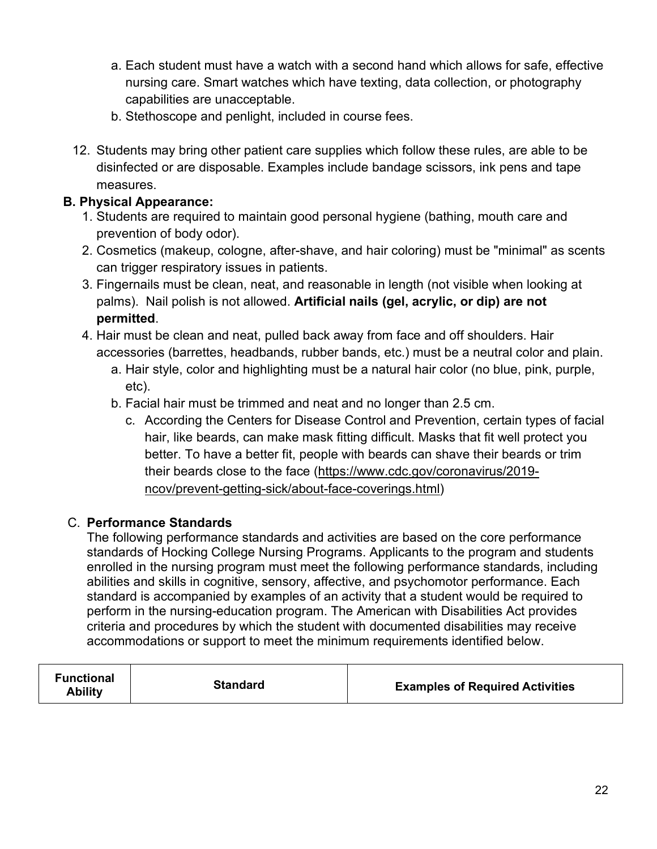- a. Each student must have a watch with a second hand which allows for safe, effective nursing care. Smart watches which have texting, data collection, or photography capabilities are unacceptable.
- b. Stethoscope and penlight, included in course fees.
- 12. Students may bring other patient care supplies which follow these rules, are able to be disinfected or are disposable. Examples include bandage scissors, ink pens and tape measures.

#### **B. Physical Appearance:**

- 1. Students are required to maintain good personal hygiene (bathing, mouth care and prevention of body odor).
- 2. Cosmetics (makeup, cologne, after-shave, and hair coloring) must be "minimal" as scents can trigger respiratory issues in patients.
- 3. Fingernails must be clean, neat, and reasonable in length (not visible when looking at palms). Nail polish is not allowed. **Artificial nails (gel, acrylic, or dip) are not permitted**.
- 4. Hair must be clean and neat, pulled back away from face and off shoulders. Hair accessories (barrettes, headbands, rubber bands, etc.) must be a neutral color and plain.
	- a. Hair style, color and highlighting must be a natural hair color (no blue, pink, purple, etc).
	- b. Facial hair must be trimmed and neat and no longer than 2.5 cm.
		- c. According the Centers for Disease Control and Prevention, certain types of facial hair, like beards, can make mask fitting difficult. Masks that fit well protect you better. To have a better fit, people with beards can shave their beards or trim their beards close to the face [\(https://www.cdc.gov/coronavirus/2019](https://www.cdc.gov/coronavirus/2019-ncov/prevent-getting-sick/about-face-coverings.html) [ncov/prevent-getting-sick/about-face-coverings.html\)](https://www.cdc.gov/coronavirus/2019-ncov/prevent-getting-sick/about-face-coverings.html)

#### C. **Performance Standards**

The following performance standards and activities are based on the core performance standards of Hocking College Nursing Programs. Applicants to the program and students enrolled in the nursing program must meet the following performance standards, including abilities and skills in cognitive, sensory, affective, and psychomotor performance. Each standard is accompanied by examples of an activity that a student would be required to perform in the nursing-education program. The American with Disabilities Act provides criteria and procedures by which the student with documented disabilities may receive accommodations or support to meet the minimum requirements identified below.

| <b>Functional</b><br><b>Ability</b> | <b>Standard</b> | <b>Examples of Required Activities</b> |
|-------------------------------------|-----------------|----------------------------------------|
|-------------------------------------|-----------------|----------------------------------------|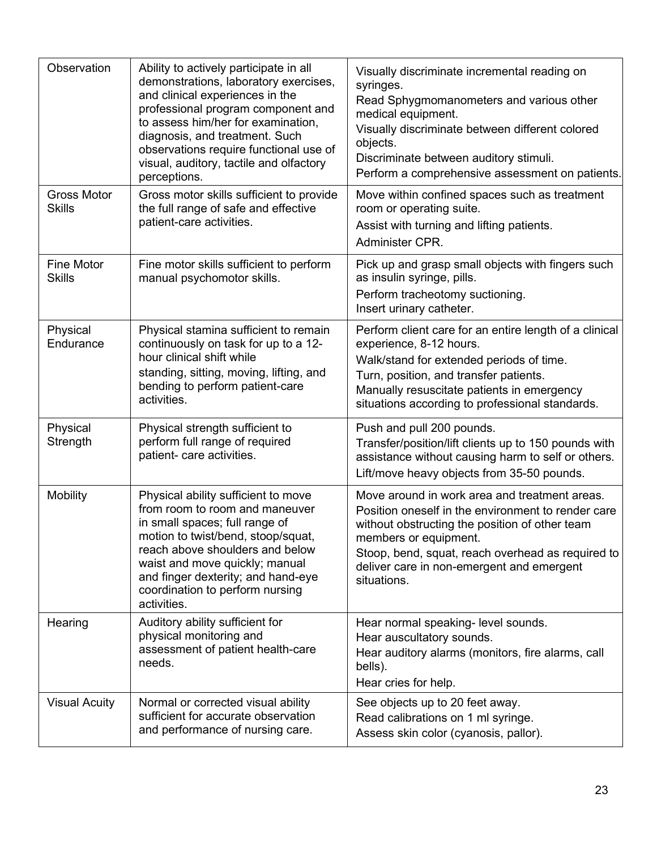| Observation                         | Ability to actively participate in all<br>demonstrations, laboratory exercises,<br>and clinical experiences in the<br>professional program component and<br>to assess him/her for examination,<br>diagnosis, and treatment. Such<br>observations require functional use of<br>visual, auditory, tactile and olfactory<br>perceptions. | Visually discriminate incremental reading on<br>syringes.<br>Read Sphygmomanometers and various other<br>medical equipment.<br>Visually discriminate between different colored<br>objects.<br>Discriminate between auditory stimuli.<br>Perform a comprehensive assessment on patients.         |
|-------------------------------------|---------------------------------------------------------------------------------------------------------------------------------------------------------------------------------------------------------------------------------------------------------------------------------------------------------------------------------------|-------------------------------------------------------------------------------------------------------------------------------------------------------------------------------------------------------------------------------------------------------------------------------------------------|
| <b>Gross Motor</b><br><b>Skills</b> | Gross motor skills sufficient to provide<br>the full range of safe and effective<br>patient-care activities.                                                                                                                                                                                                                          | Move within confined spaces such as treatment<br>room or operating suite.<br>Assist with turning and lifting patients.<br>Administer CPR.                                                                                                                                                       |
| Fine Motor<br><b>Skills</b>         | Fine motor skills sufficient to perform<br>manual psychomotor skills.                                                                                                                                                                                                                                                                 | Pick up and grasp small objects with fingers such<br>as insulin syringe, pills.<br>Perform tracheotomy suctioning.<br>Insert urinary catheter.                                                                                                                                                  |
| Physical<br>Endurance               | Physical stamina sufficient to remain<br>continuously on task for up to a 12-<br>hour clinical shift while<br>standing, sitting, moving, lifting, and<br>bending to perform patient-care<br>activities.                                                                                                                               | Perform client care for an entire length of a clinical<br>experience, 8-12 hours.<br>Walk/stand for extended periods of time.<br>Turn, position, and transfer patients.<br>Manually resuscitate patients in emergency<br>situations according to professional standards.                        |
| Physical<br>Strength                | Physical strength sufficient to<br>perform full range of required<br>patient- care activities.                                                                                                                                                                                                                                        | Push and pull 200 pounds.<br>Transfer/position/lift clients up to 150 pounds with<br>assistance without causing harm to self or others.<br>Lift/move heavy objects from 35-50 pounds.                                                                                                           |
| Mobility                            | Physical ability sufficient to move<br>from room to room and maneuver<br>in small spaces; full range of<br>motion to twist/bend, stoop/squat,<br>reach above shoulders and below<br>waist and move quickly; manual<br>and finger dexterity; and hand-eye<br>coordination to perform nursing<br>activities.                            | Move around in work area and treatment areas.<br>Position oneself in the environment to render care<br>without obstructing the position of other team<br>members or equipment.<br>Stoop, bend, squat, reach overhead as required to<br>deliver care in non-emergent and emergent<br>situations. |
| Hearing                             | Auditory ability sufficient for<br>physical monitoring and<br>assessment of patient health-care<br>needs.                                                                                                                                                                                                                             | Hear normal speaking- level sounds.<br>Hear auscultatory sounds.<br>Hear auditory alarms (monitors, fire alarms, call<br>bells).<br>Hear cries for help.                                                                                                                                        |
| <b>Visual Acuity</b>                | Normal or corrected visual ability<br>sufficient for accurate observation<br>and performance of nursing care.                                                                                                                                                                                                                         | See objects up to 20 feet away.<br>Read calibrations on 1 ml syringe.<br>Assess skin color (cyanosis, pallor).                                                                                                                                                                                  |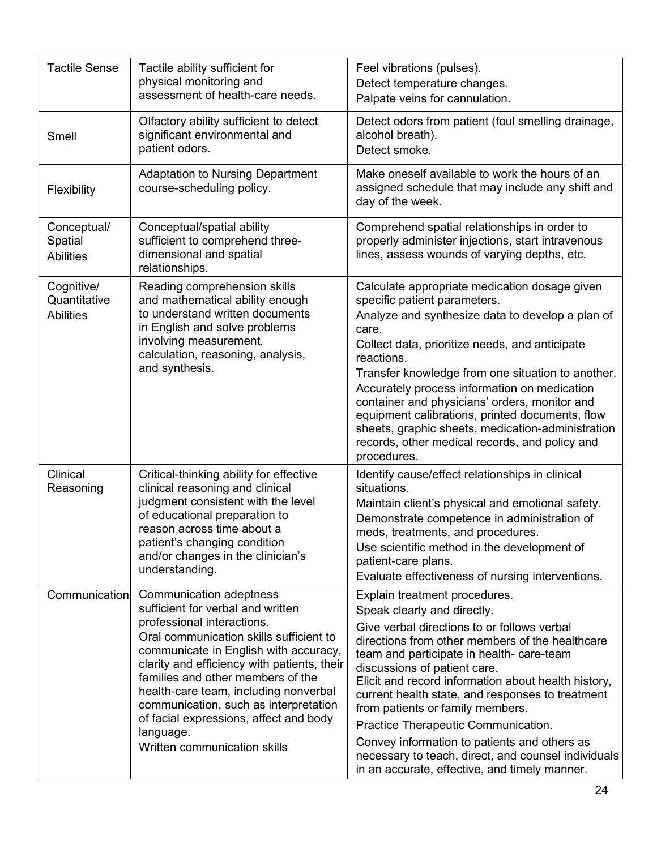| <b>Tactile Sense</b>                           | Tactile ability sufficient for<br>physical monitoring and<br>assessment of health-care needs.                                                                                                                                                                                                                                                                                                                                               | Feel vibrations (pulses).<br>Detect temperature changes.<br>Palpate veins for cannulation.                                                                                                                                                                                                                                                                                                                                                                                                                                                                                                |
|------------------------------------------------|---------------------------------------------------------------------------------------------------------------------------------------------------------------------------------------------------------------------------------------------------------------------------------------------------------------------------------------------------------------------------------------------------------------------------------------------|-------------------------------------------------------------------------------------------------------------------------------------------------------------------------------------------------------------------------------------------------------------------------------------------------------------------------------------------------------------------------------------------------------------------------------------------------------------------------------------------------------------------------------------------------------------------------------------------|
| Smell                                          | Olfactory ability sufficient to detect<br>significant environmental and<br>patient odors.                                                                                                                                                                                                                                                                                                                                                   | Detect odors from patient (foul smelling drainage,<br>alcohol breath).<br>Detect smoke.                                                                                                                                                                                                                                                                                                                                                                                                                                                                                                   |
| Flexibility                                    | <b>Adaptation to Nursing Department</b><br>course-scheduling policy.                                                                                                                                                                                                                                                                                                                                                                        | Make oneself available to work the hours of an<br>assigned schedule that may include any shift and<br>day of the week.                                                                                                                                                                                                                                                                                                                                                                                                                                                                    |
| Conceptual/<br>Spatial<br><b>Abilities</b>     | Conceptual/spatial ability<br>sufficient to comprehend three-<br>dimensional and spatial<br>relationships.                                                                                                                                                                                                                                                                                                                                  | Comprehend spatial relationships in order to<br>properly administer injections, start intravenous<br>lines, assess wounds of varying depths, etc.                                                                                                                                                                                                                                                                                                                                                                                                                                         |
| Cognitive/<br>Quantitative<br><b>Abilities</b> | Reading comprehension skills<br>and mathematical ability enough<br>to understand written documents<br>in English and solve problems<br>involving measurement,<br>calculation, reasoning, analysis,<br>and synthesis.                                                                                                                                                                                                                        | Calculate appropriate medication dosage given<br>specific patient parameters.<br>Analyze and synthesize data to develop a plan of<br>care.<br>Collect data, prioritize needs, and anticipate<br>reactions.<br>Transfer knowledge from one situation to another.<br>Accurately process information on medication<br>container and physicians' orders, monitor and<br>equipment calibrations, printed documents, flow<br>sheets, graphic sheets, medication-administration<br>records, other medical records, and policy and<br>procedures.                                                 |
| Clinical<br>Reasoning                          | Critical-thinking ability for effective<br>clinical reasoning and clinical<br>judgment consistent with the level<br>of educational preparation to<br>reason across time about a<br>patient's changing condition<br>and/or changes in the clinician's<br>understanding.                                                                                                                                                                      | Identify cause/effect relationships in clinical<br>situations.<br>Maintain client's physical and emotional safety.<br>Demonstrate competence in administration of<br>meds, treatments, and procedures.<br>Use scientific method in the development of<br>patient-care plans.<br>Evaluate effectiveness of nursing interventions.                                                                                                                                                                                                                                                          |
| Communication                                  | Communication adeptness<br>sufficient for verbal and written<br>professional interactions.<br>Oral communication skills sufficient to<br>communicate in English with accuracy,<br>clarity and efficiency with patients, their<br>families and other members of the<br>health-care team, including nonverbal<br>communication, such as interpretation<br>of facial expressions, affect and body<br>language.<br>Written communication skills | Explain treatment procedures.<br>Speak clearly and directly.<br>Give verbal directions to or follows verbal<br>directions from other members of the healthcare<br>team and participate in health- care-team<br>discussions of patient care.<br>Elicit and record information about health history,<br>current health state, and responses to treatment<br>from patients or family members.<br>Practice Therapeutic Communication.<br>Convey information to patients and others as<br>necessary to teach, direct, and counsel individuals<br>in an accurate, effective, and timely manner. |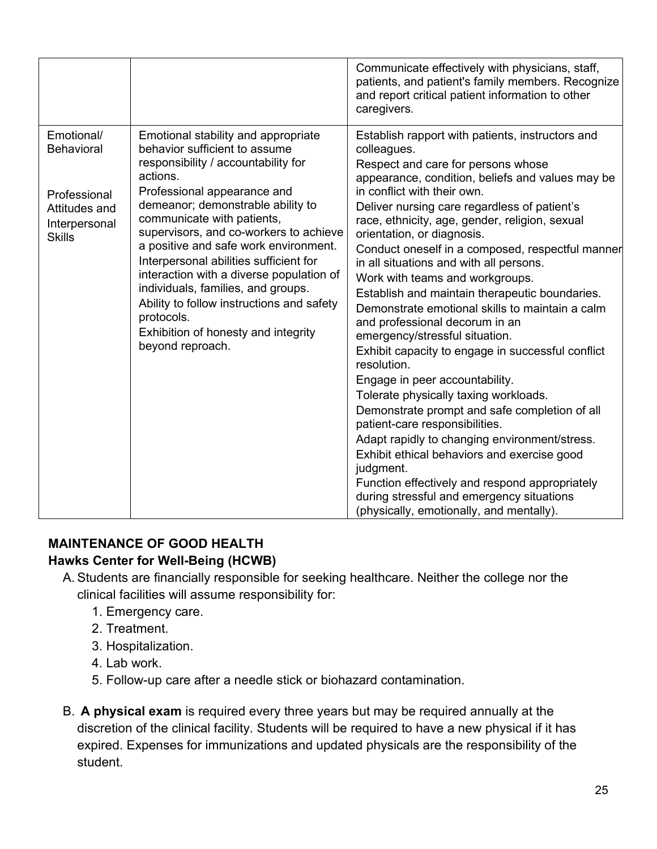|                                                                                                    |                                                                                                                                                                                                                                                                                                                                                                                                                                                                                                                                                                | Communicate effectively with physicians, staff,<br>patients, and patient's family members. Recognize<br>and report critical patient information to other<br>caregivers.                                                                                                                                                                                                                                                                                                                                                                                                                                                                                                                                                                                                                                                                                                                                                                                                                                                                                                                                                       |
|----------------------------------------------------------------------------------------------------|----------------------------------------------------------------------------------------------------------------------------------------------------------------------------------------------------------------------------------------------------------------------------------------------------------------------------------------------------------------------------------------------------------------------------------------------------------------------------------------------------------------------------------------------------------------|-------------------------------------------------------------------------------------------------------------------------------------------------------------------------------------------------------------------------------------------------------------------------------------------------------------------------------------------------------------------------------------------------------------------------------------------------------------------------------------------------------------------------------------------------------------------------------------------------------------------------------------------------------------------------------------------------------------------------------------------------------------------------------------------------------------------------------------------------------------------------------------------------------------------------------------------------------------------------------------------------------------------------------------------------------------------------------------------------------------------------------|
| Emotional/<br><b>Behavioral</b><br>Professional<br>Attitudes and<br>Interpersonal<br><b>Skills</b> | Emotional stability and appropriate<br>behavior sufficient to assume<br>responsibility / accountability for<br>actions.<br>Professional appearance and<br>demeanor; demonstrable ability to<br>communicate with patients,<br>supervisors, and co-workers to achieve<br>a positive and safe work environment.<br>Interpersonal abilities sufficient for<br>interaction with a diverse population of<br>individuals, families, and groups.<br>Ability to follow instructions and safety<br>protocols.<br>Exhibition of honesty and integrity<br>beyond reproach. | Establish rapport with patients, instructors and<br>colleagues.<br>Respect and care for persons whose<br>appearance, condition, beliefs and values may be<br>in conflict with their own.<br>Deliver nursing care regardless of patient's<br>race, ethnicity, age, gender, religion, sexual<br>orientation, or diagnosis.<br>Conduct oneself in a composed, respectful manner<br>in all situations and with all persons.<br>Work with teams and workgroups.<br>Establish and maintain therapeutic boundaries.<br>Demonstrate emotional skills to maintain a calm<br>and professional decorum in an<br>emergency/stressful situation.<br>Exhibit capacity to engage in successful conflict<br>resolution.<br>Engage in peer accountability.<br>Tolerate physically taxing workloads.<br>Demonstrate prompt and safe completion of all<br>patient-care responsibilities.<br>Adapt rapidly to changing environment/stress.<br>Exhibit ethical behaviors and exercise good<br>judgment.<br>Function effectively and respond appropriately<br>during stressful and emergency situations<br>(physically, emotionally, and mentally). |

#### <span id="page-24-0"></span>**MAINTENANCE OF GOOD HEALTH Hawks Center for Well-Being (HCWB)**

- A. Students are financially responsible for seeking healthcare. Neither the college nor the clinical facilities will assume responsibility for:
	- 1. Emergency care.
	- 2. Treatment.
	- 3. Hospitalization.
	- 4. Lab work.
	- 5. Follow-up care after a needle stick or biohazard contamination.
- B. **A physical exam** is required every three years but may be required annually at the discretion of the clinical facility. Students will be required to have a new physical if it has expired. Expenses for immunizations and updated physicals are the responsibility of the student.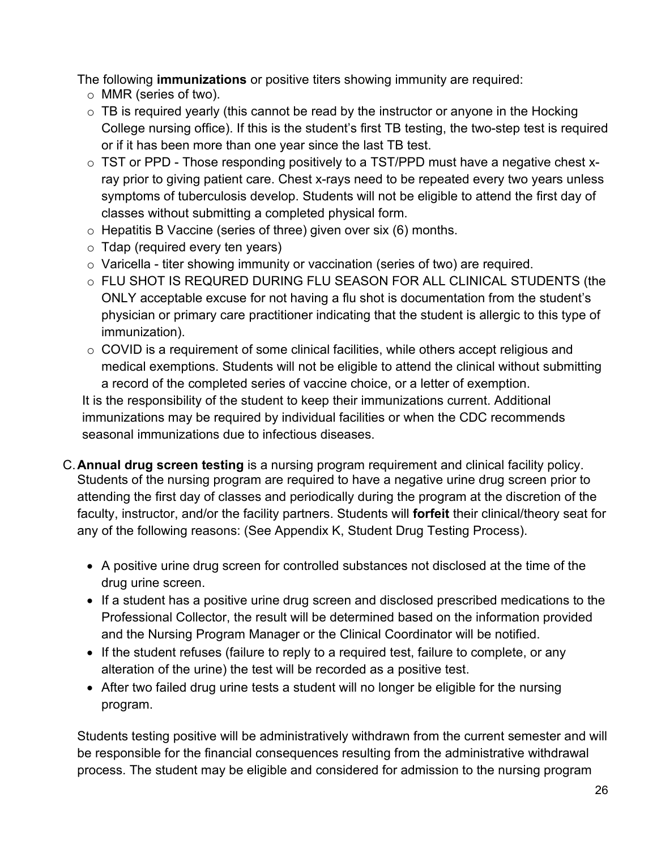The following **immunizations** or positive titers showing immunity are required:

- o MMR (series of two).
- $\circ$  TB is required yearly (this cannot be read by the instructor or anyone in the Hocking College nursing office). If this is the student's first TB testing, the two-step test is required or if it has been more than one year since the last TB test.
- $\circ$  TST or PPD Those responding positively to a TST/PPD must have a negative chest xray prior to giving patient care. Chest x-rays need to be repeated every two years unless symptoms of tuberculosis develop. Students will not be eligible to attend the first day of classes without submitting a completed physical form.
- $\circ$  Hepatitis B Vaccine (series of three) given over six (6) months.
- $\circ$  Tdap (required every ten years)
- $\circ$  Varicella titer showing immunity or vaccination (series of two) are required.
- o FLU SHOT IS REQURED DURING FLU SEASON FOR ALL CLINICAL STUDENTS (the ONLY acceptable excuse for not having a flu shot is documentation from the student's physician or primary care practitioner indicating that the student is allergic to this type of immunization).
- o COVID is a requirement of some clinical facilities, while others accept religious and medical exemptions. Students will not be eligible to attend the clinical without submitting a record of the completed series of vaccine choice, or a letter of exemption.

It is the responsibility of the student to keep their immunizations current. Additional immunizations may be required by individual facilities or when the CDC recommends seasonal immunizations due to infectious diseases.

- C.**Annual drug screen testing** is a nursing program requirement and clinical facility policy. Students of the nursing program are required to have a negative urine drug screen prior to attending the first day of classes and periodically during the program at the discretion of the faculty, instructor, and/or the facility partners. Students will **forfeit** their clinical/theory seat for any of the following reasons: (See Appendix K, Student Drug Testing Process).
	- A positive urine drug screen for controlled substances not disclosed at the time of the drug urine screen.
	- If a student has a positive urine drug screen and disclosed prescribed medications to the Professional Collector, the result will be determined based on the information provided and the Nursing Program Manager or the Clinical Coordinator will be notified.
	- If the student refuses (failure to reply to a required test, failure to complete, or any alteration of the urine) the test will be recorded as a positive test.
	- After two failed drug urine tests a student will no longer be eligible for the nursing program.

Students testing positive will be administratively withdrawn from the current semester and will be responsible for the financial consequences resulting from the administrative withdrawal process. The student may be eligible and considered for admission to the nursing program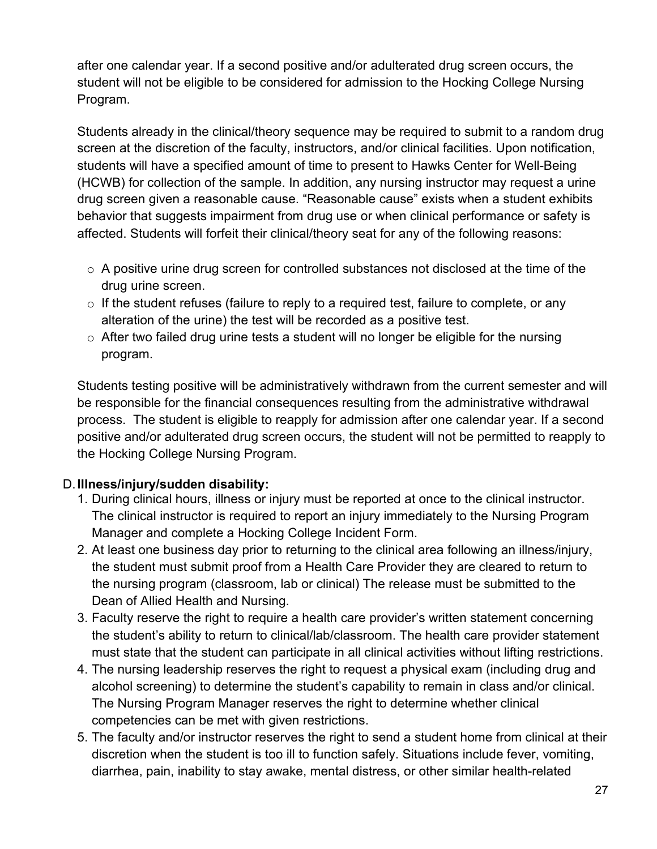after one calendar year. If a second positive and/or adulterated drug screen occurs, the student will not be eligible to be considered for admission to the Hocking College Nursing Program.

Students already in the clinical/theory sequence may be required to submit to a random drug screen at the discretion of the faculty, instructors, and/or clinical facilities. Upon notification, students will have a specified amount of time to present to Hawks Center for Well-Being (HCWB) for collection of the sample. In addition, any nursing instructor may request a urine drug screen given a reasonable cause. "Reasonable cause" exists when a student exhibits behavior that suggests impairment from drug use or when clinical performance or safety is affected. Students will forfeit their clinical/theory seat for any of the following reasons:

- $\circ$  A positive urine drug screen for controlled substances not disclosed at the time of the drug urine screen.
- $\circ$  If the student refuses (failure to reply to a required test, failure to complete, or any alteration of the urine) the test will be recorded as a positive test.
- $\circ$  After two failed drug urine tests a student will no longer be eligible for the nursing program.

Students testing positive will be administratively withdrawn from the current semester and will be responsible for the financial consequences resulting from the administrative withdrawal process. The student is eligible to reapply for admission after one calendar year. If a second positive and/or adulterated drug screen occurs, the student will not be permitted to reapply to the Hocking College Nursing Program.

#### D.**Illness/injury/sudden disability:**

- 1. During clinical hours, illness or injury must be reported at once to the clinical instructor. The clinical instructor is required to report an injury immediately to the Nursing Program Manager and complete a Hocking College Incident Form.
- 2. At least one business day prior to returning to the clinical area following an illness/injury, the student must submit proof from a Health Care Provider they are cleared to return to the nursing program (classroom, lab or clinical) The release must be submitted to the Dean of Allied Health and Nursing.
- 3. Faculty reserve the right to require a health care provider's written statement concerning the student's ability to return to clinical/lab/classroom. The health care provider statement must state that the student can participate in all clinical activities without lifting restrictions.
- 4. The nursing leadership reserves the right to request a physical exam (including drug and alcohol screening) to determine the student's capability to remain in class and/or clinical. The Nursing Program Manager reserves the right to determine whether clinical competencies can be met with given restrictions.
- 5. The faculty and/or instructor reserves the right to send a student home from clinical at their discretion when the student is too ill to function safely. Situations include fever, vomiting, diarrhea, pain, inability to stay awake, mental distress, or other similar health-related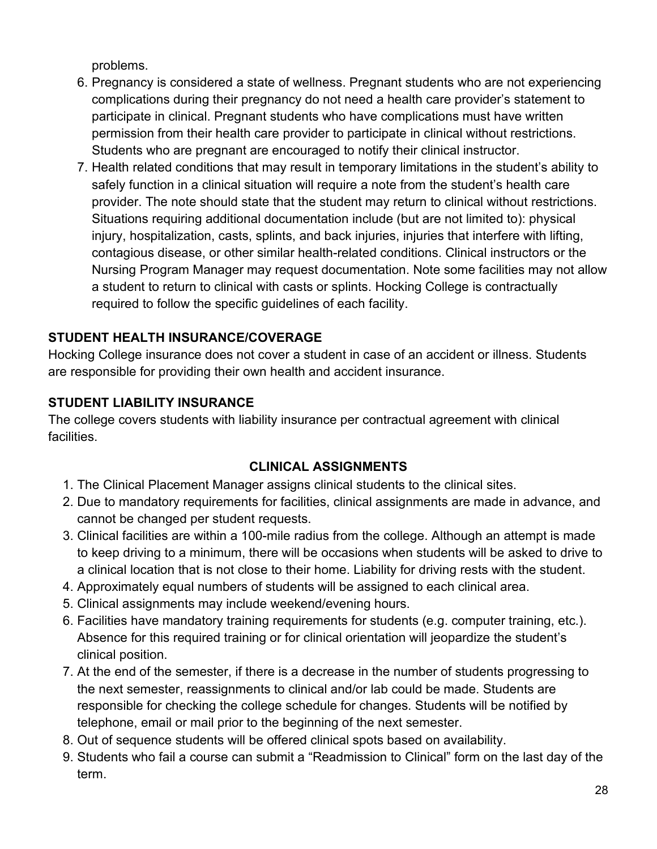problems.

- 6. Pregnancy is considered a state of wellness. Pregnant students who are not experiencing complications during their pregnancy do not need a health care provider's statement to participate in clinical. Pregnant students who have complications must have written permission from their health care provider to participate in clinical without restrictions. Students who are pregnant are encouraged to notify their clinical instructor.
- 7. Health related conditions that may result in temporary limitations in the student's ability to safely function in a clinical situation will require a note from the student's health care provider. The note should state that the student may return to clinical without restrictions. Situations requiring additional documentation include (but are not limited to): physical injury, hospitalization, casts, splints, and back injuries, injuries that interfere with lifting, contagious disease, or other similar health-related conditions. Clinical instructors or the Nursing Program Manager may request documentation. Note some facilities may not allow a student to return to clinical with casts or splints. Hocking College is contractually required to follow the specific guidelines of each facility.

# <span id="page-27-0"></span>**STUDENT HEALTH INSURANCE/COVERAGE**

Hocking College insurance does not cover a student in case of an accident or illness. Students are responsible for providing their own health and accident insurance.

## <span id="page-27-1"></span>**STUDENT LIABILITY INSURANCE**

<span id="page-27-2"></span>The college covers students with liability insurance per contractual agreement with clinical facilities.

## **CLINICAL ASSIGNMENTS**

- 1. The Clinical Placement Manager assigns clinical students to the clinical sites.
- 2. Due to mandatory requirements for facilities, clinical assignments are made in advance, and cannot be changed per student requests.
- 3. Clinical facilities are within a 100-mile radius from the college. Although an attempt is made to keep driving to a minimum, there will be occasions when students will be asked to drive to a clinical location that is not close to their home. Liability for driving rests with the student.
- 4. Approximately equal numbers of students will be assigned to each clinical area.
- 5. Clinical assignments may include weekend/evening hours.
- 6. Facilities have mandatory training requirements for students (e.g. computer training, etc.). Absence for this required training or for clinical orientation will jeopardize the student's clinical position.
- 7. At the end of the semester, if there is a decrease in the number of students progressing to the next semester, reassignments to clinical and/or lab could be made. Students are responsible for checking the college schedule for changes. Students will be notified by telephone, email or mail prior to the beginning of the next semester.
- 8. Out of sequence students will be offered clinical spots based on availability.
- 9. Students who fail a course can submit a "Readmission to Clinical" form on the last day of the term.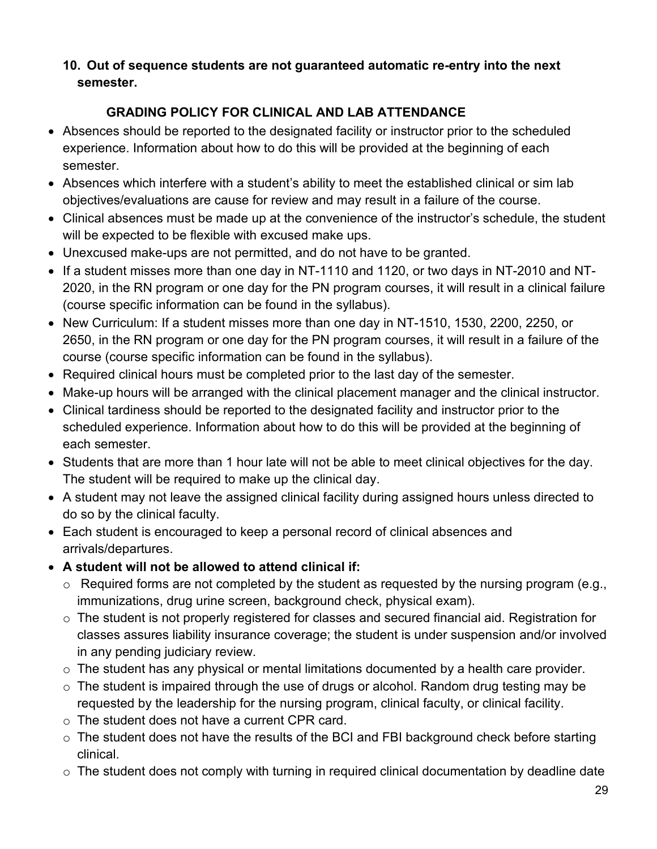#### **10. Out of sequence students are not guaranteed automatic re-entry into the next semester.**

# **GRADING POLICY FOR CLINICAL AND LAB ATTENDANCE**

- <span id="page-28-0"></span>• Absences should be reported to the designated facility or instructor prior to the scheduled experience. Information about how to do this will be provided at the beginning of each semester.
- Absences which interfere with a student's ability to meet the established clinical or sim lab objectives/evaluations are cause for review and may result in a failure of the course.
- Clinical absences must be made up at the convenience of the instructor's schedule, the student will be expected to be flexible with excused make ups.
- Unexcused make-ups are not permitted, and do not have to be granted.
- If a student misses more than one day in NT-1110 and 1120, or two days in NT-2010 and NT-2020, in the RN program or one day for the PN program courses, it will result in a clinical failure (course specific information can be found in the syllabus).
- New Curriculum: If a student misses more than one day in NT-1510, 1530, 2200, 2250, or 2650, in the RN program or one day for the PN program courses, it will result in a failure of the course (course specific information can be found in the syllabus).
- Required clinical hours must be completed prior to the last day of the semester.
- Make-up hours will be arranged with the clinical placement manager and the clinical instructor.
- Clinical tardiness should be reported to the designated facility and instructor prior to the scheduled experience. Information about how to do this will be provided at the beginning of each semester.
- Students that are more than 1 hour late will not be able to meet clinical objectives for the day. The student will be required to make up the clinical day.
- A student may not leave the assigned clinical facility during assigned hours unless directed to do so by the clinical faculty.
- Each student is encouraged to keep a personal record of clinical absences and arrivals/departures.
- **A student will not be allowed to attend clinical if:**
	- $\circ$  Required forms are not completed by the student as requested by the nursing program (e.g., immunizations, drug urine screen, background check, physical exam).
	- o The student is not properly registered for classes and secured financial aid. Registration for classes assures liability insurance coverage; the student is under suspension and/or involved in any pending judiciary review.
	- $\circ$  The student has any physical or mental limitations documented by a health care provider.
	- $\circ$  The student is impaired through the use of drugs or alcohol. Random drug testing may be requested by the leadership for the nursing program, clinical faculty, or clinical facility.
	- $\circ$  The student does not have a current CPR card.
	- $\circ$  The student does not have the results of the BCI and FBI background check before starting clinical.
	- $\circ$  The student does not comply with turning in required clinical documentation by deadline date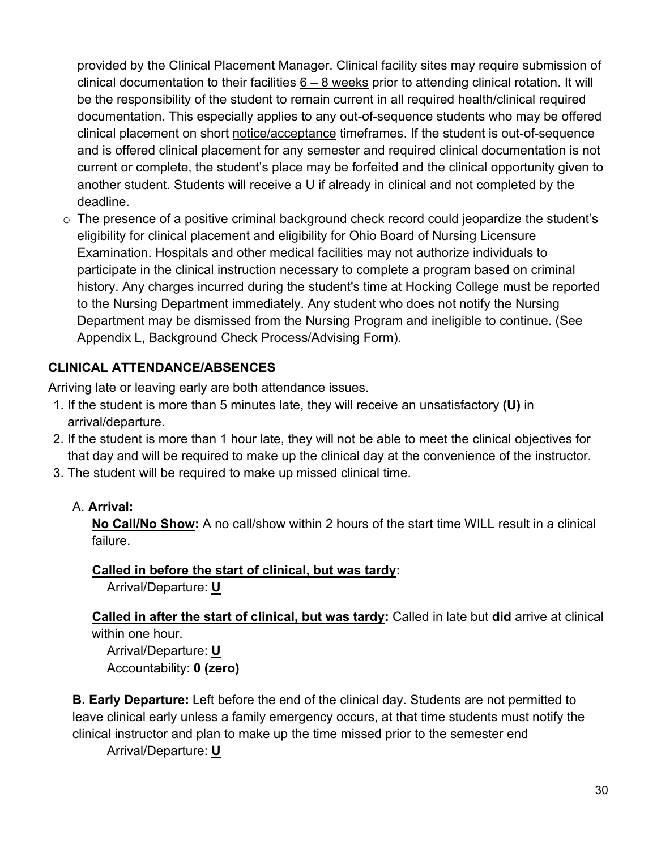provided by the Clinical Placement Manager. Clinical facility sites may require submission of clinical documentation to their facilities  $6 - 8$  weeks prior to attending clinical rotation. It will be the responsibility of the student to remain current in all required health/clinical required documentation. This especially applies to any out-of-sequence students who may be offered clinical placement on short notice/acceptance timeframes. If the student is out-of-sequence and is offered clinical placement for any semester and required clinical documentation is not current or complete, the student's place may be forfeited and the clinical opportunity given to another student. Students will receive a U if already in clinical and not completed by the deadline.

 $\circ$  The presence of a positive criminal background check record could jeopardize the student's eligibility for clinical placement and eligibility for Ohio Board of Nursing Licensure Examination. Hospitals and other medical facilities may not authorize individuals to participate in the clinical instruction necessary to complete a program based on criminal history. Any charges incurred during the student's time at Hocking College must be reported to the Nursing Department immediately. Any student who does not notify the Nursing Department may be dismissed from the Nursing Program and ineligible to continue. (See Appendix L, Background Check Process/Advising Form).

## <span id="page-29-0"></span>**CLINICAL ATTENDANCE/ABSENCES**

Arriving late or leaving early are both attendance issues.

- 1. If the student is more than 5 minutes late, they will receive an unsatisfactory **(U)** in arrival/departure.
- 2. If the student is more than 1 hour late, they will not be able to meet the clinical objectives for that day and will be required to make up the clinical day at the convenience of the instructor.
- 3. The student will be required to make up missed clinical time.

#### A. **Arrival:**

**No Call/No Show:** A no call/show within 2 hours of the start time WILL result in a clinical failure.

#### **Called in before the start of clinical, but was tardy:**

Arrival/Departure: **U** 

**Called in after the start of clinical, but was tardy:** Called in late but **did** arrive at clinical within one hour.

Arrival/Departure: **U**  Accountability: **0 (zero)**

**B. Early Departure:** Left before the end of the clinical day. Students are not permitted to leave clinical early unless a family emergency occurs, at that time students must notify the clinical instructor and plan to make up the time missed prior to the semester end

Arrival/Departure: **U**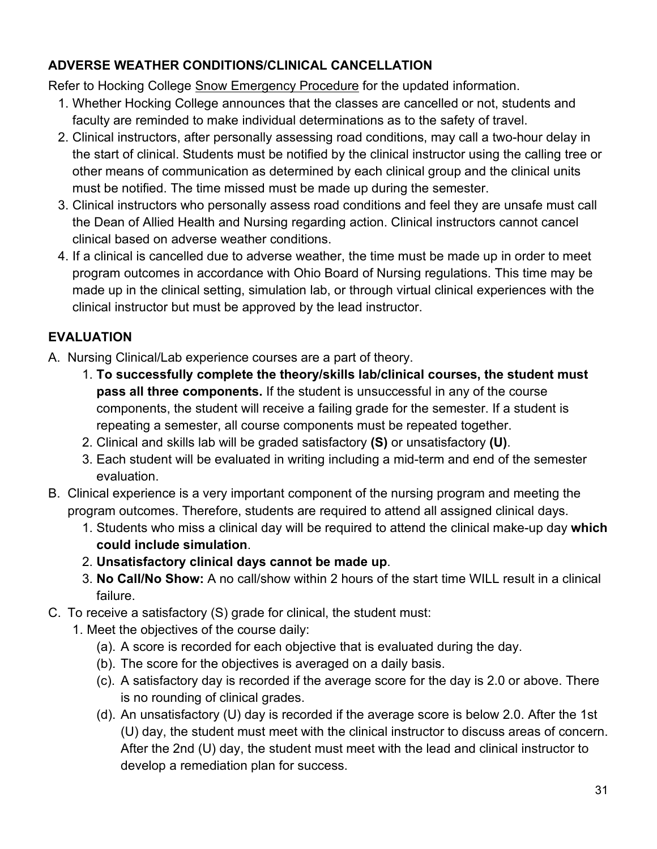## <span id="page-30-0"></span>**ADVERSE WEATHER CONDITIONS/CLINICAL CANCELLATION**

Refer to Hocking College [Snow Emergency Procedure](https://f.hubspotusercontent10.net/hubfs/2446169/Internal%20Docs%20(Website)/Administrative%20Procedures/Snow%20Emergency%20Procedure%20-%20January%2012%202022%20FINAL.pdf?utm_campaign=Internal%20Communications&utm_medium=email&_hsmi=201221000&_hsenc=p2ANqtz-_bnQYB8OkHTR-_NRE7B2S9r7rKFooM-ePxmcfwUfYthGM_3LADuPxz7U_49T4zhmOP3qG3P-KQIpE4b9dFcI6aFtPcFw&utm_content=201221000&utm_source=hs_email) for the updated information.

- 1. Whether Hocking College announces that the classes are cancelled or not, students and faculty are reminded to make individual determinations as to the safety of travel.
- 2. Clinical instructors, after personally assessing road conditions, may call a two-hour delay in the start of clinical. Students must be notified by the clinical instructor using the calling tree or other means of communication as determined by each clinical group and the clinical units must be notified. The time missed must be made up during the semester.
- 3. Clinical instructors who personally assess road conditions and feel they are unsafe must call the Dean of Allied Health and Nursing regarding action. Clinical instructors cannot cancel clinical based on adverse weather conditions.
- 4. If a clinical is cancelled due to adverse weather, the time must be made up in order to meet program outcomes in accordance with Ohio Board of Nursing regulations. This time may be made up in the clinical setting, simulation lab, or through virtual clinical experiences with the clinical instructor but must be approved by the lead instructor.

# <span id="page-30-1"></span>**EVALUATION**

- A. Nursing Clinical/Lab experience courses are a part of theory.
	- 1. **To successfully complete the theory/skills lab/clinical courses, the student must pass all three components.** If the student is unsuccessful in any of the course components, the student will receive a failing grade for the semester. If a student is repeating a semester, all course components must be repeated together.
	- 2. Clinical and skills lab will be graded satisfactory **(S)** or unsatisfactory **(U)**.
	- 3. Each student will be evaluated in writing including a mid-term and end of the semester evaluation.
- B. Clinical experience is a very important component of the nursing program and meeting the program outcomes. Therefore, students are required to attend all assigned clinical days.
	- 1. Students who miss a clinical day will be required to attend the clinical make-up day **which could include simulation**.
	- 2. **Unsatisfactory clinical days cannot be made up**.
	- 3. **No Call/No Show:** A no call/show within 2 hours of the start time WILL result in a clinical failure.
- C. To receive a satisfactory (S) grade for clinical, the student must:
	- 1. Meet the objectives of the course daily:
		- (a). A score is recorded for each objective that is evaluated during the day.
		- (b). The score for the objectives is averaged on a daily basis.
		- (c). A satisfactory day is recorded if the average score for the day is 2.0 or above. There is no rounding of clinical grades.
		- (d). An unsatisfactory (U) day is recorded if the average score is below 2.0. After the 1st (U) day, the student must meet with the clinical instructor to discuss areas of concern. After the 2nd (U) day, the student must meet with the lead and clinical instructor to develop a remediation plan for success.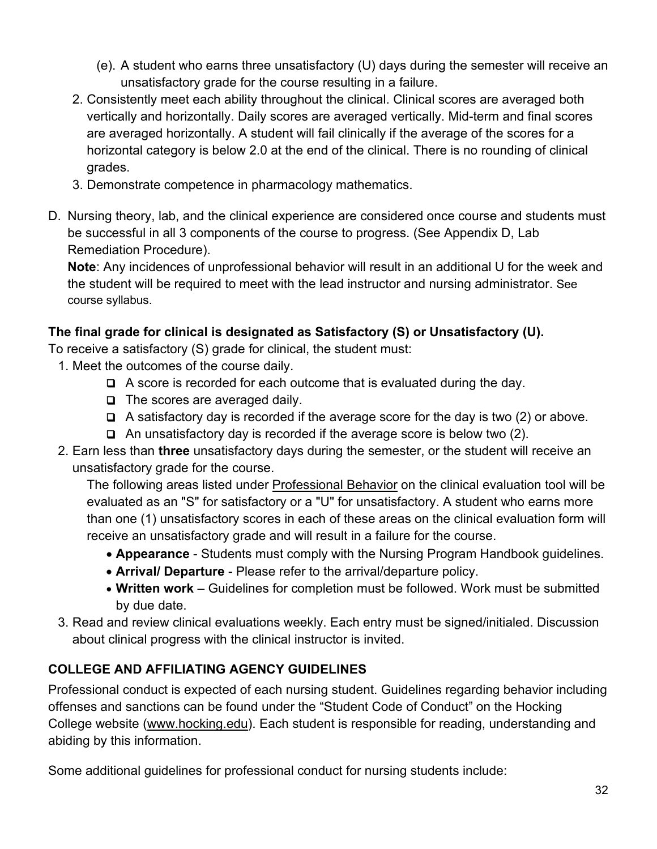- (e). A student who earns three unsatisfactory (U) days during the semester will receive an unsatisfactory grade for the course resulting in a failure.
- 2. Consistently meet each ability throughout the clinical. Clinical scores are averaged both vertically and horizontally. Daily scores are averaged vertically. Mid-term and final scores are averaged horizontally. A student will fail clinically if the average of the scores for a horizontal category is below 2.0 at the end of the clinical. There is no rounding of clinical grades.
- 3. Demonstrate competence in pharmacology mathematics.
- D. Nursing theory, lab, and the clinical experience are considered once course and students must be successful in all 3 components of the course to progress. (See Appendix D, Lab Remediation Procedure).

**Note**: Any incidences of unprofessional behavior will result in an additional U for the week and the student will be required to meet with the lead instructor and nursing administrator. See course syllabus.

# **The final grade for clinical is designated as Satisfactory (S) or Unsatisfactory (U).**

To receive a satisfactory (S) grade for clinical, the student must:

- 1. Meet the outcomes of the course daily.
	- A score is recorded for each outcome that is evaluated during the day.
	- $\Box$  The scores are averaged daily.
	- $\Box$  A satisfactory day is recorded if the average score for the day is two (2) or above.
	- $\Box$  An unsatisfactory day is recorded if the average score is below two (2).
- 2. Earn less than **three** unsatisfactory days during the semester, or the student will receive an unsatisfactory grade for the course.

The following areas listed under Professional Behavior on the clinical evaluation tool will be evaluated as an "S" for satisfactory or a "U" for unsatisfactory. A student who earns more than one (1) unsatisfactory scores in each of these areas on the clinical evaluation form will receive an unsatisfactory grade and will result in a failure for the course.

- **Appearance** Students must comply with the Nursing Program Handbook guidelines.
- **Arrival/ Departure** Please refer to the arrival/departure policy.
- **Written work** Guidelines for completion must be followed. Work must be submitted by due date.
- 3. Read and review clinical evaluations weekly. Each entry must be signed/initialed. Discussion about clinical progress with the clinical instructor is invited.

# <span id="page-31-0"></span>**COLLEGE AND AFFILIATING AGENCY GUIDELINES**

Professional conduct is expected of each nursing student. Guidelines regarding behavior including offenses and sanctions can be found under the "Student Code of Conduct" on the Hocking College website (www.hocking.edu). Each student is responsible for reading, understanding and abiding by this information.

Some additional guidelines for professional conduct for nursing students include: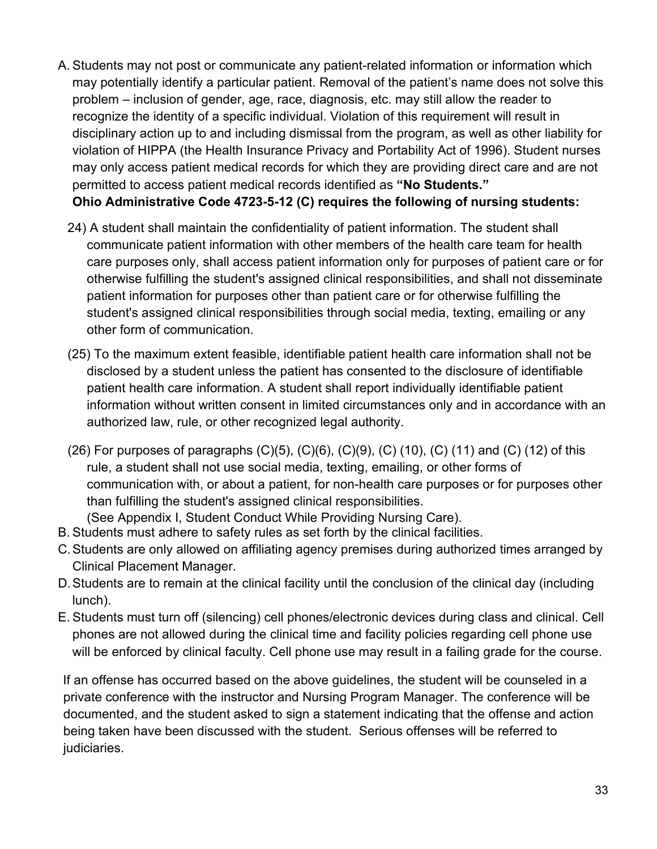- A. Students may not post or communicate any patient-related information or information which may potentially identify a particular patient. Removal of the patient's name does not solve this problem – inclusion of gender, age, race, diagnosis, etc. may still allow the reader to recognize the identity of a specific individual. Violation of this requirement will result in disciplinary action up to and including dismissal from the program, as well as other liability for violation of HIPPA (the Health Insurance Privacy and Portability Act of 1996). Student nurses may only access patient medical records for which they are providing direct care and are not permitted to access patient medical records identified as **"No Students." Ohio Administrative Code 4723-5-12 (C) requires the following of nursing students:** 
	- 24) A student shall maintain the confidentiality of patient information. The student shall communicate patient information with other members of the health care team for health care purposes only, shall access patient information only for purposes of patient care or for otherwise fulfilling the student's assigned clinical responsibilities, and shall not disseminate patient information for purposes other than patient care or for otherwise fulfilling the student's assigned clinical responsibilities through social media, texting, emailing or any other form of communication.
	- (25) To the maximum extent feasible, identifiable patient health care information shall not be disclosed by a student unless the patient has consented to the disclosure of identifiable patient health care information. A student shall report individually identifiable patient information without written consent in limited circumstances only and in accordance with an authorized law, rule, or other recognized legal authority.
	- (26) For purposes of paragraphs (C)(5), (C)(6), (C)(9), (C) (10), (C) (11) and (C) (12) of this rule, a student shall not use social media, texting, emailing, or other forms of communication with, or about a patient, for non-health care purposes or for purposes other than fulfilling the student's assigned clinical responsibilities.
- (See Appendix I, Student Conduct While Providing Nursing Care). B. Students must adhere to safety rules as set forth by the clinical facilities.
- C.Students are only allowed on affiliating agency premises during authorized times arranged by Clinical Placement Manager.
- D.Students are to remain at the clinical facility until the conclusion of the clinical day (including lunch).
- E. Students must turn off (silencing) cell phones/electronic devices during class and clinical. Cell phones are not allowed during the clinical time and facility policies regarding cell phone use will be enforced by clinical faculty. Cell phone use may result in a failing grade for the course.

If an offense has occurred based on the above guidelines, the student will be counseled in a private conference with the instructor and Nursing Program Manager. The conference will be documented, and the student asked to sign a statement indicating that the offense and action being taken have been discussed with the student. Serious offenses will be referred to judiciaries.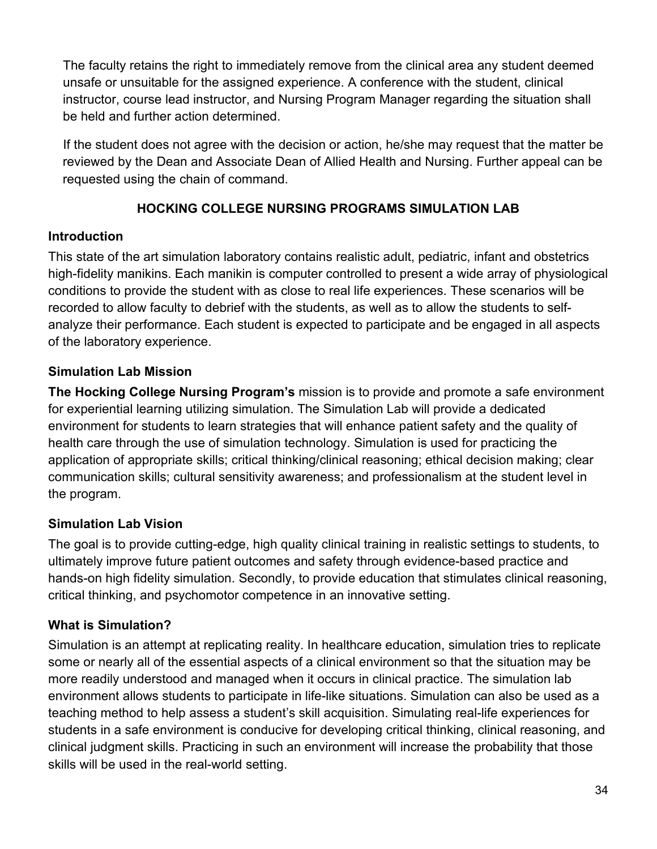The faculty retains the right to immediately remove from the clinical area any student deemed unsafe or unsuitable for the assigned experience. A conference with the student, clinical instructor, course lead instructor, and Nursing Program Manager regarding the situation shall be held and further action determined.

If the student does not agree with the decision or action, he/she may request that the matter be reviewed by the Dean and Associate Dean of Allied Health and Nursing. Further appeal can be requested using the chain of command.

## **HOCKING COLLEGE NURSING PROGRAMS SIMULATION LAB**

#### <span id="page-33-1"></span><span id="page-33-0"></span>**Introduction**

This state of the art simulation laboratory contains realistic adult, pediatric, infant and obstetrics high-fidelity manikins. Each manikin is computer controlled to present a wide array of physiological conditions to provide the student with as close to real life experiences. These scenarios will be recorded to allow faculty to debrief with the students, as well as to allow the students to selfanalyze their performance. Each student is expected to participate and be engaged in all aspects of the laboratory experience.

## <span id="page-33-2"></span>**Simulation Lab Mission**

**The Hocking College Nursing Program's** mission is to provide and promote a safe environment for experiential learning utilizing simulation. The Simulation Lab will provide a dedicated environment for students to learn strategies that will enhance patient safety and the quality of health care through the use of simulation technology. Simulation is used for practicing the application of appropriate skills; critical thinking/clinical reasoning; ethical decision making; clear communication skills; cultural sensitivity awareness; and professionalism at the student level in the program.

## <span id="page-33-3"></span>**Simulation Lab Vision**

The goal is to provide cutting-edge, high quality clinical training in realistic settings to students, to ultimately improve future patient outcomes and safety through evidence-based practice and hands-on high fidelity simulation. Secondly, to provide education that stimulates clinical reasoning, critical thinking, and psychomotor competence in an innovative setting.

# <span id="page-33-4"></span>**What is Simulation?**

Simulation is an attempt at replicating reality. In healthcare education, simulation tries to replicate some or nearly all of the essential aspects of a clinical environment so that the situation may be more readily understood and managed when it occurs in clinical practice. The simulation lab environment allows students to participate in life-like situations. Simulation can also be used as a teaching method to help assess a student's skill acquisition. Simulating real-life experiences for students in a safe environment is conducive for developing critical thinking, clinical reasoning, and clinical judgment skills. Practicing in such an environment will increase the probability that those skills will be used in the real-world setting.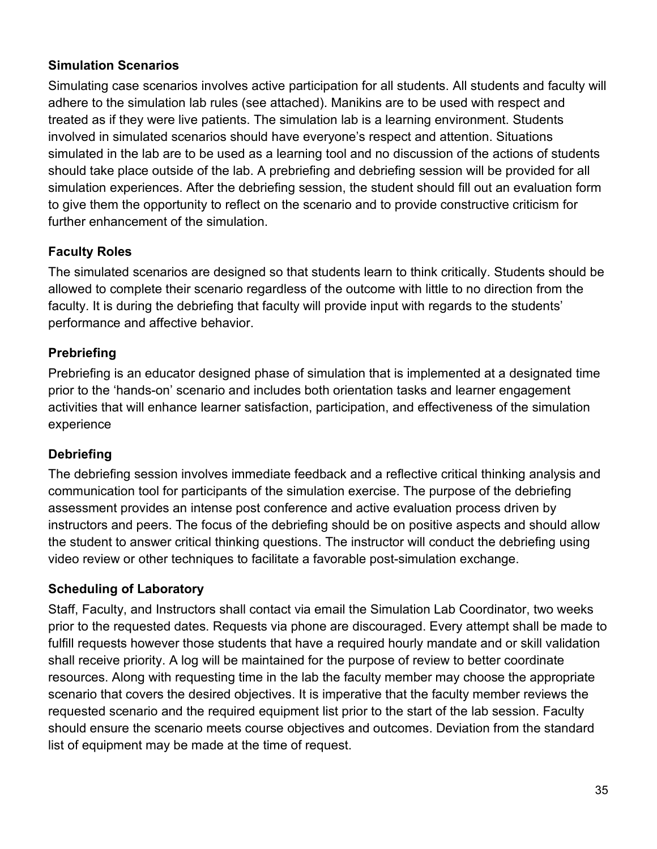#### <span id="page-34-0"></span>**Simulation Scenarios**

Simulating case scenarios involves active participation for all students. All students and faculty will adhere to the simulation lab rules (see attached). Manikins are to be used with respect and treated as if they were live patients. The simulation lab is a learning environment. Students involved in simulated scenarios should have everyone's respect and attention. Situations simulated in the lab are to be used as a learning tool and no discussion of the actions of students should take place outside of the lab. A prebriefing and debriefing session will be provided for all simulation experiences. After the debriefing session, the student should fill out an evaluation form to give them the opportunity to reflect on the scenario and to provide constructive criticism for further enhancement of the simulation.

# <span id="page-34-1"></span>**Faculty Roles**

The simulated scenarios are designed so that students learn to think critically. Students should be allowed to complete their scenario regardless of the outcome with little to no direction from the faculty. It is during the debriefing that faculty will provide input with regards to the students' performance and affective behavior.

## <span id="page-34-2"></span>**Prebriefing**

Prebriefing is an educator designed phase of simulation that is implemented at a designated time prior to the 'hands-on' scenario and includes both orientation tasks and learner engagement activities that will enhance learner satisfaction, participation, and effectiveness of the simulation experience

# <span id="page-34-3"></span>**Debriefing**

The debriefing session involves immediate feedback and a reflective critical thinking analysis and communication tool for participants of the simulation exercise. The purpose of the debriefing assessment provides an intense post conference and active evaluation process driven by instructors and peers. The focus of the debriefing should be on positive aspects and should allow the student to answer critical thinking questions. The instructor will conduct the debriefing using video review or other techniques to facilitate a favorable post-simulation exchange.

## <span id="page-34-4"></span>**Scheduling of Laboratory**

Staff, Faculty, and Instructors shall contact via email the Simulation Lab Coordinator, two weeks prior to the requested dates. Requests via phone are discouraged. Every attempt shall be made to fulfill requests however those students that have a required hourly mandate and or skill validation shall receive priority. A log will be maintained for the purpose of review to better coordinate resources. Along with requesting time in the lab the faculty member may choose the appropriate scenario that covers the desired objectives. It is imperative that the faculty member reviews the requested scenario and the required equipment list prior to the start of the lab session. Faculty should ensure the scenario meets course objectives and outcomes. Deviation from the standard list of equipment may be made at the time of request.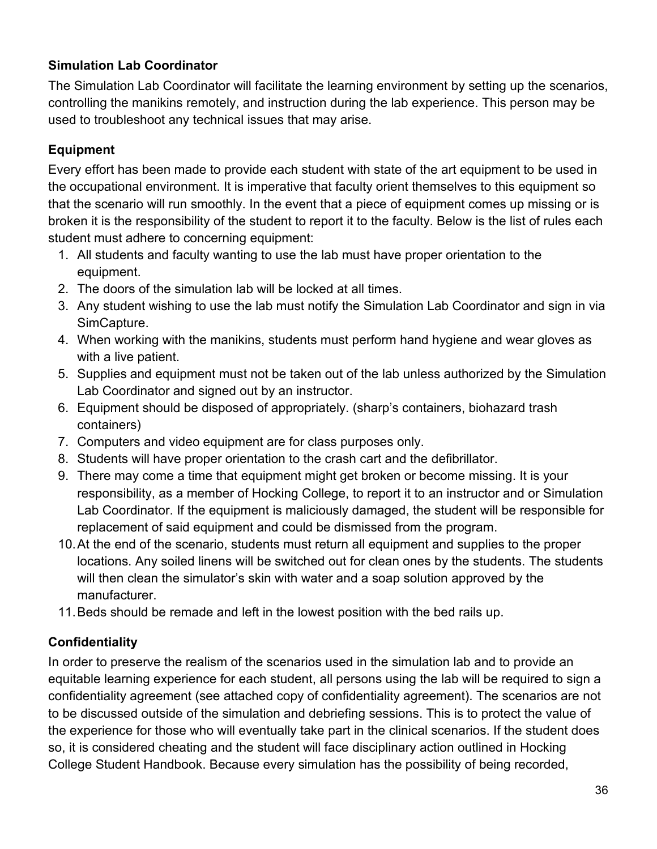## <span id="page-35-0"></span>**Simulation Lab Coordinator**

The Simulation Lab Coordinator will facilitate the learning environment by setting up the scenarios, controlling the manikins remotely, and instruction during the lab experience. This person may be used to troubleshoot any technical issues that may arise.

## <span id="page-35-1"></span>**Equipment**

Every effort has been made to provide each student with state of the art equipment to be used in the occupational environment. It is imperative that faculty orient themselves to this equipment so that the scenario will run smoothly. In the event that a piece of equipment comes up missing or is broken it is the responsibility of the student to report it to the faculty. Below is the list of rules each student must adhere to concerning equipment:

- 1. All students and faculty wanting to use the lab must have proper orientation to the equipment.
- 2. The doors of the simulation lab will be locked at all times.
- 3. Any student wishing to use the lab must notify the Simulation Lab Coordinator and sign in via SimCapture.
- 4. When working with the manikins, students must perform hand hygiene and wear gloves as with a live patient.
- 5. Supplies and equipment must not be taken out of the lab unless authorized by the Simulation Lab Coordinator and signed out by an instructor.
- 6. Equipment should be disposed of appropriately. (sharp's containers, biohazard trash containers)
- 7. Computers and video equipment are for class purposes only.
- 8. Students will have proper orientation to the crash cart and the defibrillator.
- 9. There may come a time that equipment might get broken or become missing. It is your responsibility, as a member of Hocking College, to report it to an instructor and or Simulation Lab Coordinator. If the equipment is maliciously damaged, the student will be responsible for replacement of said equipment and could be dismissed from the program.
- 10.At the end of the scenario, students must return all equipment and supplies to the proper locations. Any soiled linens will be switched out for clean ones by the students. The students will then clean the simulator's skin with water and a soap solution approved by the manufacturer.
- 11.Beds should be remade and left in the lowest position with the bed rails up.

## <span id="page-35-2"></span>**Confidentiality**

In order to preserve the realism of the scenarios used in the simulation lab and to provide an equitable learning experience for each student, all persons using the lab will be required to sign a confidentiality agreement (see attached copy of confidentiality agreement). The scenarios are not to be discussed outside of the simulation and debriefing sessions. This is to protect the value of the experience for those who will eventually take part in the clinical scenarios. If the student does so, it is considered cheating and the student will face disciplinary action outlined in Hocking College Student Handbook. Because every simulation has the possibility of being recorded,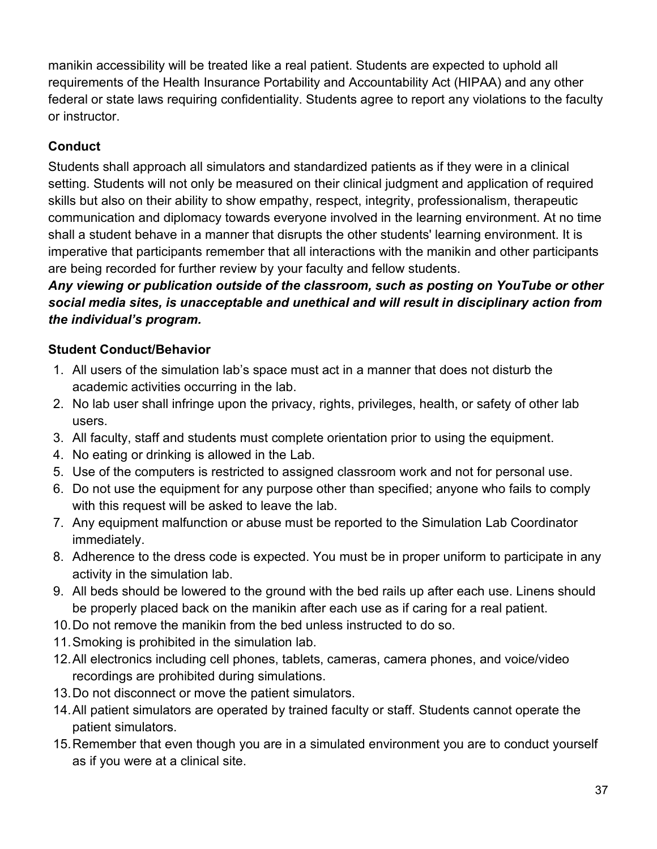manikin accessibility will be treated like a real patient. Students are expected to uphold all requirements of the Health Insurance Portability and Accountability Act (HIPAA) and any other federal or state laws requiring confidentiality. Students agree to report any violations to the faculty or instructor.

# **Conduct**

Students shall approach all simulators and standardized patients as if they were in a clinical setting. Students will not only be measured on their clinical judgment and application of required skills but also on their ability to show empathy, respect, integrity, professionalism, therapeutic communication and diplomacy towards everyone involved in the learning environment. At no time shall a student behave in a manner that disrupts the other students' learning environment. It is imperative that participants remember that all interactions with the manikin and other participants are being recorded for further review by your faculty and fellow students.

# *Any viewing or publication outside of the classroom, such as posting on YouTube or other social media sites, is unacceptable and unethical and will result in disciplinary action from the individual's program.*

# **Student Conduct/Behavior**

- 1. All users of the simulation lab's space must act in a manner that does not disturb the academic activities occurring in the lab.
- 2. No lab user shall infringe upon the privacy, rights, privileges, health, or safety of other lab users.
- 3. All faculty, staff and students must complete orientation prior to using the equipment.
- 4. No eating or drinking is allowed in the Lab.
- 5. Use of the computers is restricted to assigned classroom work and not for personal use.
- 6. Do not use the equipment for any purpose other than specified; anyone who fails to comply with this request will be asked to leave the lab.
- 7. Any equipment malfunction or abuse must be reported to the Simulation Lab Coordinator immediately.
- 8. Adherence to the dress code is expected. You must be in proper uniform to participate in any activity in the simulation lab.
- 9. All beds should be lowered to the ground with the bed rails up after each use. Linens should be properly placed back on the manikin after each use as if caring for a real patient.
- 10.Do not remove the manikin from the bed unless instructed to do so.
- 11.Smoking is prohibited in the simulation lab.
- 12.All electronics including cell phones, tablets, cameras, camera phones, and voice/video recordings are prohibited during simulations.
- 13.Do not disconnect or move the patient simulators.
- 14.All patient simulators are operated by trained faculty or staff. Students cannot operate the patient simulators.
- 15.Remember that even though you are in a simulated environment you are to conduct yourself as if you were at a clinical site.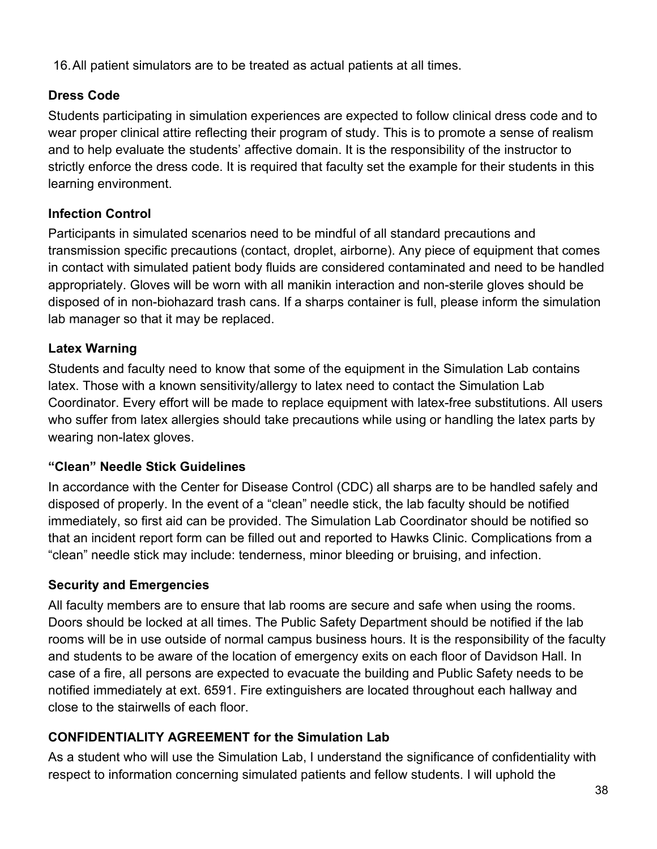16.All patient simulators are to be treated as actual patients at all times.

## **Dress Code**

Students participating in simulation experiences are expected to follow clinical dress code and to wear proper clinical attire reflecting their program of study. This is to promote a sense of realism and to help evaluate the students' affective domain. It is the responsibility of the instructor to strictly enforce the dress code. It is required that faculty set the example for their students in this learning environment.

## **Infection Control**

Participants in simulated scenarios need to be mindful of all standard precautions and transmission specific precautions (contact, droplet, airborne). Any piece of equipment that comes in contact with simulated patient body fluids are considered contaminated and need to be handled appropriately. Gloves will be worn with all manikin interaction and non-sterile gloves should be disposed of in non-biohazard trash cans. If a sharps container is full, please inform the simulation lab manager so that it may be replaced.

## **Latex Warning**

Students and faculty need to know that some of the equipment in the Simulation Lab contains latex. Those with a known sensitivity/allergy to latex need to contact the Simulation Lab Coordinator. Every effort will be made to replace equipment with latex-free substitutions. All users who suffer from latex allergies should take precautions while using or handling the latex parts by wearing non-latex gloves.

## **"Clean" Needle Stick Guidelines**

In accordance with the Center for Disease Control (CDC) all sharps are to be handled safely and disposed of properly. In the event of a "clean" needle stick, the lab faculty should be notified immediately, so first aid can be provided. The Simulation Lab Coordinator should be notified so that an incident report form can be filled out and reported to Hawks Clinic. Complications from a "clean" needle stick may include: tenderness, minor bleeding or bruising, and infection.

## **Security and Emergencies**

All faculty members are to ensure that lab rooms are secure and safe when using the rooms. Doors should be locked at all times. The Public Safety Department should be notified if the lab rooms will be in use outside of normal campus business hours. It is the responsibility of the faculty and students to be aware of the location of emergency exits on each floor of Davidson Hall. In case of a fire, all persons are expected to evacuate the building and Public Safety needs to be notified immediately at ext. 6591. Fire extinguishers are located throughout each hallway and close to the stairwells of each floor.

# **CONFIDENTIALITY AGREEMENT for the Simulation Lab**

As a student who will use the Simulation Lab, I understand the significance of confidentiality with respect to information concerning simulated patients and fellow students. I will uphold the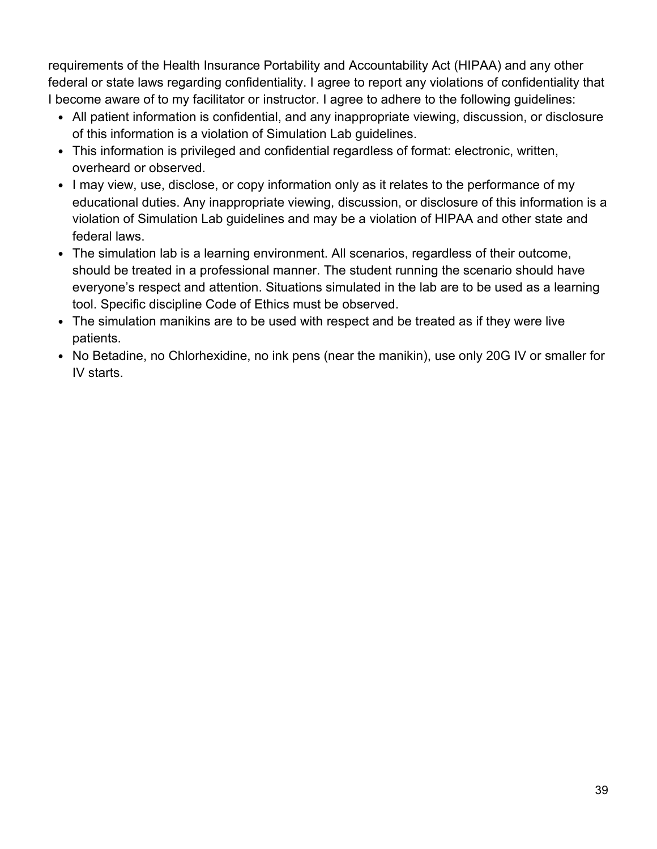requirements of the Health Insurance Portability and Accountability Act (HIPAA) and any other federal or state laws regarding confidentiality. I agree to report any violations of confidentiality that I become aware of to my facilitator or instructor. I agree to adhere to the following guidelines:

- All patient information is confidential, and any inappropriate viewing, discussion, or disclosure of this information is a violation of Simulation Lab guidelines.
- This information is privileged and confidential regardless of format: electronic, written, overheard or observed.
- I may view, use, disclose, or copy information only as it relates to the performance of my educational duties. Any inappropriate viewing, discussion, or disclosure of this information is a violation of Simulation Lab guidelines and may be a violation of HIPAA and other state and federal laws.
- The simulation lab is a learning environment. All scenarios, regardless of their outcome, should be treated in a professional manner. The student running the scenario should have everyone's respect and attention. Situations simulated in the lab are to be used as a learning tool. Specific discipline Code of Ethics must be observed.
- The simulation manikins are to be used with respect and be treated as if they were live patients.
- No Betadine, no Chlorhexidine, no ink pens (near the manikin), use only 20G IV or smaller for IV starts.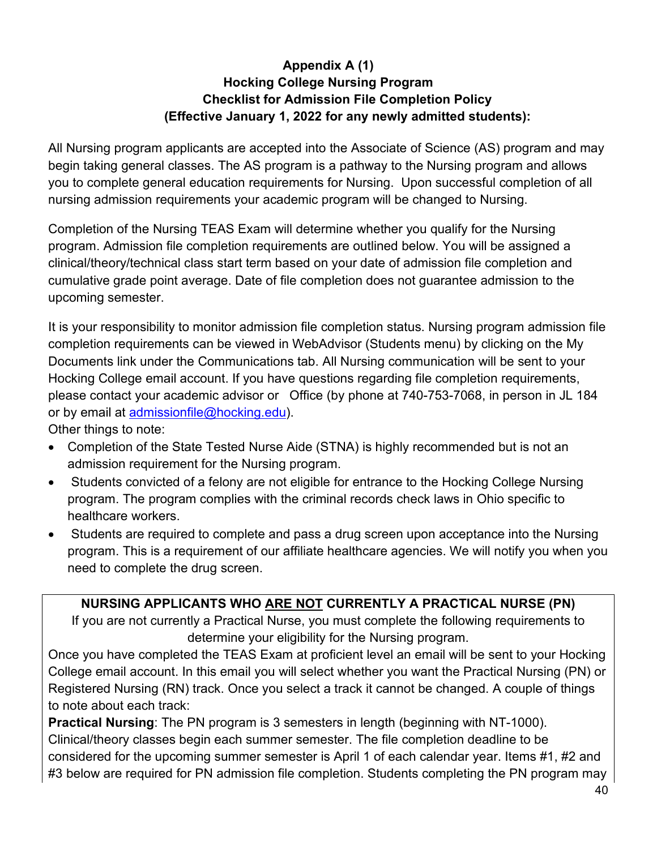## **Appendix A (1) Hocking College Nursing Program Checklist for Admission File Completion Policy (Effective January 1, 2022 for any newly admitted students):**

All Nursing program applicants are accepted into the Associate of Science (AS) program and may begin taking general classes. The AS program is a pathway to the Nursing program and allows you to complete general education requirements for Nursing. Upon successful completion of all nursing admission requirements your academic program will be changed to Nursing.

Completion of the Nursing TEAS Exam will determine whether you qualify for the Nursing program. Admission file completion requirements are outlined below. You will be assigned a clinical/theory/technical class start term based on your date of admission file completion and cumulative grade point average. Date of file completion does not guarantee admission to the upcoming semester.

It is your responsibility to monitor admission file completion status. Nursing program admission file completion requirements can be viewed in WebAdvisor (Students menu) by clicking on the My Documents link under the Communications tab. All Nursing communication will be sent to your Hocking College email account. If you have questions regarding file completion requirements, please contact your academic advisor or Office (by phone at 740-753-7068, in person in JL 184 or by email at [admissionfile@hocking.edu\)](mailto:admissionfile@hocking.edu).

Other things to note:

- Completion of the State Tested Nurse Aide (STNA) is highly recommended but is not an admission requirement for the Nursing program.
- Students convicted of a felony are not eligible for entrance to the Hocking College Nursing program. The program complies with the criminal records check laws in Ohio specific to healthcare workers.
- Students are required to complete and pass a drug screen upon acceptance into the Nursing program. This is a requirement of our affiliate healthcare agencies. We will notify you when you need to complete the drug screen.

## **NURSING APPLICANTS WHO ARE NOT CURRENTLY A PRACTICAL NURSE (PN)**

If you are not currently a Practical Nurse, you must complete the following requirements to determine your eligibility for the Nursing program.

Once you have completed the TEAS Exam at proficient level an email will be sent to your Hocking College email account. In this email you will select whether you want the Practical Nursing (PN) or Registered Nursing (RN) track. Once you select a track it cannot be changed. A couple of things to note about each track:

**Practical Nursing**: The PN program is 3 semesters in length (beginning with NT-1000). Clinical/theory classes begin each summer semester. The file completion deadline to be considered for the upcoming summer semester is April 1 of each calendar year. Items #1, #2 and #3 below are required for PN admission file completion. Students completing the PN program may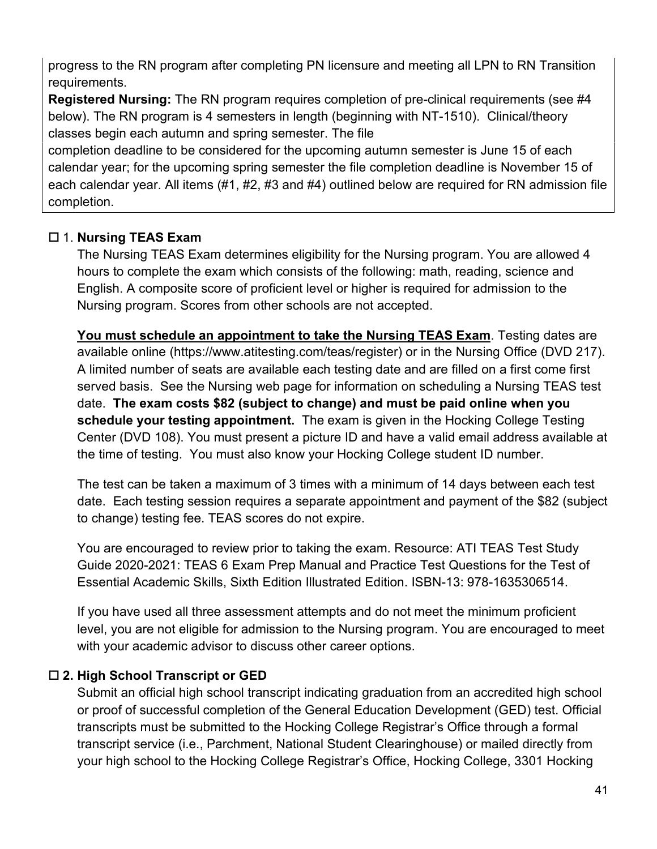progress to the RN program after completing PN licensure and meeting all LPN to RN Transition requirements.

**Registered Nursing:** The RN program requires completion of pre-clinical requirements (see #4 below). The RN program is 4 semesters in length (beginning with NT-1510). Clinical/theory classes begin each autumn and spring semester. The file

completion deadline to be considered for the upcoming autumn semester is June 15 of each calendar year; for the upcoming spring semester the file completion deadline is November 15 of each calendar year. All items (#1, #2, #3 and #4) outlined below are required for RN admission file completion.

## 1. **Nursing TEAS Exam**

The Nursing TEAS Exam determines eligibility for the Nursing program. You are allowed 4 hours to complete the exam which consists of the following: math, reading, science and English. A composite score of proficient level or higher is required for admission to the Nursing program. Scores from other schools are not accepted.

**You must schedule an appointment to take the Nursing TEAS Exam**. Testing dates are available online (https://www.atitesting.com/teas/register) or in the Nursing Office (DVD 217). A limited number of seats are available each testing date and are filled on a first come first served basis. See the Nursing web page for information on scheduling a Nursing TEAS test date. **The exam costs \$82 (subject to change) and must be paid online when you schedule your testing appointment.** The exam is given in the Hocking College Testing Center (DVD 108). You must present a picture ID and have a valid email address available at the time of testing. You must also know your Hocking College student ID number.

The test can be taken a maximum of 3 times with a minimum of 14 days between each test date. Each testing session requires a separate appointment and payment of the \$82 (subject to change) testing fee. TEAS scores do not expire.

You are encouraged to review prior to taking the exam. Resource: ATI TEAS Test Study Guide 2020-2021: TEAS 6 Exam Prep Manual and Practice Test Questions for the Test of Essential Academic Skills, Sixth Edition Illustrated Edition. ISBN-13: 978-1635306514.

If you have used all three assessment attempts and do not meet the minimum proficient level, you are not eligible for admission to the Nursing program. You are encouraged to meet with your academic advisor to discuss other career options.

## **2. High School Transcript or GED**

Submit an official high school transcript indicating graduation from an accredited high school or proof of successful completion of the General Education Development (GED) test. Official transcripts must be submitted to the Hocking College Registrar's Office through a formal transcript service (i.e., Parchment, National Student Clearinghouse) or mailed directly from your high school to the Hocking College Registrar's Office, Hocking College, 3301 Hocking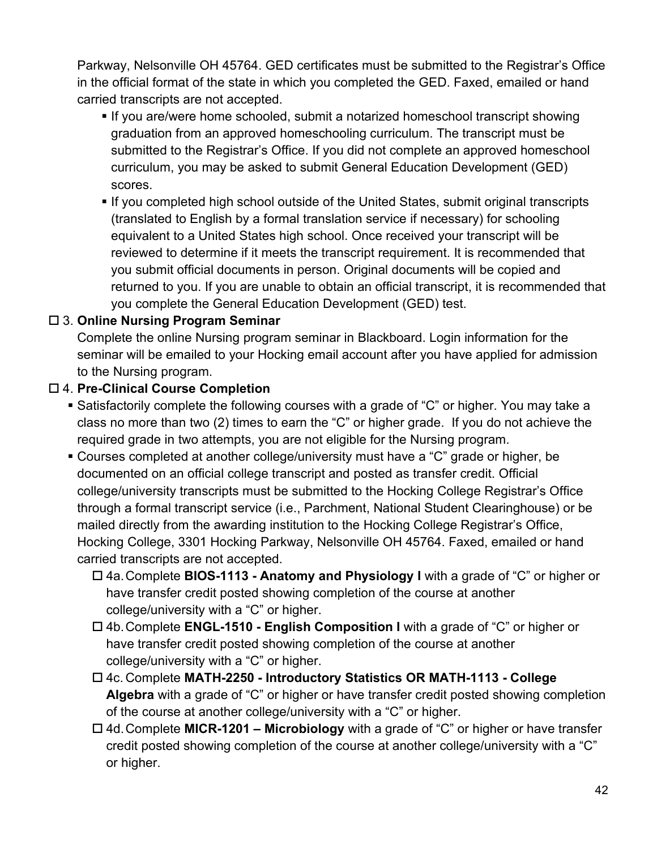Parkway, Nelsonville OH 45764. GED certificates must be submitted to the Registrar's Office in the official format of the state in which you completed the GED. Faxed, emailed or hand carried transcripts are not accepted.

- **If you are/were home schooled, submit a notarized homeschool transcript showing** graduation from an approved homeschooling curriculum. The transcript must be submitted to the Registrar's Office. If you did not complete an approved homeschool curriculum, you may be asked to submit General Education Development (GED) scores.
- If you completed high school outside of the United States, submit original transcripts (translated to English by a formal translation service if necessary) for schooling equivalent to a United States high school. Once received your transcript will be reviewed to determine if it meets the transcript requirement. It is recommended that you submit official documents in person. Original documents will be copied and returned to you. If you are unable to obtain an official transcript, it is recommended that you complete the General Education Development (GED) test.

## 3. **Online Nursing Program Seminar**

Complete the online Nursing program seminar in Blackboard. Login information for the seminar will be emailed to your Hocking email account after you have applied for admission to the Nursing program.

## 4. **Pre-Clinical Course Completion**

- Satisfactorily complete the following courses with a grade of "C" or higher. You may take a class no more than two (2) times to earn the "C" or higher grade. If you do not achieve the required grade in two attempts, you are not eligible for the Nursing program.
- Courses completed at another college/university must have a "C" grade or higher, be documented on an official college transcript and posted as transfer credit. Official college/university transcripts must be submitted to the Hocking College Registrar's Office through a formal transcript service (i.e., Parchment, National Student Clearinghouse) or be mailed directly from the awarding institution to the Hocking College Registrar's Office, Hocking College, 3301 Hocking Parkway, Nelsonville OH 45764. Faxed, emailed or hand carried transcripts are not accepted.
	- 4a.Complete **BIOS-1113 - Anatomy and Physiology I** with a grade of "C" or higher or have transfer credit posted showing completion of the course at another college/university with a "C" or higher.
	- 4b.Complete **ENGL-1510 - English Composition I** with a grade of "C" or higher or have transfer credit posted showing completion of the course at another college/university with a "C" or higher.
	- 4c. Complete **MATH-2250 - Introductory Statistics OR MATH-1113 - College Algebra** with a grade of "C" or higher or have transfer credit posted showing completion of the course at another college/university with a "C" or higher.
	- 4d.Complete **MICR-1201 – Microbiology** with a grade of "C" or higher or have transfer credit posted showing completion of the course at another college/university with a "C" or higher.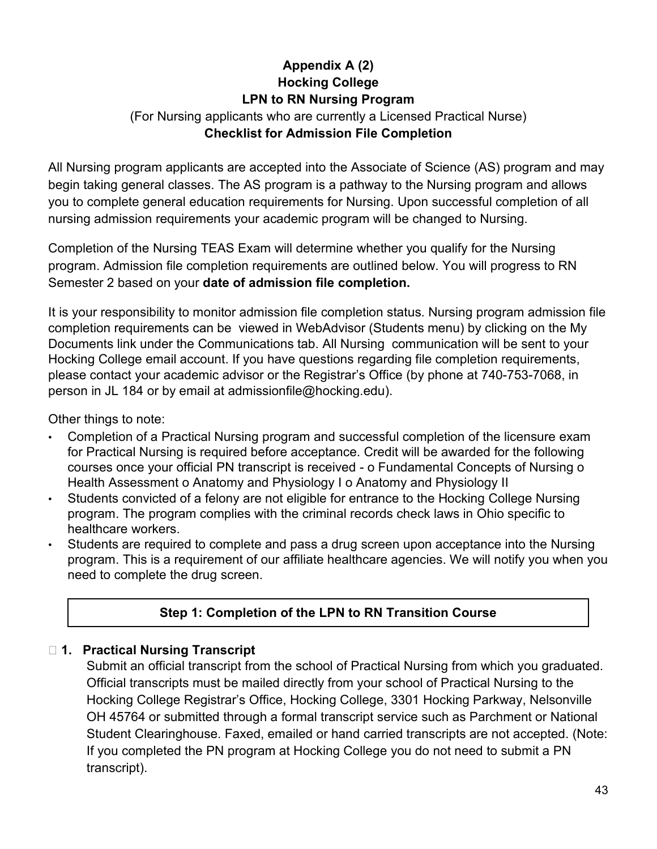# **Appendix A (2) Hocking College LPN to RN Nursing Program**

#### (For Nursing applicants who are currently a Licensed Practical Nurse) **Checklist for Admission File Completion**

All Nursing program applicants are accepted into the Associate of Science (AS) program and may begin taking general classes. The AS program is a pathway to the Nursing program and allows you to complete general education requirements for Nursing. Upon successful completion of all nursing admission requirements your academic program will be changed to Nursing.

Completion of the Nursing TEAS Exam will determine whether you qualify for the Nursing program. Admission file completion requirements are outlined below. You will progress to RN Semester 2 based on your **date of admission file completion.** 

It is your responsibility to monitor admission file completion status. Nursing program admission file completion requirements can be viewed in WebAdvisor (Students menu) by clicking on the My Documents link under the Communications tab. All Nursing communication will be sent to your Hocking College email account. If you have questions regarding file completion requirements, please contact your academic advisor or the Registrar's Office (by phone at 740-753-7068, in person in JL 184 or by email at admissionfile@hocking.edu).

Other things to note:

- Completion of a Practical Nursing program and successful completion of the licensure exam for Practical Nursing is required before acceptance. Credit will be awarded for the following courses once your official PN transcript is received - o Fundamental Concepts of Nursing o Health Assessment o Anatomy and Physiology I o Anatomy and Physiology II
- Students convicted of a felony are not eligible for entrance to the Hocking College Nursing program. The program complies with the criminal records check laws in Ohio specific to healthcare workers.
- Students are required to complete and pass a drug screen upon acceptance into the Nursing program. This is a requirement of our affiliate healthcare agencies. We will notify you when you need to complete the drug screen.

# **Step 1: Completion of the LPN to RN Transition Course**

## **1. Practical Nursing Transcript**

Submit an official transcript from the school of Practical Nursing from which you graduated. Official transcripts must be mailed directly from your school of Practical Nursing to the Hocking College Registrar's Office, Hocking College, 3301 Hocking Parkway, Nelsonville OH 45764 or submitted through a formal transcript service such as Parchment or National Student Clearinghouse. Faxed, emailed or hand carried transcripts are not accepted. (Note: If you completed the PN program at Hocking College you do not need to submit a PN transcript).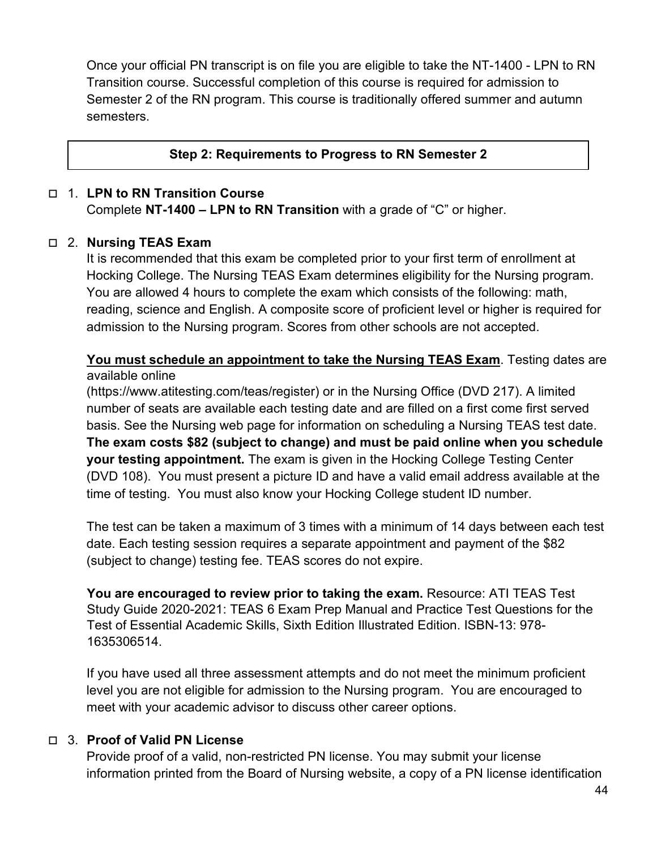Once your official PN transcript is on file you are eligible to take the NT-1400 - LPN to RN Transition course. Successful completion of this course is required for admission to Semester 2 of the RN program. This course is traditionally offered summer and autumn semesters.

#### **Step 2: Requirements to Progress to RN Semester 2**

#### 1. **LPN to RN Transition Course**

Complete **NT-1400 – LPN to RN Transition** with a grade of "C" or higher.

#### 2. **Nursing TEAS Exam**

It is recommended that this exam be completed prior to your first term of enrollment at Hocking College. The Nursing TEAS Exam determines eligibility for the Nursing program. You are allowed 4 hours to complete the exam which consists of the following: math, reading, science and English. A composite score of proficient level or higher is required for admission to the Nursing program. Scores from other schools are not accepted.

#### **You must schedule an appointment to take the Nursing TEAS Exam**. Testing dates are available online

(https://www.atitesting.com/teas/register) or in the Nursing Office (DVD 217). A limited number of seats are available each testing date and are filled on a first come first served basis. See the Nursing web page for information on scheduling a Nursing TEAS test date. **The exam costs \$82 (subject to change) and must be paid online when you schedule your testing appointment.** The exam is given in the Hocking College Testing Center (DVD 108). You must present a picture ID and have a valid email address available at the time of testing. You must also know your Hocking College student ID number.

The test can be taken a maximum of 3 times with a minimum of 14 days between each test date. Each testing session requires a separate appointment and payment of the \$82 (subject to change) testing fee. TEAS scores do not expire.

**You are encouraged to review prior to taking the exam.** Resource: ATI TEAS Test Study Guide 2020-2021: TEAS 6 Exam Prep Manual and Practice Test Questions for the Test of Essential Academic Skills, Sixth Edition Illustrated Edition. ISBN-13: 978- 1635306514.

If you have used all three assessment attempts and do not meet the minimum proficient level you are not eligible for admission to the Nursing program. You are encouraged to meet with your academic advisor to discuss other career options.

#### 3. **Proof of Valid PN License**

Provide proof of a valid, non-restricted PN license. You may submit your license information printed from the Board of Nursing website, a copy of a PN license identification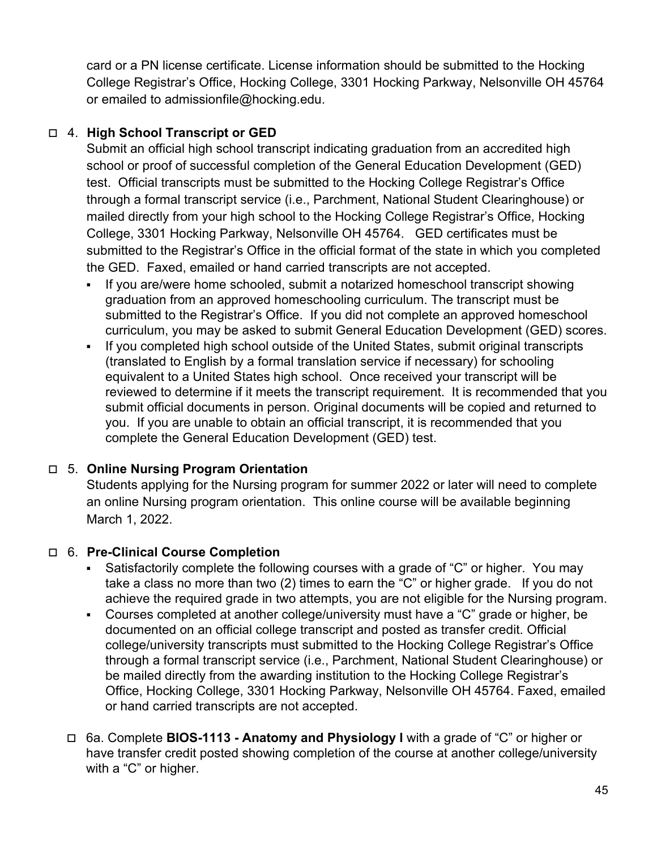card or a PN license certificate. License information should be submitted to the Hocking College Registrar's Office, Hocking College, 3301 Hocking Parkway, Nelsonville OH 45764 or emailed to admissionfile@hocking.edu.

## 4. **High School Transcript or GED**

Submit an official high school transcript indicating graduation from an accredited high school or proof of successful completion of the General Education Development (GED) test. Official transcripts must be submitted to the Hocking College Registrar's Office through a formal transcript service (i.e., Parchment, National Student Clearinghouse) or mailed directly from your high school to the Hocking College Registrar's Office, Hocking College, 3301 Hocking Parkway, Nelsonville OH 45764. GED certificates must be submitted to the Registrar's Office in the official format of the state in which you completed the GED. Faxed, emailed or hand carried transcripts are not accepted.

- If you are/were home schooled, submit a notarized homeschool transcript showing graduation from an approved homeschooling curriculum. The transcript must be submitted to the Registrar's Office. If you did not complete an approved homeschool curriculum, you may be asked to submit General Education Development (GED) scores.
- If you completed high school outside of the United States, submit original transcripts (translated to English by a formal translation service if necessary) for schooling equivalent to a United States high school. Once received your transcript will be reviewed to determine if it meets the transcript requirement. It is recommended that you submit official documents in person. Original documents will be copied and returned to you. If you are unable to obtain an official transcript, it is recommended that you complete the General Education Development (GED) test.

## 5. **Online Nursing Program Orientation**

Students applying for the Nursing program for summer 2022 or later will need to complete an online Nursing program orientation. This online course will be available beginning March 1, 2022.

## 6. **Pre-Clinical Course Completion**

- Satisfactorily complete the following courses with a grade of "C" or higher. You may take a class no more than two (2) times to earn the "C" or higher grade. If you do not achieve the required grade in two attempts, you are not eligible for the Nursing program.
- Courses completed at another college/university must have a "C" grade or higher, be documented on an official college transcript and posted as transfer credit. Official college/university transcripts must submitted to the Hocking College Registrar's Office through a formal transcript service (i.e., Parchment, National Student Clearinghouse) or be mailed directly from the awarding institution to the Hocking College Registrar's Office, Hocking College, 3301 Hocking Parkway, Nelsonville OH 45764. Faxed, emailed or hand carried transcripts are not accepted.
- 6a. Complete **BIOS-1113 - Anatomy and Physiology I** with a grade of "C" or higher or have transfer credit posted showing completion of the course at another college/university with a "C" or higher.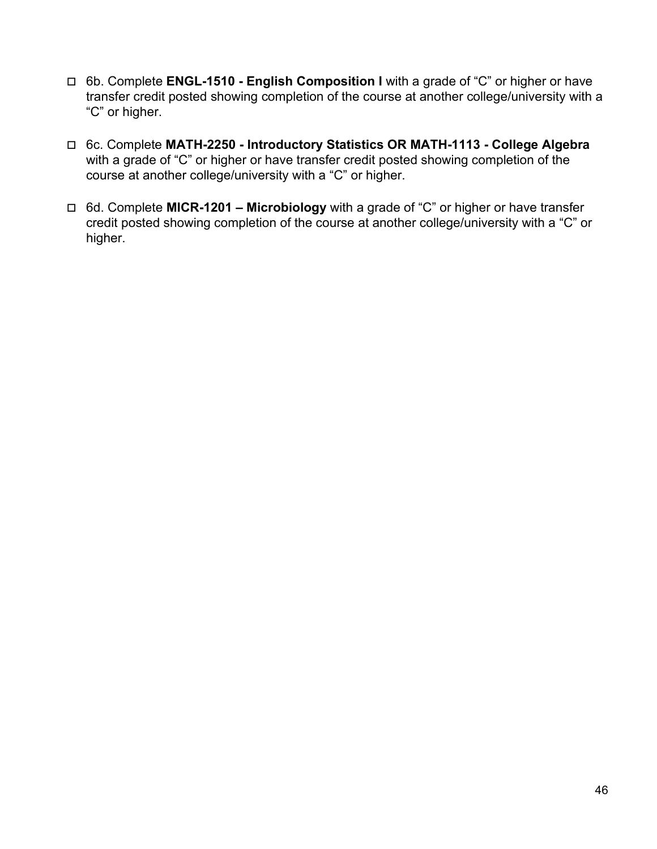- 6b. Complete **ENGL-1510 - English Composition I** with a grade of "C" or higher or have transfer credit posted showing completion of the course at another college/university with a "C" or higher.
- 6c. Complete **MATH-2250 - Introductory Statistics OR MATH-1113 - College Algebra** with a grade of "C" or higher or have transfer credit posted showing completion of the course at another college/university with a "C" or higher.
- 6d. Complete **MICR-1201 – Microbiology** with a grade of "C" or higher or have transfer credit posted showing completion of the course at another college/university with a "C" or higher.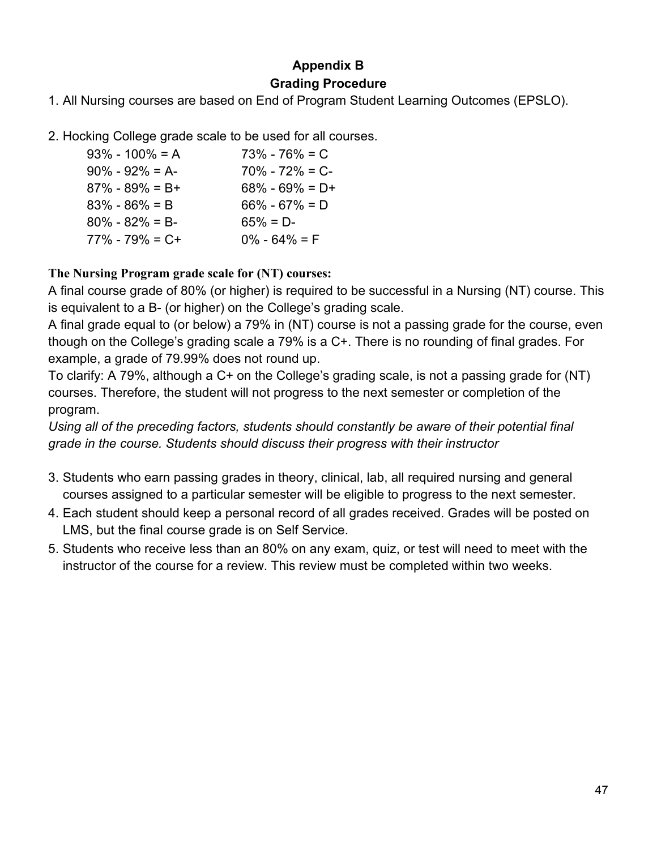## **Appendix B Grading Procedure**

1. All Nursing courses are based on End of Program Student Learning Outcomes (EPSLO).

2. Hocking College grade scale to be used for all courses.

| $93\% - 100\% = A$  | $73\% - 76\% = C$   |
|---------------------|---------------------|
| $90\% - 92\% = A$   | $70\% - 72\% = C$ - |
| $87\% - 89\% = B+$  | $68\% - 69\% = D+$  |
| $83\% - 86\% = B$   | $66\% - 67\% = D$   |
| $80\% - 82\% = B$   | $65\% = D$ -        |
| $77\% - 79\% = C +$ | $0\% - 64\% = F$    |
|                     |                     |

**The Nursing Program grade scale for (NT) courses:** 

A final course grade of 80% (or higher) is required to be successful in a Nursing (NT) course. This is equivalent to a B- (or higher) on the College's grading scale.

A final grade equal to (or below) a 79% in (NT) course is not a passing grade for the course, even though on the College's grading scale a 79% is a C+. There is no rounding of final grades. For example, a grade of 79.99% does not round up.

To clarify: A 79%, although a C+ on the College's grading scale, is not a passing grade for (NT) courses. Therefore, the student will not progress to the next semester or completion of the program.

*Using all of the preceding factors, students should constantly be aware of their potential final grade in the course. Students should discuss their progress with their instructor* 

- 3. Students who earn passing grades in theory, clinical, lab, all required nursing and general courses assigned to a particular semester will be eligible to progress to the next semester.
- 4. Each student should keep a personal record of all grades received. Grades will be posted on LMS, but the final course grade is on Self Service.
- 5. Students who receive less than an 80% on any exam, quiz, or test will need to meet with the instructor of the course for a review. This review must be completed within two weeks.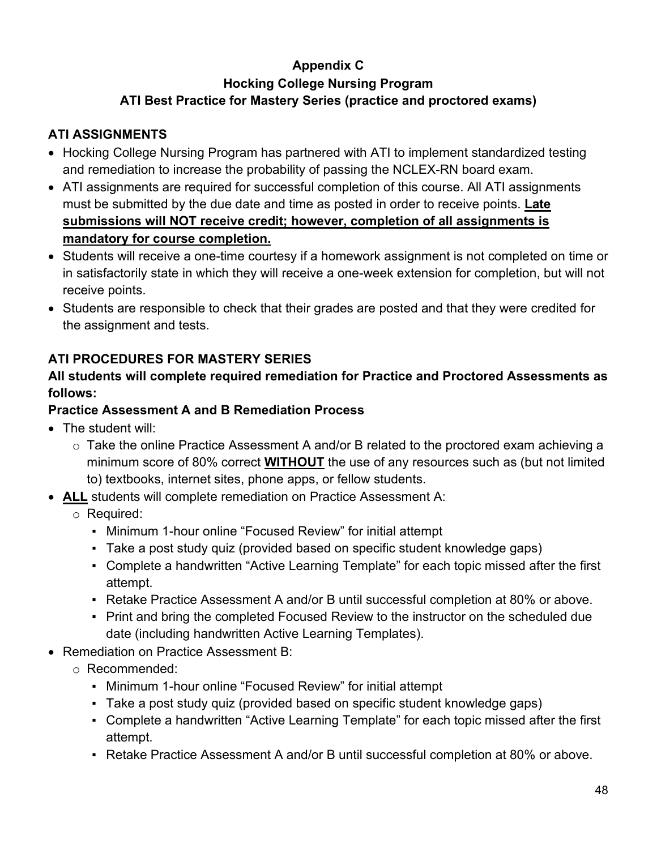# **Appendix C Hocking College Nursing Program ATI Best Practice for Mastery Series (practice and proctored exams)**

#### **ATI ASSIGNMENTS**

- Hocking College Nursing Program has partnered with ATI to implement standardized testing and remediation to increase the probability of passing the NCLEX-RN board exam.
- ATI assignments are required for successful completion of this course. All ATI assignments must be submitted by the due date and time as posted in order to receive points. **Late submissions will NOT receive credit; however, completion of all assignments is mandatory for course completion.**
- Students will receive a one-time courtesy if a homework assignment is not completed on time or in satisfactorily state in which they will receive a one-week extension for completion, but will not receive points.
- Students are responsible to check that their grades are posted and that they were credited for the assignment and tests.

## **ATI PROCEDURES FOR MASTERY SERIES**

#### **All students will complete required remediation for Practice and Proctored Assessments as follows:**

## **Practice Assessment A and B Remediation Process**

- The student will:
	- $\circ$  Take the online Practice Assessment A and/or B related to the proctored exam achieving a minimum score of 80% correct **WITHOUT** the use of any resources such as (but not limited to) textbooks, internet sites, phone apps, or fellow students.
- **ALL** students will complete remediation on Practice Assessment A:
	- o Required:
		- Minimum 1-hour online "Focused Review" for initial attempt
		- Take a post study quiz (provided based on specific student knowledge gaps)
		- Complete a handwritten "Active Learning Template" for each topic missed after the first attempt.
		- Retake Practice Assessment A and/or B until successful completion at 80% or above.
		- Print and bring the completed Focused Review to the instructor on the scheduled due date (including handwritten Active Learning Templates).
- Remediation on Practice Assessment B:
	- o Recommended:
		- Minimum 1-hour online "Focused Review" for initial attempt
		- Take a post study quiz (provided based on specific student knowledge gaps)
		- Complete a handwritten "Active Learning Template" for each topic missed after the first attempt.
		- Retake Practice Assessment A and/or B until successful completion at 80% or above.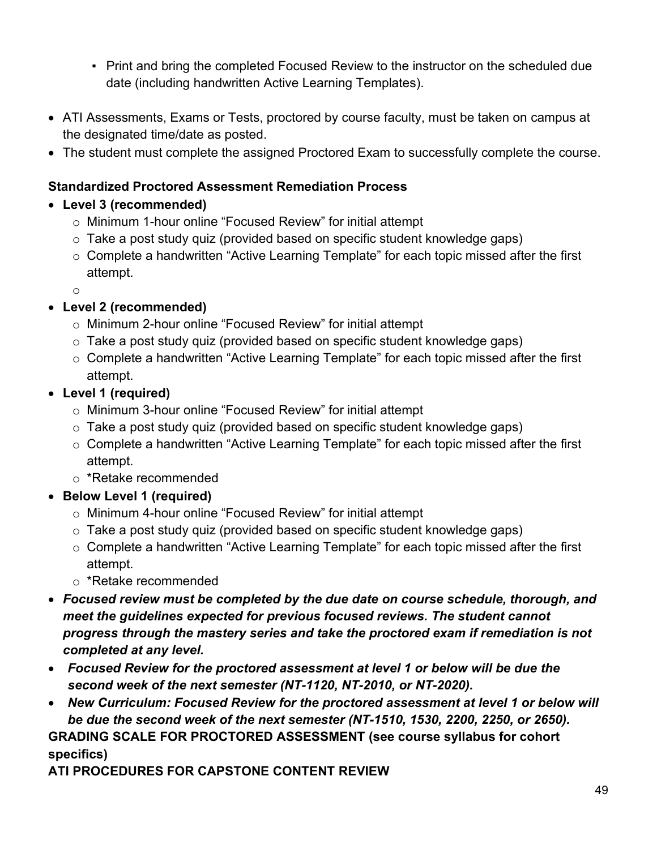- Print and bring the completed Focused Review to the instructor on the scheduled due date (including handwritten Active Learning Templates).
- ATI Assessments, Exams or Tests, proctored by course faculty, must be taken on campus at the designated time/date as posted.
- The student must complete the assigned Proctored Exam to successfully complete the course.

## **Standardized Proctored Assessment Remediation Process**

## • **Level 3 (recommended)**

- o Minimum 1-hour online "Focused Review" for initial attempt
- o Take a post study quiz (provided based on specific student knowledge gaps)
- o Complete a handwritten "Active Learning Template" for each topic missed after the first attempt.

o

# • **Level 2 (recommended)**

- o Minimum 2-hour online "Focused Review" for initial attempt
- o Take a post study quiz (provided based on specific student knowledge gaps)
- $\circ$  Complete a handwritten "Active Learning Template" for each topic missed after the first attempt.

# • **Level 1 (required)**

- o Minimum 3-hour online "Focused Review" for initial attempt
- $\circ$  Take a post study quiz (provided based on specific student knowledge gaps)
- o Complete a handwritten "Active Learning Template" for each topic missed after the first attempt.
- o \*Retake recommended
- **Below Level 1 (required)**
	- o Minimum 4-hour online "Focused Review" for initial attempt
	- o Take a post study quiz (provided based on specific student knowledge gaps)
	- $\circ$  Complete a handwritten "Active Learning Template" for each topic missed after the first attempt.
	- o \*Retake recommended
- *Focused review must be completed by the due date on course schedule, thorough, and meet the guidelines expected for previous focused reviews. The student cannot progress through the mastery series and take the proctored exam if remediation is not completed at any level.*
- *Focused Review for the proctored assessment at level 1 or below will be due the second week of the next semester (NT-1120, NT-2010, or NT-2020).*
- *New Curriculum: Focused Review for the proctored assessment at level 1 or below will be due the second week of the next semester (NT-1510, 1530, 2200, 2250, or 2650).*

**GRADING SCALE FOR PROCTORED ASSESSMENT (see course syllabus for cohort specifics)**

**ATI PROCEDURES FOR CAPSTONE CONTENT REVIEW**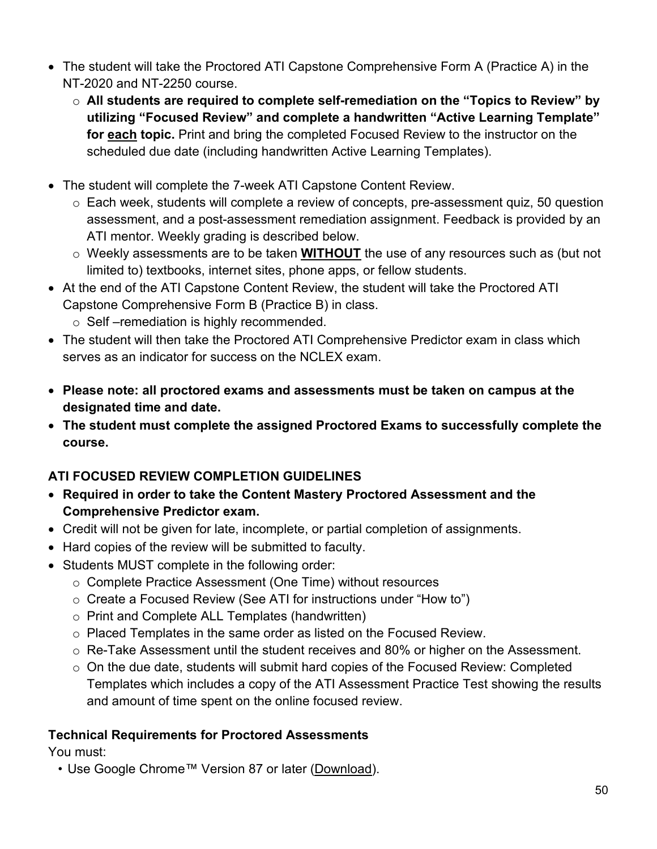- The student will take the Proctored ATI Capstone Comprehensive Form A (Practice A) in the NT-2020 and NT-2250 course.
	- o **All students are required to complete self-remediation on the "Topics to Review" by utilizing "Focused Review" and complete a handwritten "Active Learning Template" for each topic.** Print and bring the completed Focused Review to the instructor on the scheduled due date (including handwritten Active Learning Templates).
- The student will complete the 7-week ATI Capstone Content Review.
	- o Each week, students will complete a review of concepts, pre-assessment quiz, 50 question assessment, and a post-assessment remediation assignment. Feedback is provided by an ATI mentor. Weekly grading is described below.
	- o Weekly assessments are to be taken **WITHOUT** the use of any resources such as (but not limited to) textbooks, internet sites, phone apps, or fellow students.
- At the end of the ATI Capstone Content Review, the student will take the Proctored ATI Capstone Comprehensive Form B (Practice B) in class.
	- o Self –remediation is highly recommended.
- The student will then take the Proctored ATI Comprehensive Predictor exam in class which serves as an indicator for success on the NCLEX exam.
- **Please note: all proctored exams and assessments must be taken on campus at the designated time and date.**
- **The student must complete the assigned Proctored Exams to successfully complete the course.**

# **ATI FOCUSED REVIEW COMPLETION GUIDELINES**

- **Required in order to take the Content Mastery Proctored Assessment and the Comprehensive Predictor exam.**
- Credit will not be given for late, incomplete, or partial completion of assignments.
- Hard copies of the review will be submitted to faculty.
- Students MUST complete in the following order:
	- o Complete Practice Assessment (One Time) without resources
	- o Create a Focused Review (See ATI for instructions under "How to")
	- o Print and Complete ALL Templates (handwritten)
	- o Placed Templates in the same order as listed on the Focused Review.
	- o Re-Take Assessment until the student receives and 80% or higher on the Assessment.
	- o On the due date, students will submit hard copies of the Focused Review: Completed Templates which includes a copy of the ATI Assessment Practice Test showing the results and amount of time spent on the online focused review.

## **Technical Requirements for Proctored Assessments**

You must:

• Use Google Chrome™ Version 87 or later [\(Download\)](https://www.google.com/chrome/).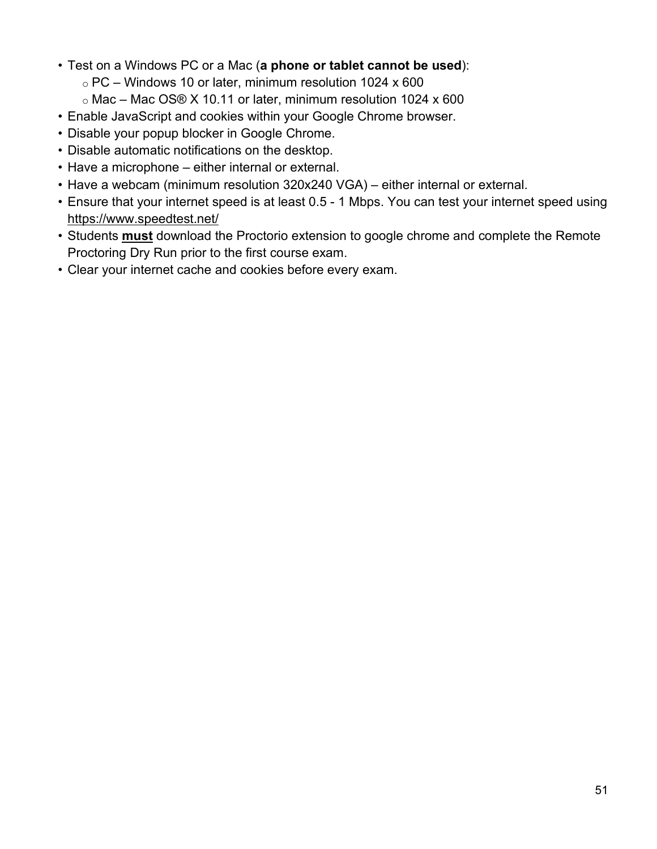- Test on a Windows PC or a Mac (**a phone or tablet cannot be used**):
	- $\circ$  PC Windows 10 or later, minimum resolution 1024 x 600
	- o Mac Mac OS® X 10.11 or later, minimum resolution 1024 x 600
- Enable JavaScript and cookies within your Google Chrome browser.
- Disable your popup blocker in Google Chrome.
- Disable automatic notifications on the desktop.
- Have a microphone either internal or external.
- Have a webcam (minimum resolution 320x240 VGA) either internal or external.
- Ensure that your internet speed is at least 0.5 1 Mbps. You can test your internet speed using <https://www.speedtest.net/>
- Students **must** download the Proctorio extension to google chrome and complete the Remote Proctoring Dry Run prior to the first course exam.
- Clear your internet cache and cookies before every exam.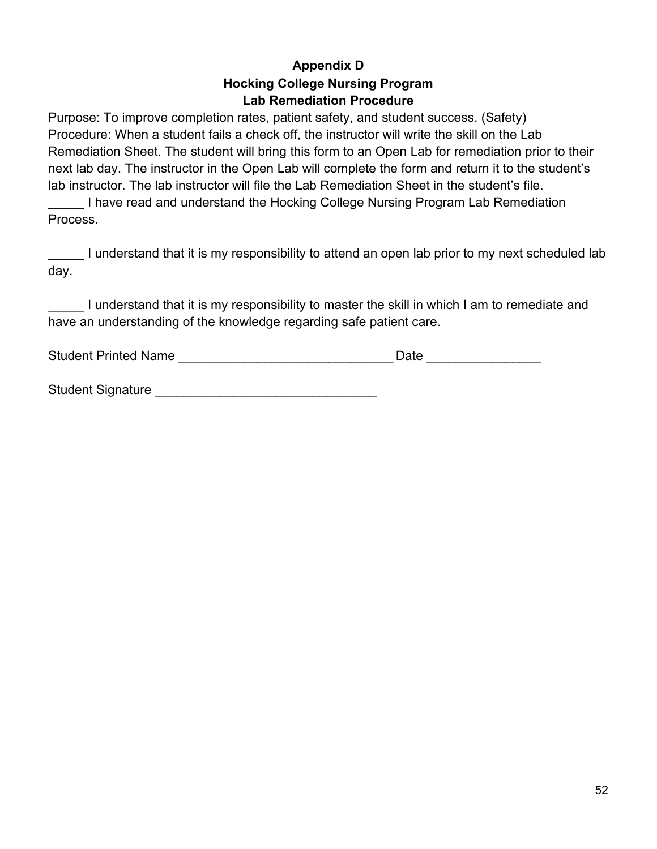#### **Appendix D Hocking College Nursing Program Lab Remediation Procedure**

Purpose: To improve completion rates, patient safety, and student success. (Safety) Procedure: When a student fails a check off, the instructor will write the skill on the Lab Remediation Sheet. The student will bring this form to an Open Lab for remediation prior to their next lab day. The instructor in the Open Lab will complete the form and return it to the student's lab instructor. The lab instructor will file the Lab Remediation Sheet in the student's file.

I have read and understand the Hocking College Nursing Program Lab Remediation Process.

\_\_\_\_\_ I understand that it is my responsibility to attend an open lab prior to my next scheduled lab day.

I understand that it is my responsibility to master the skill in which I am to remediate and have an understanding of the knowledge regarding safe patient care.

| <b>Student Printed Name</b> | Date |  |
|-----------------------------|------|--|
|-----------------------------|------|--|

Student Signature **Executive Student Signature**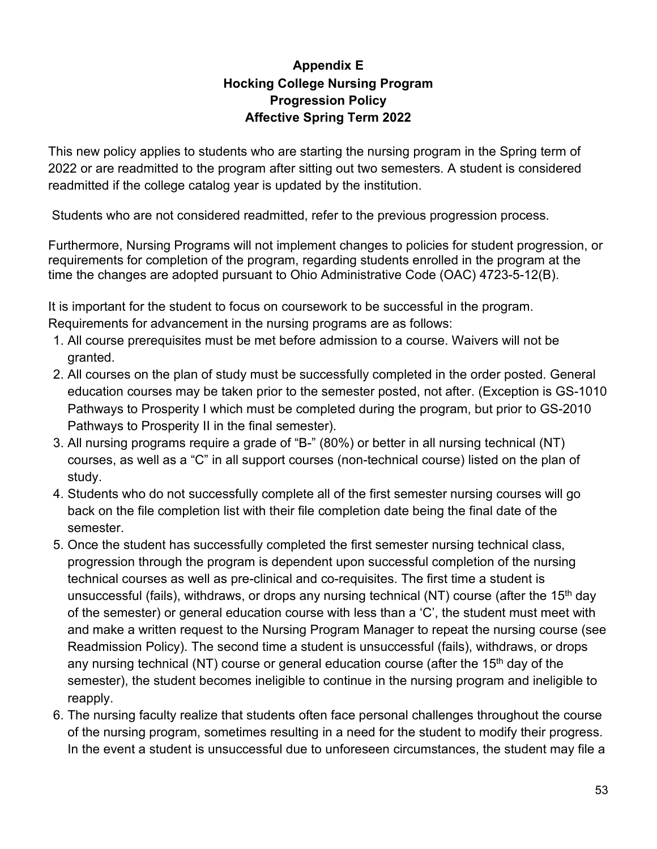## **Appendix E Hocking College Nursing Program Progression Policy Affective Spring Term 2022**

This new policy applies to students who are starting the nursing program in the Spring term of 2022 or are readmitted to the program after sitting out two semesters. A student is considered readmitted if the college catalog year is updated by the institution.

Students who are not considered readmitted, refer to the previous progression process.

Furthermore, Nursing Programs will not implement changes to policies for student progression, or requirements for completion of the program, regarding students enrolled in the program at the time the changes are adopted pursuant to Ohio Administrative Code (OAC) 4723-5-12(B).

It is important for the student to focus on coursework to be successful in the program. Requirements for advancement in the nursing programs are as follows:

- 1. All course prerequisites must be met before admission to a course. Waivers will not be granted.
- 2. All courses on the plan of study must be successfully completed in the order posted. General education courses may be taken prior to the semester posted, not after. (Exception is GS-1010 Pathways to Prosperity I which must be completed during the program, but prior to GS-2010 Pathways to Prosperity II in the final semester).
- 3. All nursing programs require a grade of "B-" (80%) or better in all nursing technical (NT) courses, as well as a "C" in all support courses (non-technical course) listed on the plan of study.
- 4. Students who do not successfully complete all of the first semester nursing courses will go back on the file completion list with their file completion date being the final date of the semester.
- 5. Once the student has successfully completed the first semester nursing technical class, progression through the program is dependent upon successful completion of the nursing technical courses as well as pre-clinical and co-requisites. The first time a student is unsuccessful (fails), withdraws, or drops any nursing technical (NT) course (after the 15<sup>th</sup> day of the semester) or general education course with less than a 'C', the student must meet with and make a written request to the Nursing Program Manager to repeat the nursing course (see Readmission Policy). The second time a student is unsuccessful (fails), withdraws, or drops any nursing technical (NT) course or general education course (after the 15<sup>th</sup> day of the semester), the student becomes ineligible to continue in the nursing program and ineligible to reapply.
- 6. The nursing faculty realize that students often face personal challenges throughout the course of the nursing program, sometimes resulting in a need for the student to modify their progress. In the event a student is unsuccessful due to unforeseen circumstances, the student may file a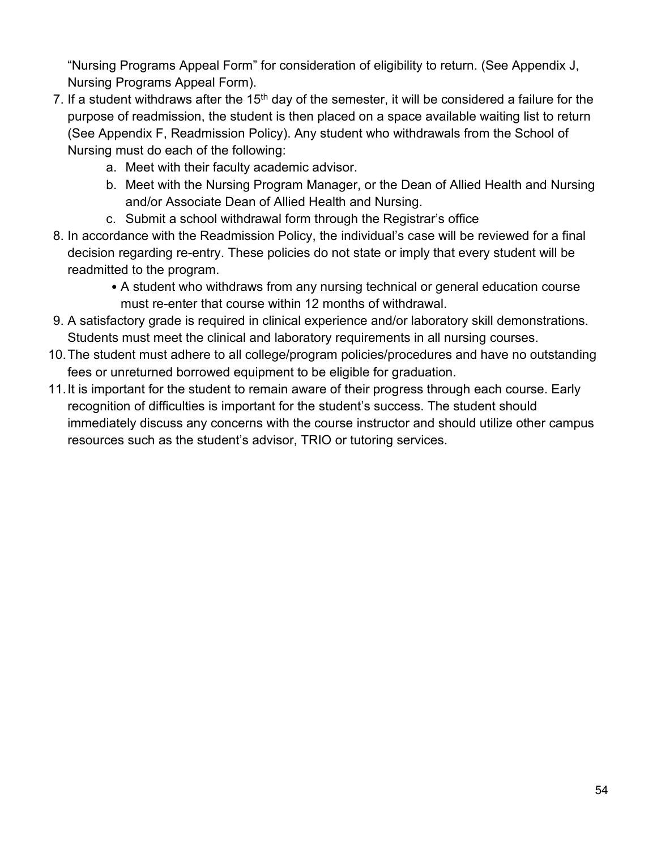"Nursing Programs Appeal Form" for consideration of eligibility to return. (See Appendix J, Nursing Programs Appeal Form).

- 7. If a student withdraws after the  $15<sup>th</sup>$  day of the semester, it will be considered a failure for the purpose of readmission, the student is then placed on a space available waiting list to return (See Appendix F, Readmission Policy). Any student who withdrawals from the School of Nursing must do each of the following:
	- a. Meet with their faculty academic advisor.
	- b. Meet with the Nursing Program Manager, or the Dean of Allied Health and Nursing and/or Associate Dean of Allied Health and Nursing.
	- c. Submit a school withdrawal form through the Registrar's office
- 8. In accordance with the Readmission Policy, the individual's case will be reviewed for a final decision regarding re-entry. These policies do not state or imply that every student will be readmitted to the program.
	- A student who withdraws from any nursing technical or general education course must re-enter that course within 12 months of withdrawal.
- 9. A satisfactory grade is required in clinical experience and/or laboratory skill demonstrations. Students must meet the clinical and laboratory requirements in all nursing courses.
- 10.The student must adhere to all college/program policies/procedures and have no outstanding fees or unreturned borrowed equipment to be eligible for graduation.
- 11.It is important for the student to remain aware of their progress through each course. Early recognition of difficulties is important for the student's success. The student should immediately discuss any concerns with the course instructor and should utilize other campus resources such as the student's advisor, TRIO or tutoring services.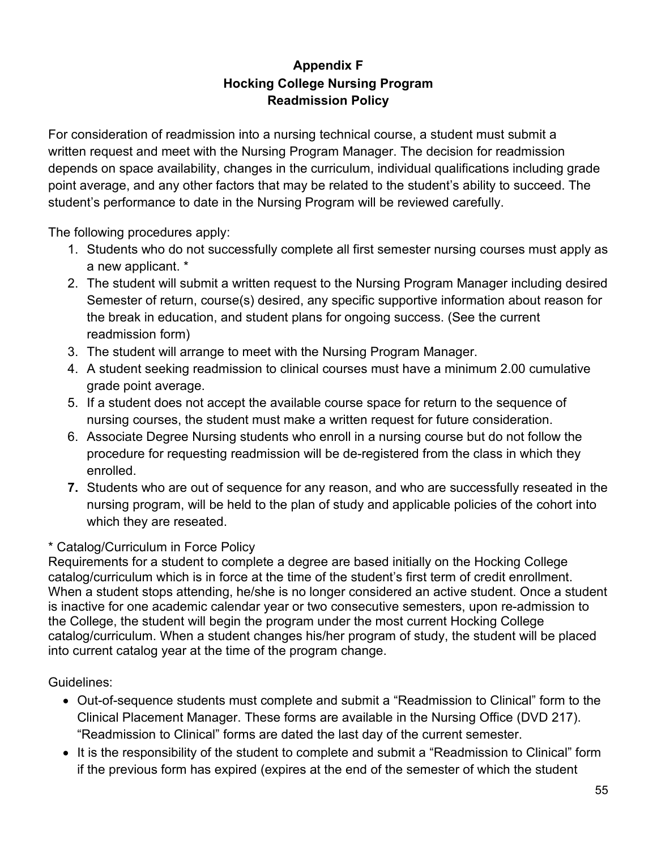# **Appendix F Hocking College Nursing Program Readmission Policy**

For consideration of readmission into a nursing technical course, a student must submit a written request and meet with the Nursing Program Manager. The decision for readmission depends on space availability, changes in the curriculum, individual qualifications including grade point average, and any other factors that may be related to the student's ability to succeed. The student's performance to date in the Nursing Program will be reviewed carefully.

The following procedures apply:

- 1. Students who do not successfully complete all first semester nursing courses must apply as a new applicant. \*
- 2. The student will submit a written request to the Nursing Program Manager including desired Semester of return, course(s) desired, any specific supportive information about reason for the break in education, and student plans for ongoing success. (See the current readmission form)
- 3. The student will arrange to meet with the Nursing Program Manager.
- 4. A student seeking readmission to clinical courses must have a minimum 2.00 cumulative grade point average.
- 5. If a student does not accept the available course space for return to the sequence of nursing courses, the student must make a written request for future consideration.
- 6. Associate Degree Nursing students who enroll in a nursing course but do not follow the procedure for requesting readmission will be de-registered from the class in which they enrolled.
- **7.** Students who are out of sequence for any reason, and who are successfully reseated in the nursing program, will be held to the plan of study and applicable policies of the cohort into which they are reseated.

## \* Catalog/Curriculum in Force Policy

Requirements for a student to complete a degree are based initially on the Hocking College catalog/curriculum which is in force at the time of the student's first term of credit enrollment. When a student stops attending, he/she is no longer considered an active student. Once a student is inactive for one academic calendar year or two consecutive semesters, upon re-admission to the College, the student will begin the program under the most current Hocking College catalog/curriculum. When a student changes his/her program of study, the student will be placed into current catalog year at the time of the program change.

Guidelines:

- Out-of-sequence students must complete and submit a "Readmission to Clinical" form to the Clinical Placement Manager. These forms are available in the Nursing Office (DVD 217). "Readmission to Clinical" forms are dated the last day of the current semester.
- It is the responsibility of the student to complete and submit a "Readmission to Clinical" form if the previous form has expired (expires at the end of the semester of which the student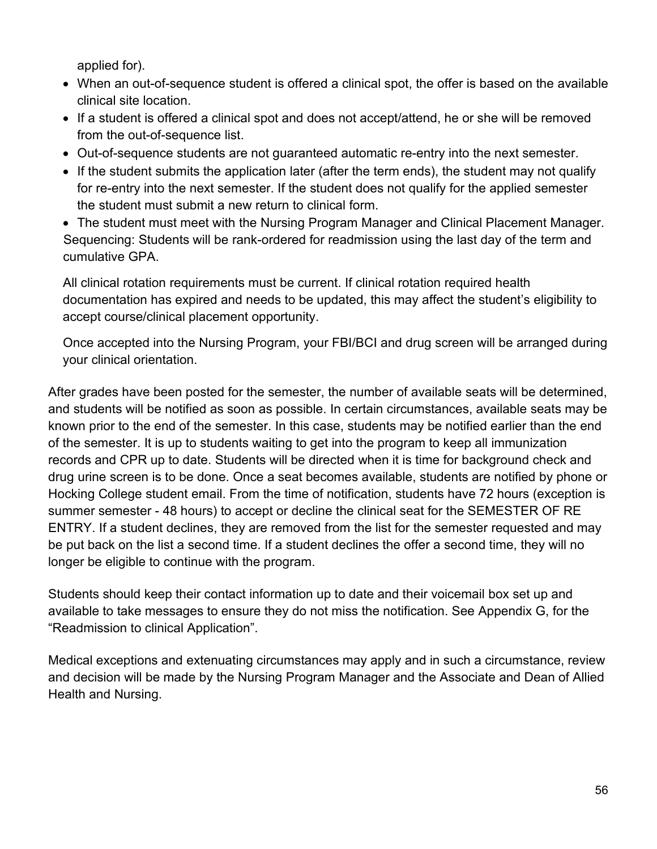applied for).

- When an out-of-sequence student is offered a clinical spot, the offer is based on the available clinical site location.
- If a student is offered a clinical spot and does not accept/attend, he or she will be removed from the out-of-sequence list.
- Out-of-sequence students are not guaranteed automatic re-entry into the next semester.
- If the student submits the application later (after the term ends), the student may not qualify for re-entry into the next semester. If the student does not qualify for the applied semester the student must submit a new return to clinical form.

• The student must meet with the Nursing Program Manager and Clinical Placement Manager. Sequencing: Students will be rank-ordered for readmission using the last day of the term and cumulative GPA.

All clinical rotation requirements must be current. If clinical rotation required health documentation has expired and needs to be updated, this may affect the student's eligibility to accept course/clinical placement opportunity.

Once accepted into the Nursing Program, your FBI/BCI and drug screen will be arranged during your clinical orientation.

After grades have been posted for the semester, the number of available seats will be determined, and students will be notified as soon as possible. In certain circumstances, available seats may be known prior to the end of the semester. In this case, students may be notified earlier than the end of the semester. It is up to students waiting to get into the program to keep all immunization records and CPR up to date. Students will be directed when it is time for background check and drug urine screen is to be done. Once a seat becomes available, students are notified by phone or Hocking College student email. From the time of notification, students have 72 hours (exception is summer semester - 48 hours) to accept or decline the clinical seat for the SEMESTER OF RE ENTRY. If a student declines, they are removed from the list for the semester requested and may be put back on the list a second time. If a student declines the offer a second time, they will no longer be eligible to continue with the program.

Students should keep their contact information up to date and their voicemail box set up and available to take messages to ensure they do not miss the notification. See Appendix G, for the "Readmission to clinical Application".

Medical exceptions and extenuating circumstances may apply and in such a circumstance, review and decision will be made by the Nursing Program Manager and the Associate and Dean of Allied Health and Nursing.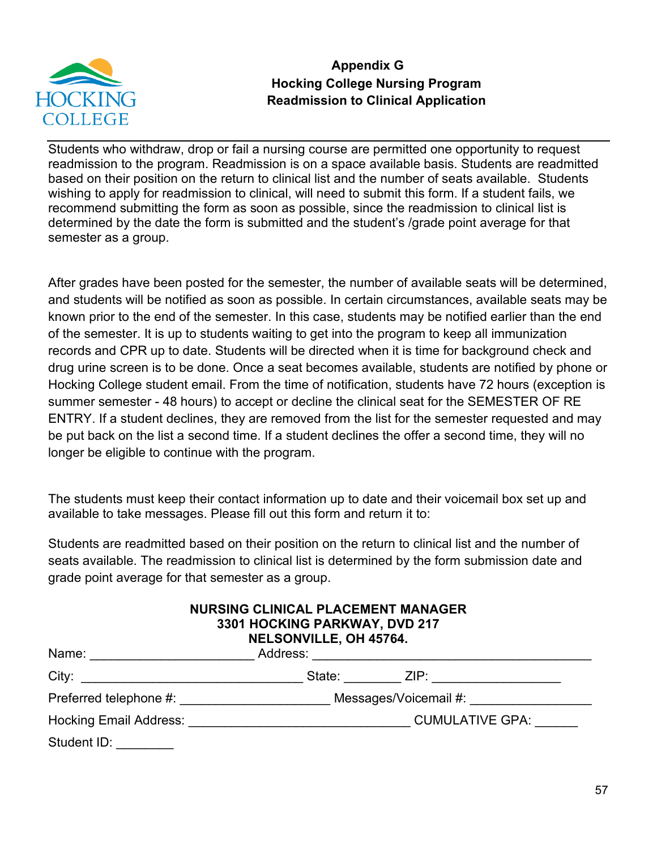

## **Appendix G Hocking College Nursing Program Readmission to Clinical Application**

Students who withdraw, drop or fail a nursing course are permitted one opportunity to request readmission to the program. Readmission is on a space available basis. Students are readmitted based on their position on the return to clinical list and the number of seats available. Students wishing to apply for readmission to clinical, will need to submit this form. If a student fails, we recommend submitting the form as soon as possible, since the readmission to clinical list is determined by the date the form is submitted and the student's /grade point average for that semester as a group.

After grades have been posted for the semester, the number of available seats will be determined, and students will be notified as soon as possible. In certain circumstances, available seats may be known prior to the end of the semester. In this case, students may be notified earlier than the end of the semester. It is up to students waiting to get into the program to keep all immunization records and CPR up to date. Students will be directed when it is time for background check and drug urine screen is to be done. Once a seat becomes available, students are notified by phone or Hocking College student email. From the time of notification, students have 72 hours (exception is summer semester - 48 hours) to accept or decline the clinical seat for the SEMESTER OF RE ENTRY. If a student declines, they are removed from the list for the semester requested and may be put back on the list a second time. If a student declines the offer a second time, they will no longer be eligible to continue with the program.

The students must keep their contact information up to date and their voicemail box set up and available to take messages. Please fill out this form and return it to:

Students are readmitted based on their position on the return to clinical list and the number of seats available. The readmission to clinical list is determined by the form submission date and grade point average for that semester as a group.

| <b>NURSING CLINICAL PLACEMENT MANAGER</b> |
|-------------------------------------------|
| 3301 HOCKING PARKWAY, DVD 217             |
| NELSONVILLE, OH 45764.                    |

| Name:                         | Address: |                        |
|-------------------------------|----------|------------------------|
| City:                         | State:   | ZIP:                   |
| Preferred telephone #:        |          | Messages/Voicemail #:  |
| <b>Hocking Email Address:</b> |          | <b>CUMULATIVE GPA:</b> |
| Student ID:                   |          |                        |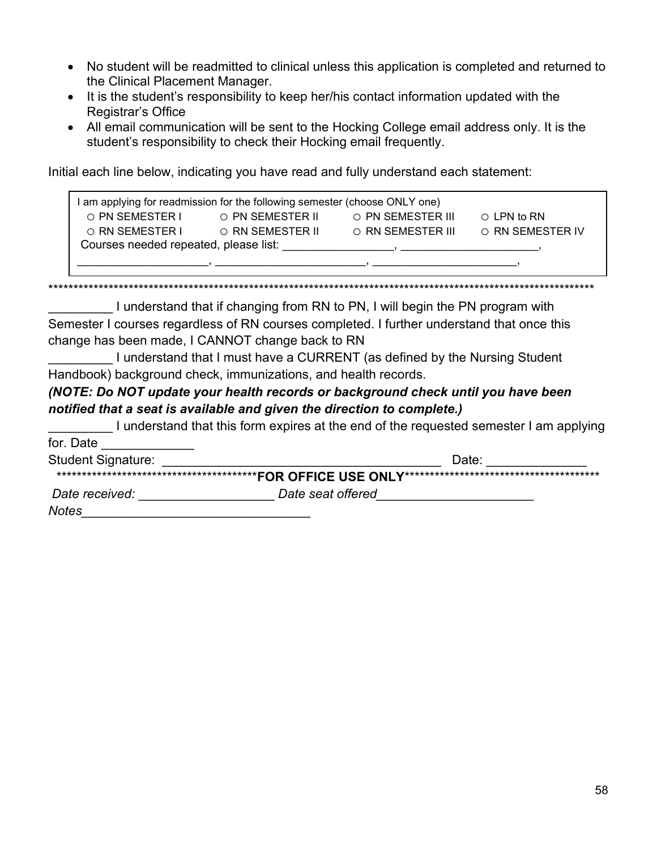- No student will be readmitted to clinical unless this application is completed and returned to the Clinical Placement Manager.
- It is the student's responsibility to keep her/his contact information updated with the Registrar's Office
- All email communication will be sent to the Hocking College email address only. It is the student's responsibility to check their Hocking email frequently.

Initial each line below, indicating you have read and fully understand each statement:

| I am applying for readmission for the following semester (choose ONLY one) |                  |                                                                                                                                                                                                                                  |                   |
|----------------------------------------------------------------------------|------------------|----------------------------------------------------------------------------------------------------------------------------------------------------------------------------------------------------------------------------------|-------------------|
| ◯ PN SEMESTER I                                                            | O PN SEMESTER II | O PN SEMESTER III                                                                                                                                                                                                                | $\circ$ LPN to RN |
| ◯ RN SEMESTER I                                                            | ◯ RN SEMESTER II | O RN SEMESTER III                                                                                                                                                                                                                | O RN SEMESTER IV  |
| Courses needed repeated, please list:                                      |                  | $\overline{\phantom{a}}$                                                                                                                                                                                                         |                   |
|                                                                            |                  | от применения в применении с производительно применения в применении с применения в применении с применении пр<br>В применении с применении с применении с применении с применении с применении с применении с применении с прим |                   |

\*\*\*\*\*\*\*\*\*\*\*\*\*\*\*\*\*\*\*\*\*\*\*\*\*\*\*\*\*\*\*\*\*\*\*\*\*\*\*\*\*\*\*\*\*\*\*\*\*\*\*\*\*\*\*\*\*\*\*\*\*\*\*\*\*\*\*\*\*\*\*\*\*\*\*\*\*\*\*\*\*\*\*\*\*\*\*\*\*\*\*\*\*\*\*\*\*\*\*\*\*\*\*\*\*\*\*\*\*

I understand that if changing from RN to PN, I will begin the PN program with Semester I courses regardless of RN courses completed. I further understand that once this change has been made, I CANNOT change back to RN

I understand that I must have a CURRENT (as defined by the Nursing Student Handbook) background check, immunizations, and health records.

#### *(NOTE: Do NOT update your health records or background check until you have been notified that a seat is available and given the direction to complete.)*

I understand that this form expires at the end of the requested semester I am applying for. Date Student Signature: \_\_\_\_\_\_\_\_\_\_\_\_\_\_\_\_\_\_\_\_\_\_\_\_\_\_\_\_\_\_\_\_\_\_\_\_\_\_\_ Date: \_\_\_\_\_\_\_\_\_\_\_\_\_\_

| $-$            | -----             |
|----------------|-------------------|
|                |                   |
| Date received: | Date seat offered |

*Notes\_\_\_\_\_\_\_\_\_\_\_\_\_\_\_\_\_\_\_\_\_\_\_\_\_\_\_\_\_\_\_\_*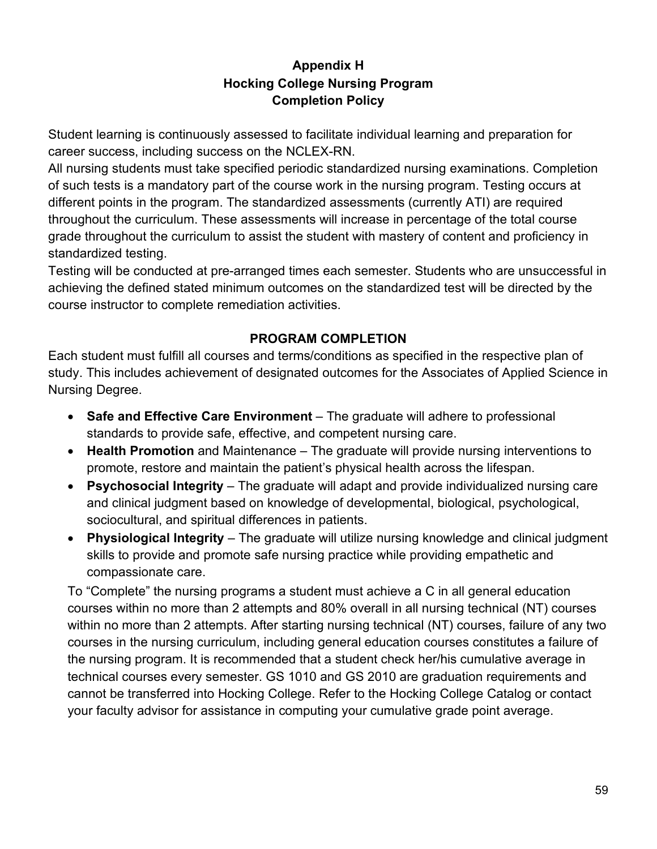## **Appendix H Hocking College Nursing Program Completion Policy**

Student learning is continuously assessed to facilitate individual learning and preparation for career success, including success on the NCLEX-RN.

All nursing students must take specified periodic standardized nursing examinations. Completion of such tests is a mandatory part of the course work in the nursing program. Testing occurs at different points in the program. The standardized assessments (currently ATI) are required throughout the curriculum. These assessments will increase in percentage of the total course grade throughout the curriculum to assist the student with mastery of content and proficiency in standardized testing.

Testing will be conducted at pre-arranged times each semester. Students who are unsuccessful in achieving the defined stated minimum outcomes on the standardized test will be directed by the course instructor to complete remediation activities.

## **PROGRAM COMPLETION**

Each student must fulfill all courses and terms/conditions as specified in the respective plan of study. This includes achievement of designated outcomes for the Associates of Applied Science in Nursing Degree.

- **Safe and Effective Care Environment**  The graduate will adhere to professional standards to provide safe, effective, and competent nursing care.
- **Health Promotion** and Maintenance The graduate will provide nursing interventions to promote, restore and maintain the patient's physical health across the lifespan.
- **Psychosocial Integrity** The graduate will adapt and provide individualized nursing care and clinical judgment based on knowledge of developmental, biological, psychological, sociocultural, and spiritual differences in patients.
- **Physiological Integrity** The graduate will utilize nursing knowledge and clinical judgment skills to provide and promote safe nursing practice while providing empathetic and compassionate care.

To "Complete" the nursing programs a student must achieve a C in all general education courses within no more than 2 attempts and 80% overall in all nursing technical (NT) courses within no more than 2 attempts. After starting nursing technical (NT) courses, failure of any two courses in the nursing curriculum, including general education courses constitutes a failure of the nursing program. It is recommended that a student check her/his cumulative average in technical courses every semester. GS 1010 and GS 2010 are graduation requirements and cannot be transferred into Hocking College. Refer to the Hocking College Catalog or contact your faculty advisor for assistance in computing your cumulative grade point average.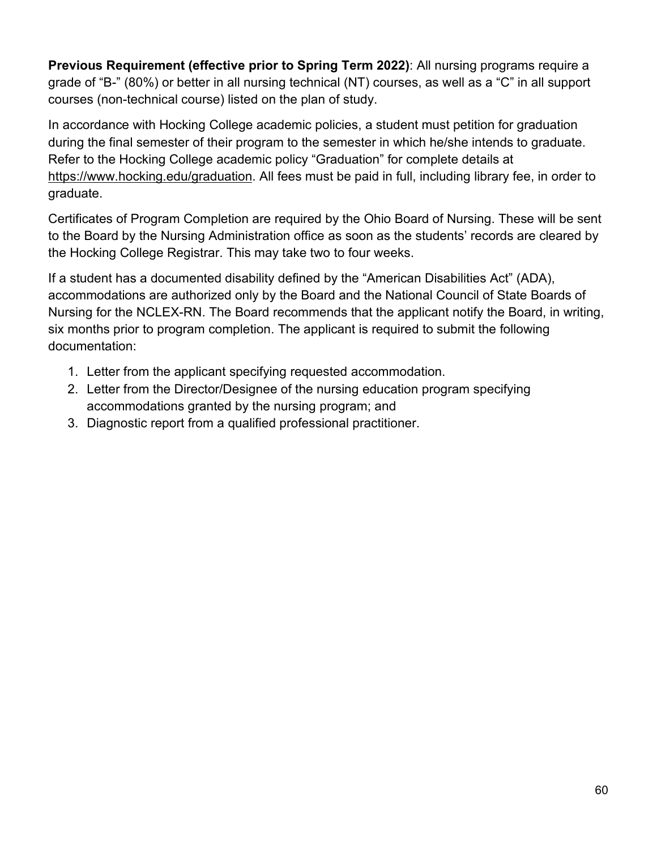**Previous Requirement (effective prior to Spring Term 2022)**: All nursing programs require a grade of "B-" (80%) or better in all nursing technical (NT) courses, as well as a "C" in all support courses (non-technical course) listed on the plan of study.

In accordance with Hocking College academic policies, a student must petition for graduation during the final semester of their program to the semester in which he/she intends to graduate. Refer to the Hocking College academic policy "Graduation" for complete details at [https://www.hocking.edu/graduation.](https://www.hocking.edu/graduation) All fees must be paid in full, including library fee, in order to graduate.

Certificates of Program Completion are required by the Ohio Board of Nursing. These will be sent to the Board by the Nursing Administration office as soon as the students' records are cleared by the Hocking College Registrar. This may take two to four weeks.

If a student has a documented disability defined by the "American Disabilities Act" (ADA), accommodations are authorized only by the Board and the National Council of State Boards of Nursing for the NCLEX-RN. The Board recommends that the applicant notify the Board, in writing, six months prior to program completion. The applicant is required to submit the following documentation:

- 1. Letter from the applicant specifying requested accommodation.
- 2. Letter from the Director/Designee of the nursing education program specifying accommodations granted by the nursing program; and
- 3. Diagnostic report from a qualified professional practitioner.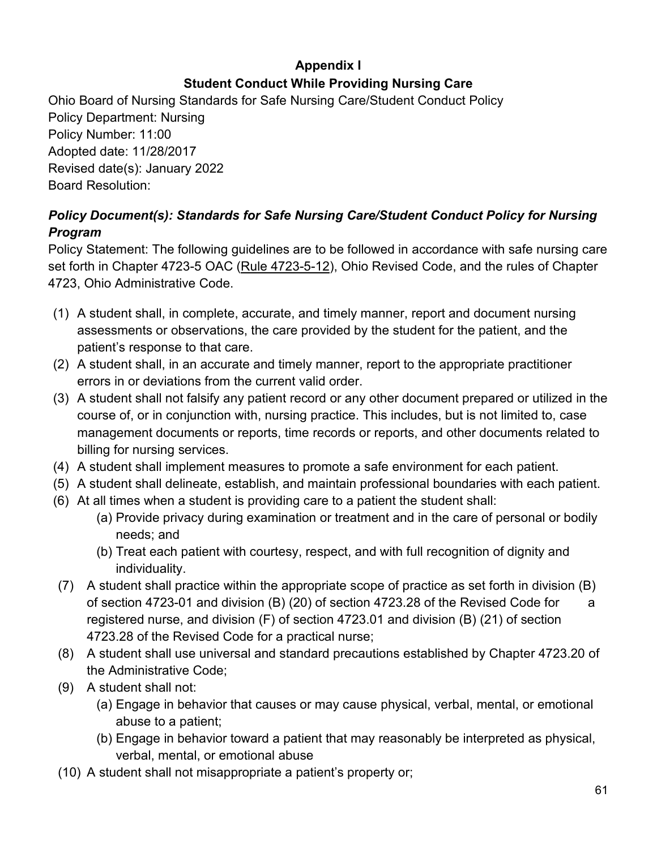# **Appendix I Student Conduct While Providing Nursing Care**

Ohio Board of Nursing Standards for Safe Nursing Care/Student Conduct Policy Policy Department: Nursing Policy Number: 11:00 Adopted date: 11/28/2017 Revised date(s): January 2022 Board Resolution:

# *Policy Document(s): Standards for Safe Nursing Care/Student Conduct Policy for Nursing Program*

Policy Statement: The following guidelines are to be followed in accordance with safe nursing care set forth in Chapter 4723-5 OAC [\(Rule 4723-5-12\)](https://codes.ohio.gov/ohio-administrative-code/rule-4723-5-12), Ohio Revised Code, and the rules of Chapter 4723, Ohio Administrative Code.

- (1) A student shall, in complete, accurate, and timely manner, report and document nursing assessments or observations, the care provided by the student for the patient, and the patient's response to that care.
- (2) A student shall, in an accurate and timely manner, report to the appropriate practitioner errors in or deviations from the current valid order.
- (3) A student shall not falsify any patient record or any other document prepared or utilized in the course of, or in conjunction with, nursing practice. This includes, but is not limited to, case management documents or reports, time records or reports, and other documents related to billing for nursing services.
- (4) A student shall implement measures to promote a safe environment for each patient.
- (5) A student shall delineate, establish, and maintain professional boundaries with each patient.
- (6) At all times when a student is providing care to a patient the student shall:
	- (a) Provide privacy during examination or treatment and in the care of personal or bodily needs; and
	- (b) Treat each patient with courtesy, respect, and with full recognition of dignity and individuality.
- (7) A student shall practice within the appropriate scope of practice as set forth in division (B) of section 4723-01 and division (B) (20) of section 4723.28 of the Revised Code for a registered nurse, and division (F) of section 4723.01 and division (B) (21) of section 4723.28 of the Revised Code for a practical nurse;
- (8) A student shall use universal and standard precautions established by Chapter 4723.20 of the Administrative Code;
- (9) A student shall not:
	- (a) Engage in behavior that causes or may cause physical, verbal, mental, or emotional abuse to a patient;
	- (b) Engage in behavior toward a patient that may reasonably be interpreted as physical, verbal, mental, or emotional abuse
- (10) A student shall not misappropriate a patient's property or;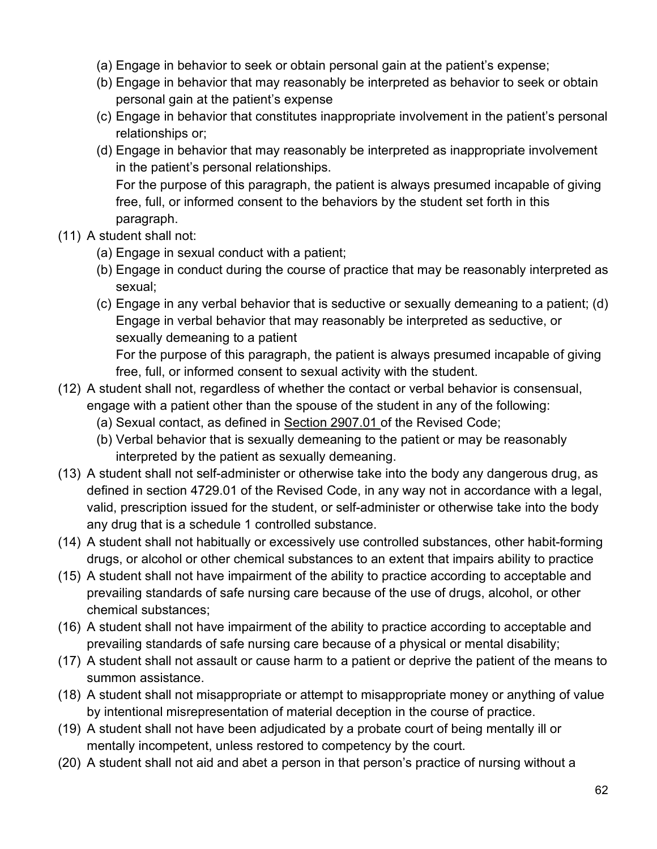- (a) Engage in behavior to seek or obtain personal gain at the patient's expense;
- (b) Engage in behavior that may reasonably be interpreted as behavior to seek or obtain personal gain at the patient's expense
- (c) Engage in behavior that constitutes inappropriate involvement in the patient's personal relationships or;
- (d) Engage in behavior that may reasonably be interpreted as inappropriate involvement in the patient's personal relationships.

For the purpose of this paragraph, the patient is always presumed incapable of giving free, full, or informed consent to the behaviors by the student set forth in this paragraph.

- (11) A student shall not:
	- (a) Engage in sexual conduct with a patient;
	- (b) Engage in conduct during the course of practice that may be reasonably interpreted as sexual;
	- (c) Engage in any verbal behavior that is seductive or sexually demeaning to a patient; (d) Engage in verbal behavior that may reasonably be interpreted as seductive, or sexually demeaning to a patient

For the purpose of this paragraph, the patient is always presumed incapable of giving free, full, or informed consent to sexual activity with the student.

- (12) A student shall not, regardless of whether the contact or verbal behavior is consensual, engage with a patient other than the spouse of the student in any of the following:
	- (a) Sexual contact, as defined in Section 2907.01 of the Revised Code;
	- (b) Verbal behavior that is sexually demeaning to the patient or may be reasonably interpreted by the patient as sexually demeaning.
- (13) A student shall not self-administer or otherwise take into the body any dangerous drug, as defined in section 4729.01 of the Revised Code, in any way not in accordance with a legal, valid, prescription issued for the student, or self-administer or otherwise take into the body any drug that is a schedule 1 controlled substance.
- (14) A student shall not habitually or excessively use controlled substances, other habit-forming drugs, or alcohol or other chemical substances to an extent that impairs ability to practice
- (15) A student shall not have impairment of the ability to practice according to acceptable and prevailing standards of safe nursing care because of the use of drugs, alcohol, or other chemical substances;
- (16) A student shall not have impairment of the ability to practice according to acceptable and prevailing standards of safe nursing care because of a physical or mental disability;
- (17) A student shall not assault or cause harm to a patient or deprive the patient of the means to summon assistance.
- (18) A student shall not misappropriate or attempt to misappropriate money or anything of value by intentional misrepresentation of material deception in the course of practice.
- (19) A student shall not have been adjudicated by a probate court of being mentally ill or mentally incompetent, unless restored to competency by the court.
- (20) A student shall not aid and abet a person in that person's practice of nursing without a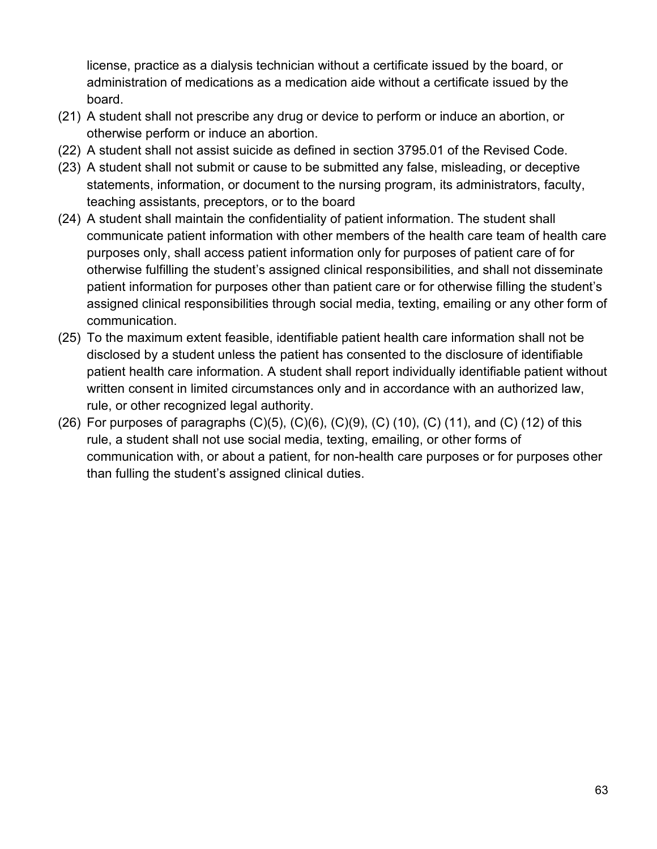license, practice as a dialysis technician without a certificate issued by the board, or administration of medications as a medication aide without a certificate issued by the board.

- (21) A student shall not prescribe any drug or device to perform or induce an abortion, or otherwise perform or induce an abortion.
- (22) A student shall not assist suicide as defined in section 3795.01 of the Revised Code.
- (23) A student shall not submit or cause to be submitted any false, misleading, or deceptive statements, information, or document to the nursing program, its administrators, faculty, teaching assistants, preceptors, or to the board
- (24) A student shall maintain the confidentiality of patient information. The student shall communicate patient information with other members of the health care team of health care purposes only, shall access patient information only for purposes of patient care of for otherwise fulfilling the student's assigned clinical responsibilities, and shall not disseminate patient information for purposes other than patient care or for otherwise filling the student's assigned clinical responsibilities through social media, texting, emailing or any other form of communication.
- (25) To the maximum extent feasible, identifiable patient health care information shall not be disclosed by a student unless the patient has consented to the disclosure of identifiable patient health care information. A student shall report individually identifiable patient without written consent in limited circumstances only and in accordance with an authorized law, rule, or other recognized legal authority.
- (26) For purposes of paragraphs  $(C)(5)$ ,  $(C)(6)$ ,  $(C)(9)$ ,  $(C)$  (10),  $(C)$  (11), and  $(C)$  (12) of this rule, a student shall not use social media, texting, emailing, or other forms of communication with, or about a patient, for non-health care purposes or for purposes other than fulling the student's assigned clinical duties.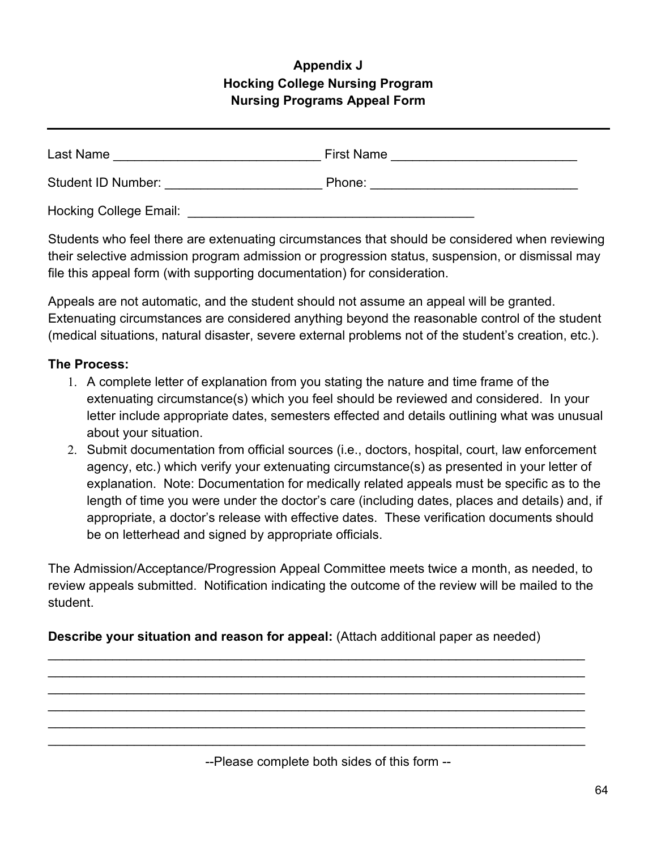# **Appendix J Hocking College Nursing Program Nursing Programs Appeal Form**

| Last Name                     | <b>First Name</b> |  |
|-------------------------------|-------------------|--|
| <b>Student ID Number:</b>     | Phone:            |  |
| <b>Hocking College Email:</b> |                   |  |

Students who feel there are extenuating circumstances that should be considered when reviewing their selective admission program admission or progression status, suspension, or dismissal may file this appeal form (with supporting documentation) for consideration.

Appeals are not automatic, and the student should not assume an appeal will be granted. Extenuating circumstances are considered anything beyond the reasonable control of the student (medical situations, natural disaster, severe external problems not of the student's creation, etc.).

#### **The Process:**

- 1. A complete letter of explanation from you stating the nature and time frame of the extenuating circumstance(s) which you feel should be reviewed and considered. In your letter include appropriate dates, semesters effected and details outlining what was unusual about your situation.
- 2. Submit documentation from official sources (i.e., doctors, hospital, court, law enforcement agency, etc.) which verify your extenuating circumstance(s) as presented in your letter of explanation. Note: Documentation for medically related appeals must be specific as to the length of time you were under the doctor's care (including dates, places and details) and, if appropriate, a doctor's release with effective dates. These verification documents should be on letterhead and signed by appropriate officials.

The Admission/Acceptance/Progression Appeal Committee meets twice a month, as needed, to review appeals submitted. Notification indicating the outcome of the review will be mailed to the student.

\_\_\_\_\_\_\_\_\_\_\_\_\_\_\_\_\_\_\_\_\_\_\_\_\_\_\_\_\_\_\_\_\_\_\_\_\_\_\_\_\_\_\_\_\_\_\_\_\_\_\_\_\_\_\_\_\_\_\_\_\_\_\_\_\_\_\_\_\_\_\_\_\_\_\_ \_\_\_\_\_\_\_\_\_\_\_\_\_\_\_\_\_\_\_\_\_\_\_\_\_\_\_\_\_\_\_\_\_\_\_\_\_\_\_\_\_\_\_\_\_\_\_\_\_\_\_\_\_\_\_\_\_\_\_\_\_\_\_\_\_\_\_\_\_\_\_\_\_\_\_ \_\_\_\_\_\_\_\_\_\_\_\_\_\_\_\_\_\_\_\_\_\_\_\_\_\_\_\_\_\_\_\_\_\_\_\_\_\_\_\_\_\_\_\_\_\_\_\_\_\_\_\_\_\_\_\_\_\_\_\_\_\_\_\_\_\_\_\_\_\_\_\_\_\_\_ \_\_\_\_\_\_\_\_\_\_\_\_\_\_\_\_\_\_\_\_\_\_\_\_\_\_\_\_\_\_\_\_\_\_\_\_\_\_\_\_\_\_\_\_\_\_\_\_\_\_\_\_\_\_\_\_\_\_\_\_\_\_\_\_\_\_\_\_\_\_\_\_\_\_\_ \_\_\_\_\_\_\_\_\_\_\_\_\_\_\_\_\_\_\_\_\_\_\_\_\_\_\_\_\_\_\_\_\_\_\_\_\_\_\_\_\_\_\_\_\_\_\_\_\_\_\_\_\_\_\_\_\_\_\_\_\_\_\_\_\_\_\_\_\_\_\_\_\_\_\_ \_\_\_\_\_\_\_\_\_\_\_\_\_\_\_\_\_\_\_\_\_\_\_\_\_\_\_\_\_\_\_\_\_\_\_\_\_\_\_\_\_\_\_\_\_\_\_\_\_\_\_\_\_\_\_\_\_\_\_\_\_\_\_\_\_\_\_\_\_\_\_\_\_\_\_

## **Describe your situation and reason for appeal:** (Attach additional paper as needed)

--Please complete both sides of this form --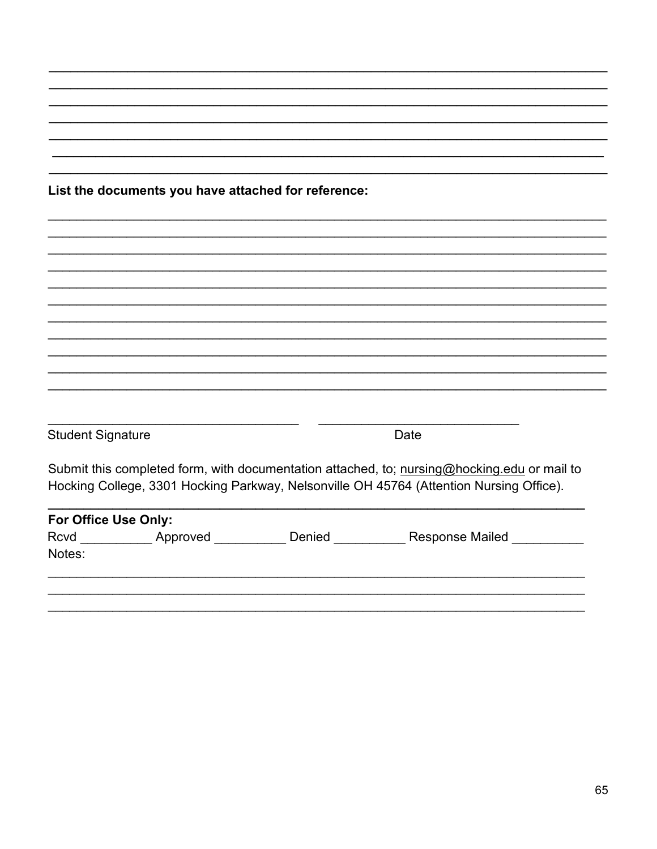|                          | List the documents you have attached for reference: |                                                                                             |
|--------------------------|-----------------------------------------------------|---------------------------------------------------------------------------------------------|
|                          |                                                     |                                                                                             |
|                          |                                                     |                                                                                             |
|                          |                                                     |                                                                                             |
|                          |                                                     |                                                                                             |
|                          |                                                     |                                                                                             |
|                          |                                                     |                                                                                             |
|                          |                                                     |                                                                                             |
|                          |                                                     |                                                                                             |
|                          |                                                     |                                                                                             |
|                          |                                                     |                                                                                             |
| <b>Student Signature</b> |                                                     | Date                                                                                        |
|                          |                                                     | Submit this completed form, with documentation attached, to; nursing@hocking.edu or mail to |
|                          |                                                     | Hocking College, 3301 Hocking Parkway, Nelsonville OH 45764 (Attention Nursing Office).     |
|                          |                                                     |                                                                                             |
|                          |                                                     |                                                                                             |
| For Office Use Only:     |                                                     | Rcvd ____________Approved ____________Denied _____________Response Mailed _______           |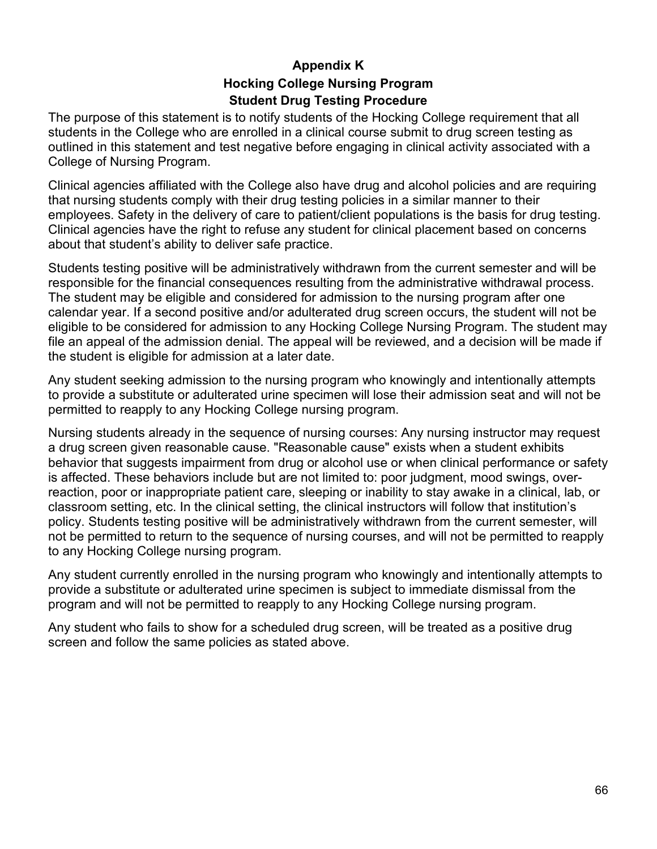## **Appendix K Hocking College Nursing Program Student Drug Testing Procedure**

The purpose of this statement is to notify students of the Hocking College requirement that all students in the College who are enrolled in a clinical course submit to drug screen testing as outlined in this statement and test negative before engaging in clinical activity associated with a College of Nursing Program.

Clinical agencies affiliated with the College also have drug and alcohol policies and are requiring that nursing students comply with their drug testing policies in a similar manner to their employees. Safety in the delivery of care to patient/client populations is the basis for drug testing. Clinical agencies have the right to refuse any student for clinical placement based on concerns about that student's ability to deliver safe practice.

Students testing positive will be administratively withdrawn from the current semester and will be responsible for the financial consequences resulting from the administrative withdrawal process. The student may be eligible and considered for admission to the nursing program after one calendar year. If a second positive and/or adulterated drug screen occurs, the student will not be eligible to be considered for admission to any Hocking College Nursing Program. The student may file an appeal of the admission denial. The appeal will be reviewed, and a decision will be made if the student is eligible for admission at a later date.

Any student seeking admission to the nursing program who knowingly and intentionally attempts to provide a substitute or adulterated urine specimen will lose their admission seat and will not be permitted to reapply to any Hocking College nursing program.

Nursing students already in the sequence of nursing courses: Any nursing instructor may request a drug screen given reasonable cause. "Reasonable cause" exists when a student exhibits behavior that suggests impairment from drug or alcohol use or when clinical performance or safety is affected. These behaviors include but are not limited to: poor judgment, mood swings, overreaction, poor or inappropriate patient care, sleeping or inability to stay awake in a clinical, lab, or classroom setting, etc. In the clinical setting, the clinical instructors will follow that institution's policy. Students testing positive will be administratively withdrawn from the current semester, will not be permitted to return to the sequence of nursing courses, and will not be permitted to reapply to any Hocking College nursing program.

Any student currently enrolled in the nursing program who knowingly and intentionally attempts to provide a substitute or adulterated urine specimen is subject to immediate dismissal from the program and will not be permitted to reapply to any Hocking College nursing program.

Any student who fails to show for a scheduled drug screen, will be treated as a positive drug screen and follow the same policies as stated above.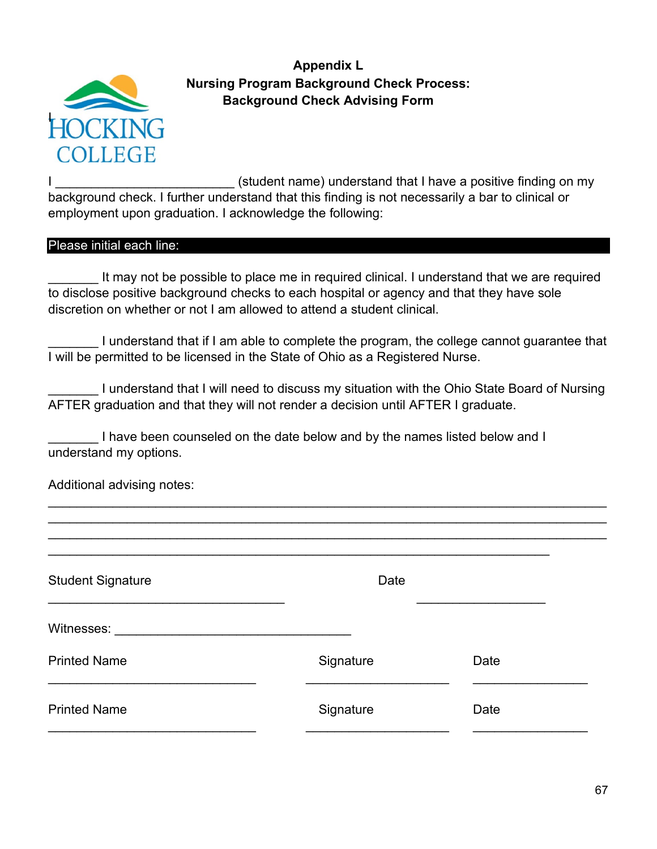

**Appendix L Nursing Program Background Check Process: Background Check Advising Form**

I consider the student name) understand that I have a positive finding on my background check. I further understand that this finding is not necessarily a bar to clinical or employment upon graduation. I acknowledge the following:

#### Please initial each line:

It may not be possible to place me in required clinical. I understand that we are required to disclose positive background checks to each hospital or agency and that they have sole discretion on whether or not I am allowed to attend a student clinical.

I understand that if I am able to complete the program, the college cannot guarantee that I will be permitted to be licensed in the State of Ohio as a Registered Nurse.

I understand that I will need to discuss my situation with the Ohio State Board of Nursing AFTER graduation and that they will not render a decision until AFTER I graduate.

\_\_\_\_\_\_\_\_\_\_\_\_\_\_\_\_\_\_\_\_\_\_\_\_\_\_\_\_\_\_\_\_\_\_\_\_\_\_\_\_\_\_\_\_\_\_\_\_\_\_\_\_\_\_\_\_\_\_\_\_\_\_\_\_\_\_\_\_\_\_\_\_\_\_\_\_\_\_ \_\_\_\_\_\_\_\_\_\_\_\_\_\_\_\_\_\_\_\_\_\_\_\_\_\_\_\_\_\_\_\_\_\_\_\_\_\_\_\_\_\_\_\_\_\_\_\_\_\_\_\_\_\_\_\_\_\_\_\_\_\_\_\_\_\_\_\_\_\_\_\_\_\_\_\_\_\_

I have been counseled on the date below and by the names listed below and I understand my options.

Additional advising notes:

| <b>Student Signature</b> | Date      |      |
|--------------------------|-----------|------|
| Witnesses:               |           |      |
| <b>Printed Name</b>      | Signature | Date |
| <b>Printed Name</b>      | Signature | Date |
|                          |           |      |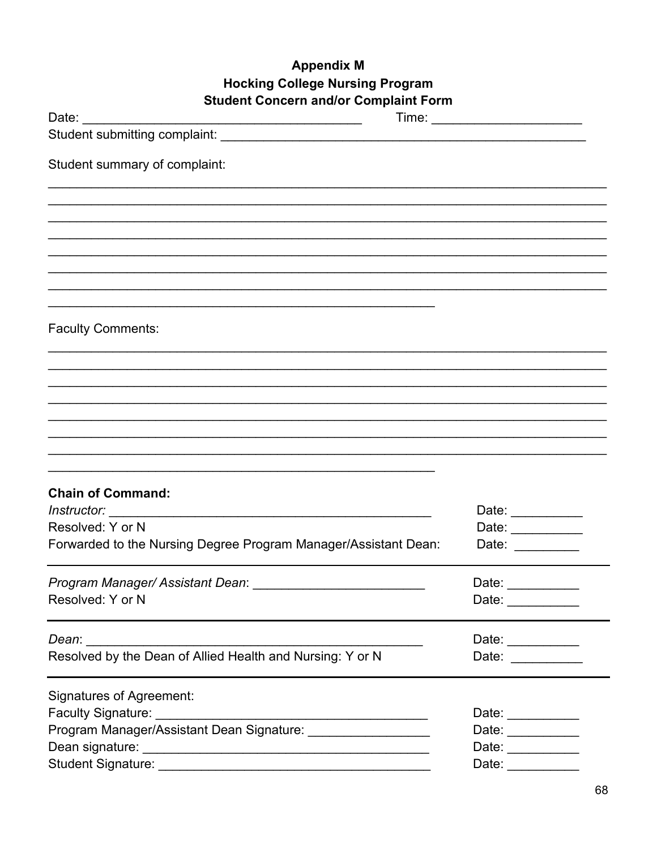## **Appendix M Hocking College Nursing Program Student Concern and/or Complaint Form**

| aont oonoonn anaror oomplar<br>Date:                            |                                                        |  |
|-----------------------------------------------------------------|--------------------------------------------------------|--|
|                                                                 |                                                        |  |
| Student summary of complaint:                                   |                                                        |  |
|                                                                 |                                                        |  |
|                                                                 |                                                        |  |
|                                                                 |                                                        |  |
|                                                                 |                                                        |  |
|                                                                 |                                                        |  |
| <b>Faculty Comments:</b>                                        |                                                        |  |
|                                                                 |                                                        |  |
|                                                                 |                                                        |  |
|                                                                 |                                                        |  |
|                                                                 |                                                        |  |
|                                                                 |                                                        |  |
|                                                                 |                                                        |  |
|                                                                 |                                                        |  |
| <b>Chain of Command:</b>                                        |                                                        |  |
|                                                                 | Date: __________                                       |  |
| Resolved: Y or N                                                | Date: ___________                                      |  |
| Forwarded to the Nursing Degree Program Manager/Assistant Dean: | Date: $\frac{1}{\sqrt{1-\frac{1}{2}}\cdot\frac{1}{2}}$ |  |
| Program Manager/ Assistant Dean: ____                           | Date: _________                                        |  |
| Resolved: Y or N                                                | Date: __________                                       |  |
|                                                                 | Date: $\frac{1}{\sqrt{1-\frac{1}{2}}\cdot\frac{1}{2}}$ |  |
| Resolved by the Dean of Allied Health and Nursing: Y or N       | Date: __________                                       |  |
| <b>Signatures of Agreement:</b>                                 |                                                        |  |
|                                                                 | Date: __________                                       |  |
| Program Manager/Assistant Dean Signature: ____________________  | Date: __________                                       |  |
|                                                                 | Date: $\_\_$                                           |  |
|                                                                 | Date: ___________                                      |  |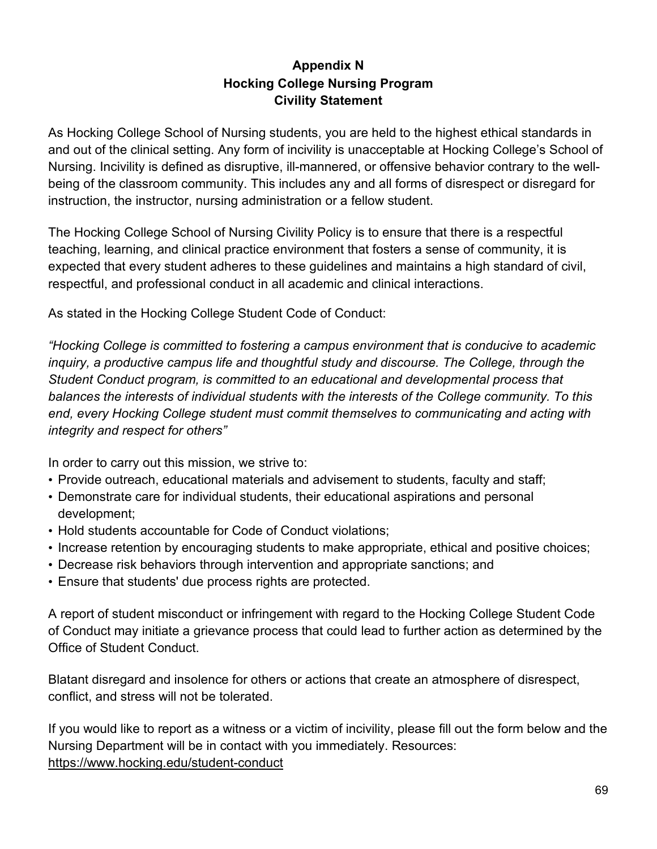## **Appendix N Hocking College Nursing Program Civility Statement**

As Hocking College School of Nursing students, you are held to the highest ethical standards in and out of the clinical setting. Any form of incivility is unacceptable at Hocking College's School of Nursing. Incivility is defined as disruptive, ill-mannered, or offensive behavior contrary to the wellbeing of the classroom community. This includes any and all forms of disrespect or disregard for instruction, the instructor, nursing administration or a fellow student.

The Hocking College School of Nursing Civility Policy is to ensure that there is a respectful teaching, learning, and clinical practice environment that fosters a sense of community, it is expected that every student adheres to these guidelines and maintains a high standard of civil, respectful, and professional conduct in all academic and clinical interactions.

As stated in the Hocking College Student Code of Conduct:

*"Hocking College is committed to fostering a campus environment that is conducive to academic inquiry, a productive campus life and thoughtful study and discourse. The College, through the Student Conduct program, is committed to an educational and developmental process that balances the interests of individual students with the interests of the College community. To this end, every Hocking College student must commit themselves to communicating and acting with integrity and respect for others"*

In order to carry out this mission, we strive to:

- Provide outreach, educational materials and advisement to students, faculty and staff;
- Demonstrate care for individual students, their educational aspirations and personal development;
- Hold students accountable for Code of Conduct violations;
- Increase retention by encouraging students to make appropriate, ethical and positive choices;
- Decrease risk behaviors through intervention and appropriate sanctions; and
- Ensure that students' due process rights are protected.

A report of student misconduct or infringement with regard to the Hocking College Student Code of Conduct may initiate a grievance process that could lead to further action as determined by the Office of Student Conduct.

Blatant disregard and insolence for others or actions that create an atmosphere of disrespect, conflict, and stress will not be tolerated.

If you would like to report as a witness or a victim of incivility, please fill out the form below and the Nursing Department will be in contact with you immediately. Resources: <https://www.hocking.edu/student-conduct>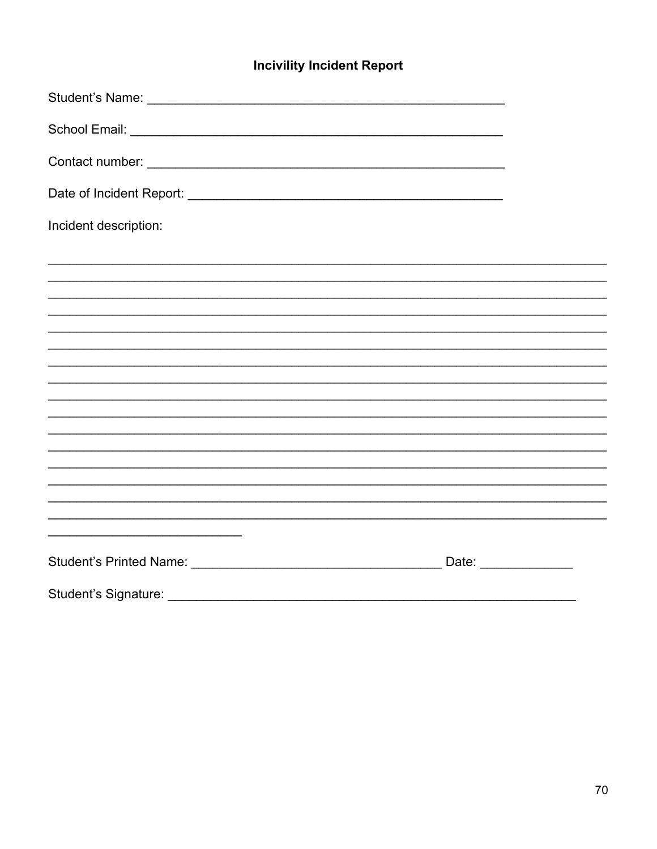# **Incivility Incident Report**

| Incident description: |  |
|-----------------------|--|
|                       |  |
|                       |  |
|                       |  |
|                       |  |
|                       |  |
|                       |  |
|                       |  |
|                       |  |
|                       |  |
|                       |  |
|                       |  |
|                       |  |
|                       |  |
|                       |  |
|                       |  |
|                       |  |
|                       |  |
|                       |  |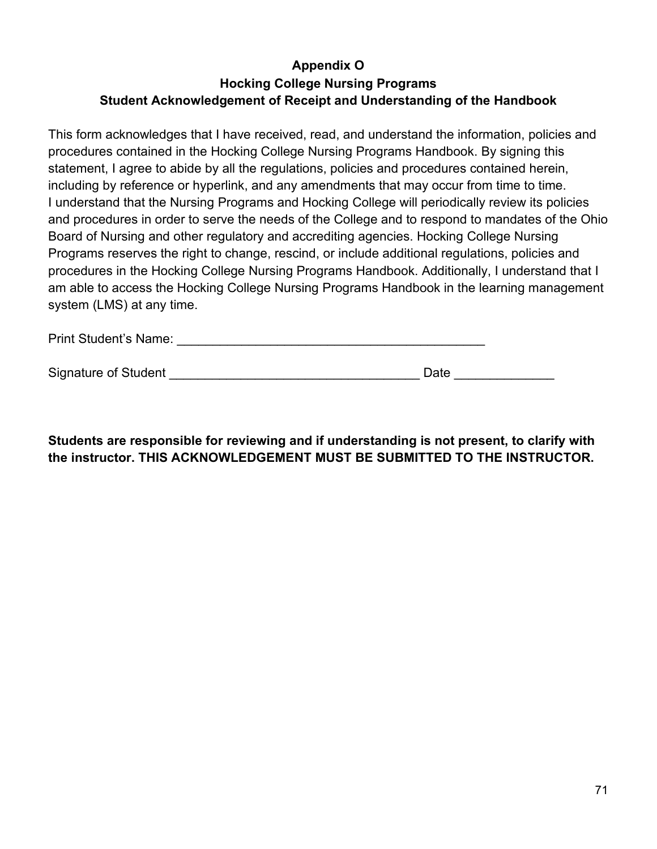## **Appendix O Hocking College Nursing Programs Student Acknowledgement of Receipt and Understanding of the Handbook**

This form acknowledges that I have received, read, and understand the information, policies and procedures contained in the Hocking College Nursing Programs Handbook. By signing this statement, I agree to abide by all the regulations, policies and procedures contained herein, including by reference or hyperlink, and any amendments that may occur from time to time. I understand that the Nursing Programs and Hocking College will periodically review its policies and procedures in order to serve the needs of the College and to respond to mandates of the Ohio Board of Nursing and other regulatory and accrediting agencies. Hocking College Nursing Programs reserves the right to change, rescind, or include additional regulations, policies and procedures in the Hocking College Nursing Programs Handbook. Additionally, I understand that I am able to access the Hocking College Nursing Programs Handbook in the learning management system (LMS) at any time.

| <b>Print Student's Name:</b> |  |
|------------------------------|--|
|                              |  |

| <b>Signature of Student</b> | Jate |  |
|-----------------------------|------|--|
|                             |      |  |

**Students are responsible for reviewing and if understanding is not present, to clarify with the instructor. THIS ACKNOWLEDGEMENT MUST BE SUBMITTED TO THE INSTRUCTOR.**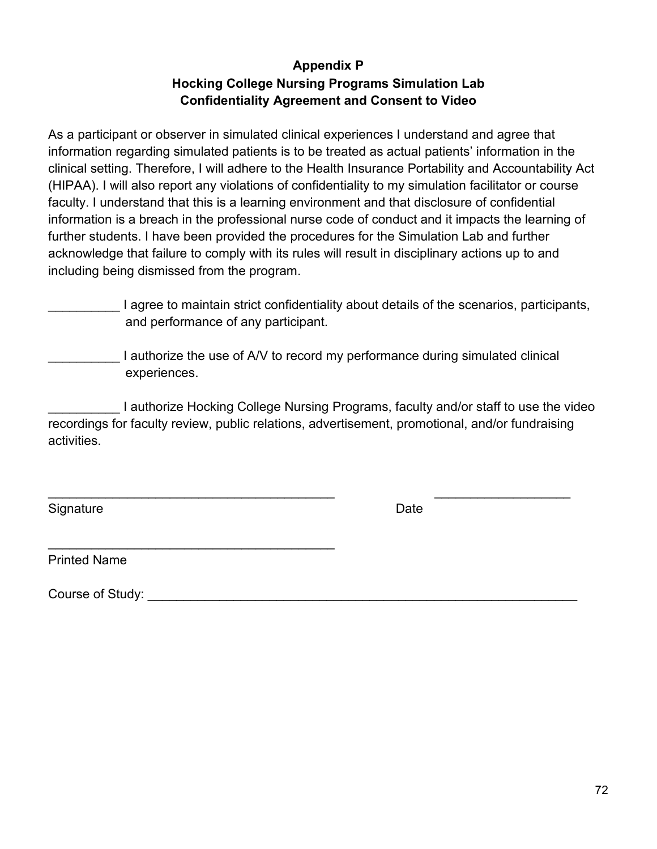## **Appendix P Hocking College Nursing Programs Simulation Lab Confidentiality Agreement and Consent to Video**

As a participant or observer in simulated clinical experiences I understand and agree that information regarding simulated patients is to be treated as actual patients' information in the clinical setting. Therefore, I will adhere to the Health Insurance Portability and Accountability Act (HIPAA). I will also report any violations of confidentiality to my simulation facilitator or course faculty. I understand that this is a learning environment and that disclosure of confidential information is a breach in the professional nurse code of conduct and it impacts the learning of further students. I have been provided the procedures for the Simulation Lab and further acknowledge that failure to comply with its rules will result in disciplinary actions up to and including being dismissed from the program.

I agree to maintain strict confidentiality about details of the scenarios, participants, and performance of any participant.

I authorize the use of A/V to record my performance during simulated clinical experiences.

I authorize Hocking College Nursing Programs, faculty and/or staff to use the video recordings for faculty review, public relations, advertisement, promotional, and/or fundraising activities.

\_\_\_\_\_\_\_\_\_\_\_\_\_\_\_\_\_\_\_\_\_\_\_\_\_\_\_\_\_\_\_\_\_\_\_\_\_\_\_\_ \_\_\_\_\_\_\_\_\_\_\_\_\_\_\_\_\_\_\_

Signature Date **Date** 

Printed Name

Course of Study: **Example 20** and 20 and 20 and 20 and 20 and 20 and 20 and 20 and 20 and 20 and 20 and 20 and 20 and 20 and 20 and 20 and 20 and 20 and 20 and 20 and 20 and 20 and 20 and 20 and 20 and 20 and 20 and 20 and

\_\_\_\_\_\_\_\_\_\_\_\_\_\_\_\_\_\_\_\_\_\_\_\_\_\_\_\_\_\_\_\_\_\_\_\_\_\_\_\_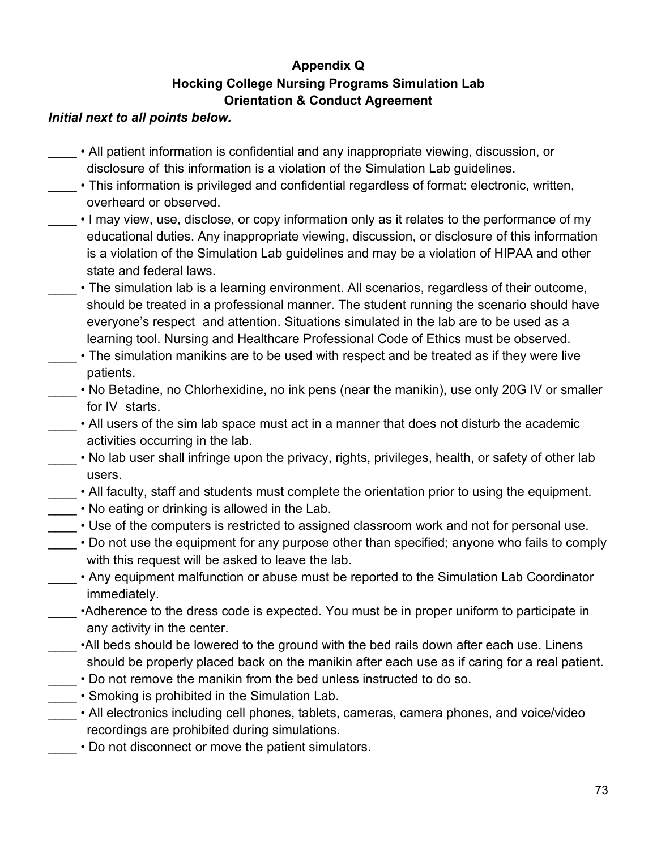# **Appendix Q Hocking College Nursing Programs Simulation Lab Orientation & Conduct Agreement**

## *Initial next to all points below.*

- \_\_\_\_ All patient information is confidential and any inappropriate viewing, discussion, or disclosure of this information is a violation of the Simulation Lab guidelines.
- . This information is privileged and confidential regardless of format: electronic, written, overheard or observed.
- I may view, use, disclose, or copy information only as it relates to the performance of my educational duties. Any inappropriate viewing, discussion, or disclosure of this information is a violation of the Simulation Lab guidelines and may be a violation of HIPAA and other state and federal laws.
- The simulation lab is a learning environment. All scenarios, regardless of their outcome, should be treated in a professional manner. The student running the scenario should have everyone's respect and attention. Situations simulated in the lab are to be used as a learning tool. Nursing and Healthcare Professional Code of Ethics must be observed.
- The simulation manikins are to be used with respect and be treated as if they were live patients.
- No Betadine, no Chlorhexidine, no ink pens (near the manikin), use only 20G IV or smaller for IV starts.
- All users of the sim lab space must act in a manner that does not disturb the academic activities occurring in the lab.
- No lab user shall infringe upon the privacy, rights, privileges, health, or safety of other lab users.
- All faculty, staff and students must complete the orientation prior to using the equipment.
- No eating or drinking is allowed in the Lab.
- \_\_\_\_ Use of the computers is restricted to assigned classroom work and not for personal use.
- Do not use the equipment for any purpose other than specified; anyone who fails to comply with this request will be asked to leave the lab.
- Any equipment malfunction or abuse must be reported to the Simulation Lab Coordinator immediately.
- •Adherence to the dress code is expected. You must be in proper uniform to participate in any activity in the center.
- \_\_\_\_ •All beds should be lowered to the ground with the bed rails down after each use. Linens should be properly placed back on the manikin after each use as if caring for a real patient.
- \_\_\_\_ Do not remove the manikin from the bed unless instructed to do so.
- Smoking is prohibited in the Simulation Lab.
- \_\_\_\_ All electronics including cell phones, tablets, cameras, camera phones, and voice/video recordings are prohibited during simulations.
- Do not disconnect or move the patient simulators.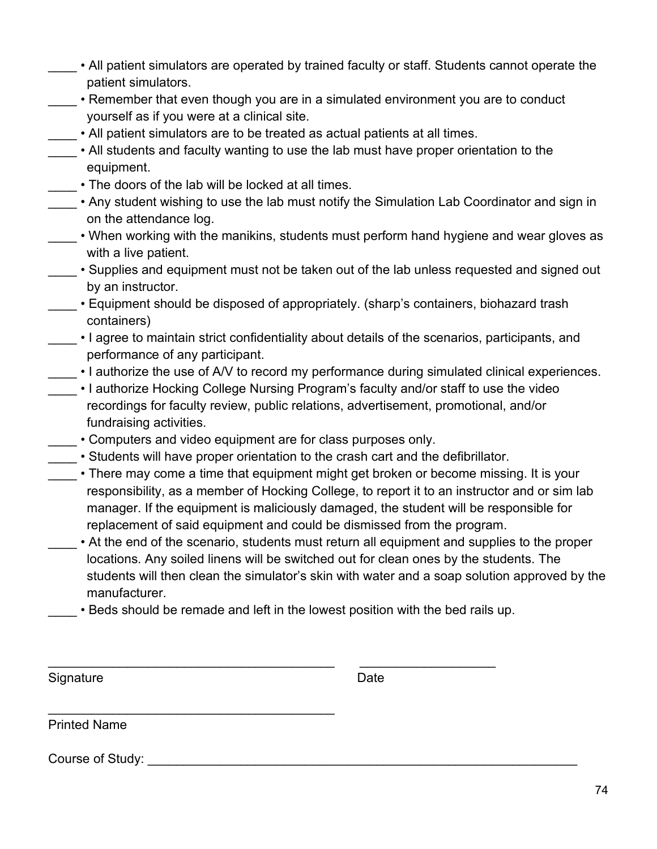- All patient simulators are operated by trained faculty or staff. Students cannot operate the patient simulators.
- Remember that even though you are in a simulated environment you are to conduct yourself as if you were at a clinical site.
- All patient simulators are to be treated as actual patients at all times.
- All students and faculty wanting to use the lab must have proper orientation to the equipment.
- The doors of the lab will be locked at all times.
- Any student wishing to use the lab must notify the Simulation Lab Coordinator and sign in on the attendance log.
- When working with the manikins, students must perform hand hygiene and wear gloves as with a live patient.
- Supplies and equipment must not be taken out of the lab unless requested and signed out by an instructor.
- Equipment should be disposed of appropriately. (sharp's containers, biohazard trash containers)
- I agree to maintain strict confidentiality about details of the scenarios, participants, and performance of any participant.
- $\cdot$  I authorize the use of A/V to record my performance during simulated clinical experiences.
- I authorize Hocking College Nursing Program's faculty and/or staff to use the video recordings for faculty review, public relations, advertisement, promotional, and/or fundraising activities.
- Computers and video equipment are for class purposes only.
- \_\_\_\_ Students will have proper orientation to the crash cart and the defibrillator.
- There may come a time that equipment might get broken or become missing. It is your responsibility, as a member of Hocking College, to report it to an instructor and or sim lab manager. If the equipment is maliciously damaged, the student will be responsible for replacement of said equipment and could be dismissed from the program.
	- At the end of the scenario, students must return all equipment and supplies to the proper locations. Any soiled linens will be switched out for clean ones by the students. The students will then clean the simulator's skin with water and a soap solution approved by the manufacturer.
	- . Beds should be remade and left in the lowest position with the bed rails up.

\_\_\_\_\_\_\_\_\_\_\_\_\_\_\_\_\_\_\_\_\_\_\_\_\_\_\_\_\_\_\_\_\_\_\_\_\_\_\_\_ \_\_\_\_\_\_\_\_\_\_\_\_\_\_\_\_\_\_\_

\_\_\_\_\_\_\_\_\_\_\_\_\_\_\_\_\_\_\_\_\_\_\_\_\_\_\_\_\_\_\_\_\_\_\_\_\_\_\_\_

Signature **Date** 

Printed Name

Course of Study: **Example 20** and 20 and 20 and 20 and 20 and 20 and 20 and 20 and 20 and 20 and 20 and 20 and 20 and 20 and 20 and 20 and 20 and 20 and 20 and 20 and 20 and 20 and 20 and 20 and 20 and 20 and 20 and 20 and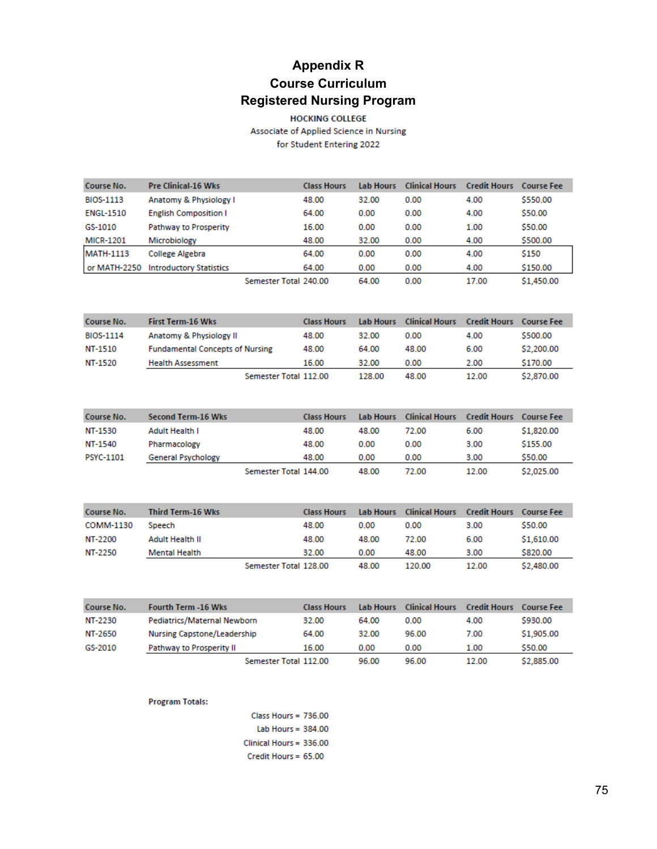# **Appendix R Course Curriculum Registered Nursing Program**

**HOCKING COLLEGE** Associate of Applied Science in Nursing for Student Entering 2022

| Course No.       | <b>Pre Clinical 16 Wks</b>     |                       | <b>Class Hours</b> | <b>Lab Hours</b> | <b>Clinical Hours</b> | <b>Credit Hours</b> | <b>Course Fee</b> |
|------------------|--------------------------------|-----------------------|--------------------|------------------|-----------------------|---------------------|-------------------|
| <b>BIOS-1113</b> | Anatomy & Physiology I         |                       | 48.00              | 32.00            | 0.00                  | 4.00                | \$550.00          |
| <b>ENGL-1510</b> | <b>English Composition I</b>   |                       | 64.00              | 0.00             | 0.00                  | 4.00                | \$50.00           |
| GS-1010          | <b>Pathway to Prosperity</b>   |                       | 16.00              | 0.00             | 0.00                  | 1.00                | \$50.00           |
| <b>MICR-1201</b> | Microbiology                   |                       | 48.00              | 32.00            | 0.00                  | 4.00                | \$500.00          |
| <b>MATH-1113</b> | College Algebra                |                       | 64.00              | 0.00             | 0.00                  | 4.00                | \$150             |
| or MATH-2250     | <b>Introductory Statistics</b> |                       | 64.00              | 0.00             | 0.00                  | 4.00                | \$150.00          |
|                  |                                | Semester Total 240.00 |                    | 64.00            | 0.00                  | 17.00               | \$1,450.00        |

| Course No.       | First Term-16 Wks                      | <b>Class Hours</b> | Lab Hours | <b>Clinical Hours</b> | <b>Credit Hours</b> | – Course Fee |
|------------------|----------------------------------------|--------------------|-----------|-----------------------|---------------------|--------------|
| <b>BIOS-1114</b> | Anatomy & Physiology II                | 48.00              | 32.00     | 0.00                  | 4.00                | \$500.00     |
| NT-1510          | <b>Fundamental Concepts of Nursing</b> | 48.00              | 64.00     | 48.00                 | 6.00                | \$2,200.00   |
| NT-1520          | <b>Health Assessment</b>               | 16.00              | 32.00     | 0.00                  | 2.00                | \$170.00     |
|                  | Semester Total 112.00                  |                    | 128.00    | 48.00                 | 12.00               | \$2,870.00   |

| Course No.       | Second Term-16 Wks        |                       | <b>Class Hours</b> | <b>Lab Hours</b> | <b>Clinical Hours</b> | <b>Credit Hours</b> | – Course Fee |
|------------------|---------------------------|-----------------------|--------------------|------------------|-----------------------|---------------------|--------------|
| NT-1530          | Adult Health I            |                       | 48.00              | 48.00            | 72.00                 | 6.00                | \$1,820.00   |
| NT-1540          | Pharmacology              |                       | 48.00              | 0.00             | 0.00                  | 3.00                | \$155.00     |
| <b>PSYC-1101</b> | <b>General Psychology</b> |                       | 48.00              | 0.00             | 0.00                  | 3.00                | \$50.00      |
|                  |                           | Semester Total 144.00 |                    | 48.00            | 72.00                 | 12.00               | \$2,025.00   |

| Course No. | Third Term-16 Wks    | <b>Class Hours</b>    |       | Lab Hours Clinical Hours | <b>Credit Hours Course Fee</b> |            |
|------------|----------------------|-----------------------|-------|--------------------------|--------------------------------|------------|
| COMM-1130  | Speech               | 48.00                 | 0.00  | 0.00                     | 3.00                           | \$50.00    |
| NT-2200    | Adult Health II      | 48.00                 | 48.00 | 72.00                    | 6.00                           | \$1,610.00 |
| NT-2250    | <b>Mental Health</b> | 32.00                 | 0.00  | 48.00                    | 3.00                           | \$820.00   |
|            |                      | Semester Total 128.00 | 48.00 | 120.00                   | 12.00                          | \$2,480.00 |

| Course No. | <b>Fourth Term -16 Wks</b>  | <b>Class Hours</b> | <b>Lab Hours</b> | <b>Clinical Hours</b> | <b>Credit Hours</b> | Course Fee |
|------------|-----------------------------|--------------------|------------------|-----------------------|---------------------|------------|
| NT-2230    | Pediatrics/Maternal Newborn | 32.00              | 64.00            | 0.00                  | 4.00                | \$930.00   |
| NT-2650    | Nursing Capstone/Leadership | 64.00              | 32.00            | 96.00                 | 7.00                | \$1,905.00 |
| GS-2010    | Pathway to Prosperity II    | 16.00              | 0.00             | 0.00                  | 1.00                | \$50.00    |
|            | Semester Total 112.00       |                    | 96.00            | 96.00                 | 12.00               | \$2,885.00 |

### **Program Totals:**

Class Hours = 736.00 Lab Hours = 384.00 Clinical Hours = 336.00 Credit Hours = 65.00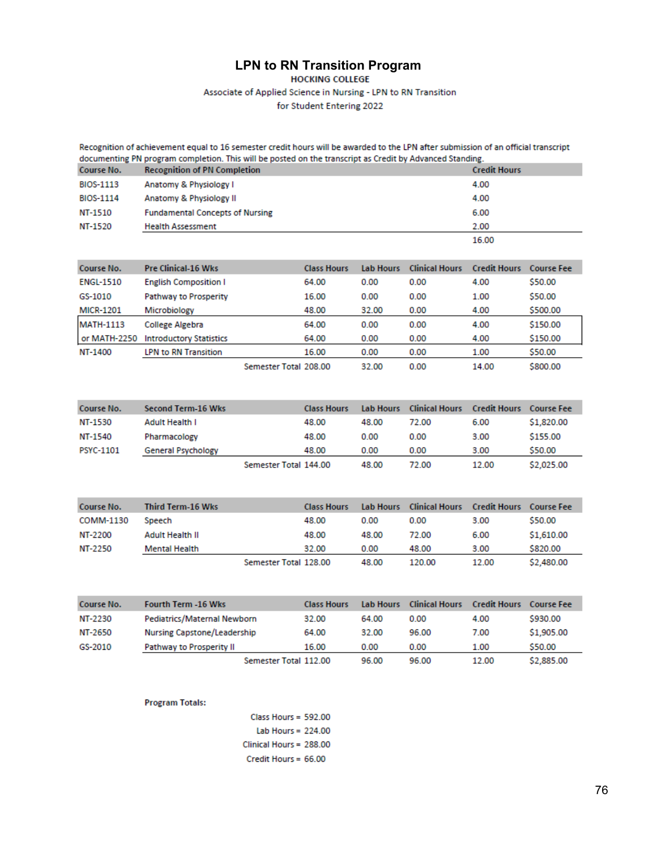# **LPN to RN Transition Program**

Associate of Applied Science in Nursing - LPN to RN Transition

for Student Entering 2022

Recognition of achievement equal to 16 semester credit hours will be awarded to the LPN after submission of an official transcript documenting PN program completion. This will be posted on the transcript as Credit by Advanced Standing.<br>Course No. Recognition of PN Completion

| <b>NUMBERUL</b>  | <b>INCOURTHEROTE OF FITY COMPRESSION</b> | <b>URUMAN HOMES</b> |
|------------------|------------------------------------------|---------------------|
| BIOS-1113        | Anatomy & Physiology I                   | 4.00                |
| <b>BIOS-1114</b> | Anatomy & Physiology II                  | 4.00                |
| NT-1510          | <b>Fundamental Concepts of Nursing</b>   | 6.00                |
| NT-1520          | <b>Health Assessment</b>                 | 2.00                |
|                  |                                          | 16.00               |

| Course No.       | <b>Pre Clinical-16 Wks</b>     |                       | <b>Class Hours</b> | <b>Tab Hours</b> | <b>Clinical Hours</b> | <b>Credit Hours</b> | <b>Course Fee</b> |
|------------------|--------------------------------|-----------------------|--------------------|------------------|-----------------------|---------------------|-------------------|
| <b>ENGL-1510</b> | <b>English Composition I</b>   |                       | 64.00              | 0.00             | 0.00                  | 4.00                | \$50.00           |
| GS-1010          | <b>Pathway to Prosperity</b>   |                       | 16.00              | 0.00             | 0.00                  | 1.00                | \$50.00           |
| <b>MICR-1201</b> | Microbiology                   |                       | 48.00              | 32.00            | 0.00                  | 4.00                | \$500.00          |
| <b>MATH-1113</b> | College Algebra                |                       | 64.00              | 0.00             | 0.00                  | 4.00                | \$150.00          |
| or MATH-2250     | <b>Introductory Statistics</b> |                       | 64.00              | 0.00             | 0.00                  | 4.00                | \$150.00          |
| NT-1400          | <b>LPN to RN Transition</b>    |                       | 16.00              | 0.00             | 0.00                  | 1.00                | \$50.00           |
|                  |                                | Semester Total 208.00 |                    | 32.00            | 0.00                  | 14.00               | \$800.00          |

| Course No. | <b>Second Term-16 Wks</b> |                       | <b>Class Hours</b> | Lab Hours | <b>Clinical Hours</b> | <b>Credit Hours</b> Course Fee |            |
|------------|---------------------------|-----------------------|--------------------|-----------|-----------------------|--------------------------------|------------|
| NT-1530    | Adult Health I            |                       | 48.00              | 48.00     | 72.00                 | 6.00                           | \$1,820.00 |
| NT-1540    | Pharmacology              |                       | 48.00              | 0.00      | 0.00                  | 3.00                           | \$155.00   |
| PSYC-1101  | <b>General Psychology</b> |                       | 48.00              | 0.00      | 0.00                  | 3.00                           | \$50.00    |
|            |                           | Semester Total 144.00 |                    | 48.00     | 72.00                 | 12.00                          | \$2,025.00 |

| Course No. | Third Term-16 Wks |                       | <b>Class Hours</b> |       | <b>Lab Hours</b> Clinical Hours | Credit Hours - Course Fee |            |
|------------|-------------------|-----------------------|--------------------|-------|---------------------------------|---------------------------|------------|
| COMM-1130  | Speech            |                       | 48.00              | 0.00  | 0.00                            | 3.00                      | \$50.00    |
| NT-2200    | Adult Health II   |                       | 48.00              | 48.00 | 72.00                           | 6.00                      | \$1,610.00 |
| NT-2250    | Mental Health     |                       | 32.00              | 0.00  | 48.00                           | 3.00                      | \$820.00   |
|            |                   | Semester Total 128.00 |                    | 48.00 | 120.00                          | 12.00                     | \$2,480.00 |

| Course No. | <b>Fourth Term -16 Wks</b>  | <b>Class Hours</b> | <b>Lab Hours</b> | <b>Clinical Hours</b> | <b>Credit Hours</b> | Course Fee |
|------------|-----------------------------|--------------------|------------------|-----------------------|---------------------|------------|
| NT-2230    | Pediatrics/Maternal Newborn | 32.00              | 64.00            | 0.00                  | 4.00                | \$930.00   |
| NT-2650    | Nursing Capstone/Leadership | 64.00              | 32.00            | 96.00                 | 7.00                | \$1,905.00 |
| GS-2010    | Pathway to Prosperity II    | 16.00              | 0.00             | 0.00                  | 1.00                | \$50.00    |
|            | Semester Total 112.00       |                    | 96.00            | 96.00                 | 12.00               | \$2,885.00 |

#### **Program Totals:**

Class Hours =  $592.00$ Lab Hours =  $224.00$ Clinical Hours = 288.00 Credit Hours = 66.00